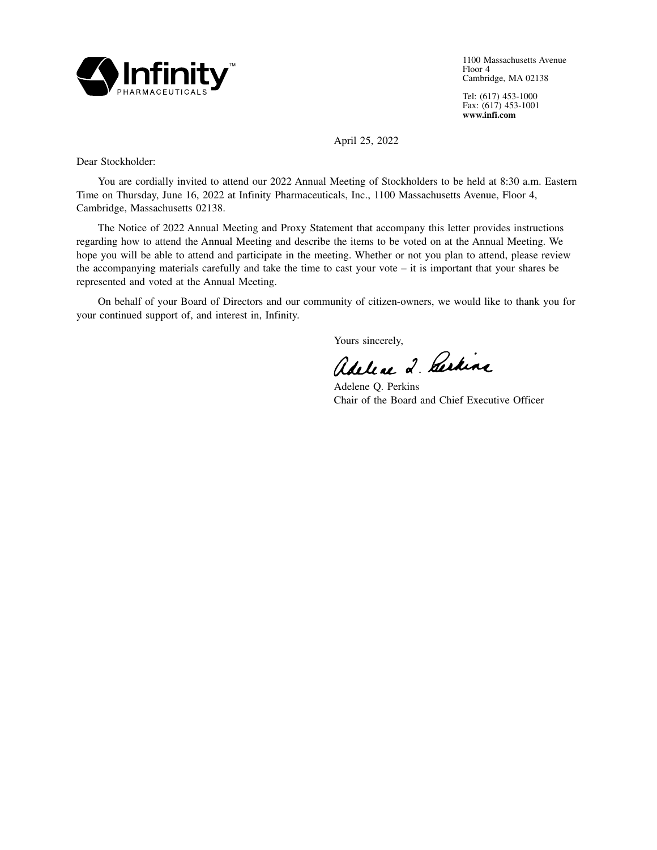

1100 Massachusetts Avenue Floor 4 Cambridge, MA 02138

Tel: (617) 453-1000 Fax: (617) 453-1001 **www.infi.com**

April 25, 2022

Dear Stockholder:

You are cordially invited to attend our 2022 Annual Meeting of Stockholders to be held at 8:30 a.m. Eastern Time on Thursday, June 16, 2022 at Infinity Pharmaceuticals, Inc., 1100 Massachusetts Avenue, Floor 4, Cambridge, Massachusetts 02138.

The Notice of 2022 Annual Meeting and Proxy Statement that accompany this letter provides instructions regarding how to attend the Annual Meeting and describe the items to be voted on at the Annual Meeting. We hope you will be able to attend and participate in the meeting. Whether or not you plan to attend, please review the accompanying materials carefully and take the time to cast your vote – it is important that your shares be represented and voted at the Annual Meeting.

On behalf of your Board of Directors and our community of citizen-owners, we would like to thank you for your continued support of, and interest in, Infinity.

Yours sincerely,

Adeline 2. Derkine

Adelene Q. Perkins Chair of the Board and Chief Executive Officer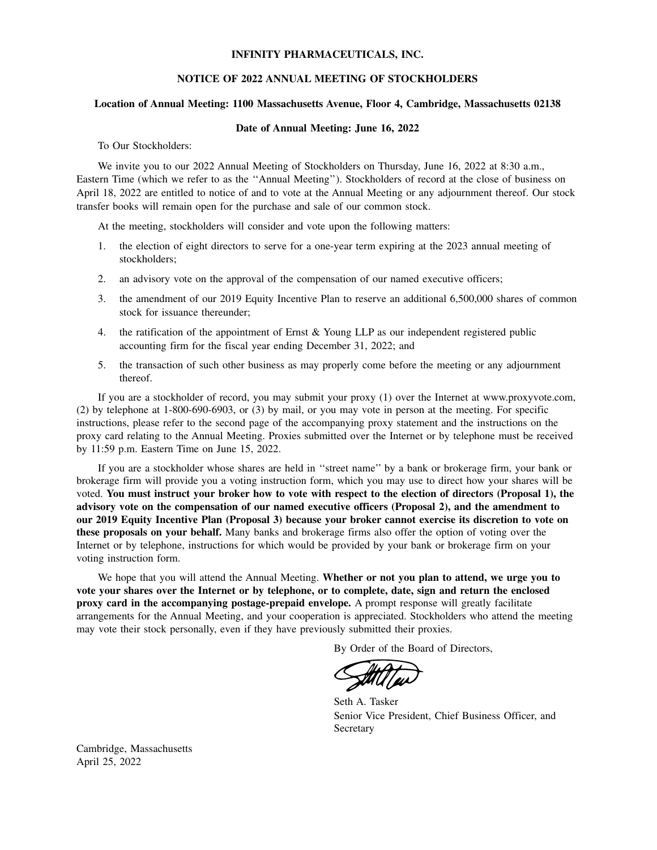### **INFINITY PHARMACEUTICALS, INC.**

#### **NOTICE OF 2022 ANNUAL MEETING OF STOCKHOLDERS**

## **Location of Annual Meeting: 1100 Massachusetts Avenue, Floor 4, Cambridge, Massachusetts 02138**

#### **Date of Annual Meeting: June 16, 2022**

To Our Stockholders:

We invite you to our 2022 Annual Meeting of Stockholders on Thursday, June 16, 2022 at 8:30 a.m., Eastern Time (which we refer to as the ''Annual Meeting''). Stockholders of record at the close of business on April 18, 2022 are entitled to notice of and to vote at the Annual Meeting or any adjournment thereof. Our stock transfer books will remain open for the purchase and sale of our common stock.

At the meeting, stockholders will consider and vote upon the following matters:

- 1. the election of eight directors to serve for a one-year term expiring at the 2023 annual meeting of stockholders;
- 2. an advisory vote on the approval of the compensation of our named executive officers;
- 3. the amendment of our 2019 Equity Incentive Plan to reserve an additional 6,500,000 shares of common stock for issuance thereunder;
- 4. the ratification of the appointment of Ernst & Young LLP as our independent registered public accounting firm for the fiscal year ending December 31, 2022; and
- 5. the transaction of such other business as may properly come before the meeting or any adjournment thereof.

If you are a stockholder of record, you may submit your proxy (1) over the Internet at www.proxyvote.com, (2) by telephone at 1-800-690-6903, or (3) by mail, or you may vote in person at the meeting. For specific instructions, please refer to the second page of the accompanying proxy statement and the instructions on the proxy card relating to the Annual Meeting. Proxies submitted over the Internet or by telephone must be received by 11:59 p.m. Eastern Time on June 15, 2022.

If you are a stockholder whose shares are held in ''street name'' by a bank or brokerage firm, your bank or brokerage firm will provide you a voting instruction form, which you may use to direct how your shares will be voted. **You must instruct your broker how to vote with respect to the election of directors (Proposal 1), the advisory vote on the compensation of our named executive officers (Proposal 2), and the amendment to our 2019 Equity Incentive Plan (Proposal 3) because your broker cannot exercise its discretion to vote on these proposals on your behalf.** Many banks and brokerage firms also offer the option of voting over the Internet or by telephone, instructions for which would be provided by your bank or brokerage firm on your voting instruction form.

We hope that you will attend the Annual Meeting. **Whether or not you plan to attend, we urge you to vote your shares over the Internet or by telephone, or to complete, date, sign and return the enclosed proxy card in the accompanying postage-prepaid envelope.** A prompt response will greatly facilitate arrangements for the Annual Meeting, and your cooperation is appreciated. Stockholders who attend the meeting may vote their stock personally, even if they have previously submitted their proxies.

By Order of the Board of Directors,

Seth A. Tasker Senior Vice President, Chief Business Officer, and **Secretary** 

Cambridge, Massachusetts April 25, 2022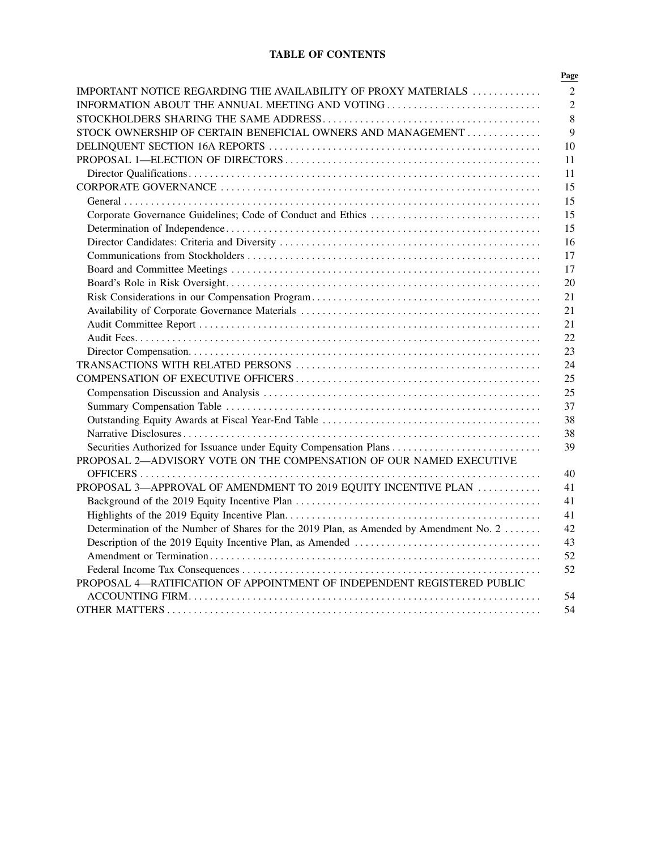# **TABLE OF CONTENTS**

| IMPORTANT NOTICE REGARDING THE AVAILABILITY OF PROXY MATERIALS                         |
|----------------------------------------------------------------------------------------|
| INFORMATION ABOUT THE ANNUAL MEETING AND VOTING                                        |
|                                                                                        |
| STOCK OWNERSHIP OF CERTAIN BENEFICIAL OWNERS AND MANAGEMENT                            |
|                                                                                        |
|                                                                                        |
|                                                                                        |
|                                                                                        |
|                                                                                        |
|                                                                                        |
|                                                                                        |
|                                                                                        |
|                                                                                        |
|                                                                                        |
|                                                                                        |
|                                                                                        |
|                                                                                        |
|                                                                                        |
|                                                                                        |
|                                                                                        |
|                                                                                        |
|                                                                                        |
|                                                                                        |
|                                                                                        |
|                                                                                        |
|                                                                                        |
| Securities Authorized for Issuance under Equity Compensation Plans                     |
| PROPOSAL 2-ADVISORY VOTE ON THE COMPENSATION OF OUR NAMED EXECUTIVE                    |
|                                                                                        |
| PROPOSAL 3—APPROVAL OF AMENDMENT TO 2019 EQUITY INCENTIVE PLAN                         |
|                                                                                        |
|                                                                                        |
| Determination of the Number of Shares for the 2019 Plan, as Amended by Amendment No. 2 |
|                                                                                        |
|                                                                                        |
|                                                                                        |
| PROPOSAL 4-RATIFICATION OF APPOINTMENT OF INDEPENDENT REGISTERED PUBLIC                |
|                                                                                        |
|                                                                                        |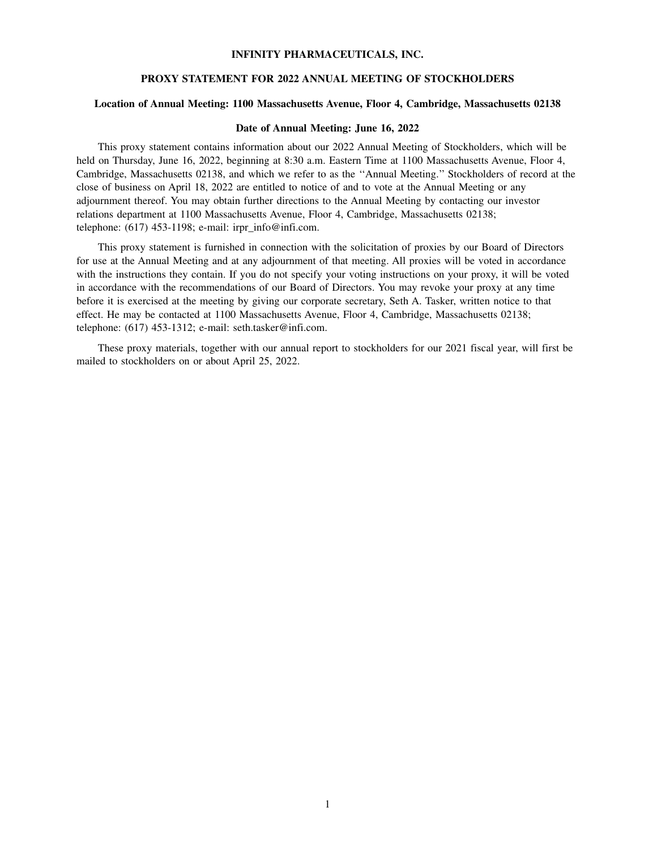### **INFINITY PHARMACEUTICALS, INC.**

### **PROXY STATEMENT FOR 2022 ANNUAL MEETING OF STOCKHOLDERS**

## **Location of Annual Meeting: 1100 Massachusetts Avenue, Floor 4, Cambridge, Massachusetts 02138**

#### **Date of Annual Meeting: June 16, 2022**

This proxy statement contains information about our 2022 Annual Meeting of Stockholders, which will be held on Thursday, June 16, 2022, beginning at 8:30 a.m. Eastern Time at 1100 Massachusetts Avenue, Floor 4, Cambridge, Massachusetts 02138, and which we refer to as the ''Annual Meeting.'' Stockholders of record at the close of business on April 18, 2022 are entitled to notice of and to vote at the Annual Meeting or any adjournment thereof. You may obtain further directions to the Annual Meeting by contacting our investor relations department at 1100 Massachusetts Avenue, Floor 4, Cambridge, Massachusetts 02138; telephone:  $(617)$  453-1198; e-mail: irpr\_info@infi.com.

This proxy statement is furnished in connection with the solicitation of proxies by our Board of Directors for use at the Annual Meeting and at any adjournment of that meeting. All proxies will be voted in accordance with the instructions they contain. If you do not specify your voting instructions on your proxy, it will be voted in accordance with the recommendations of our Board of Directors. You may revoke your proxy at any time before it is exercised at the meeting by giving our corporate secretary, Seth A. Tasker, written notice to that effect. He may be contacted at 1100 Massachusetts Avenue, Floor 4, Cambridge, Massachusetts 02138; telephone: (617) 453-1312; e-mail: seth.tasker@infi.com.

These proxy materials, together with our annual report to stockholders for our 2021 fiscal year, will first be mailed to stockholders on or about April 25, 2022.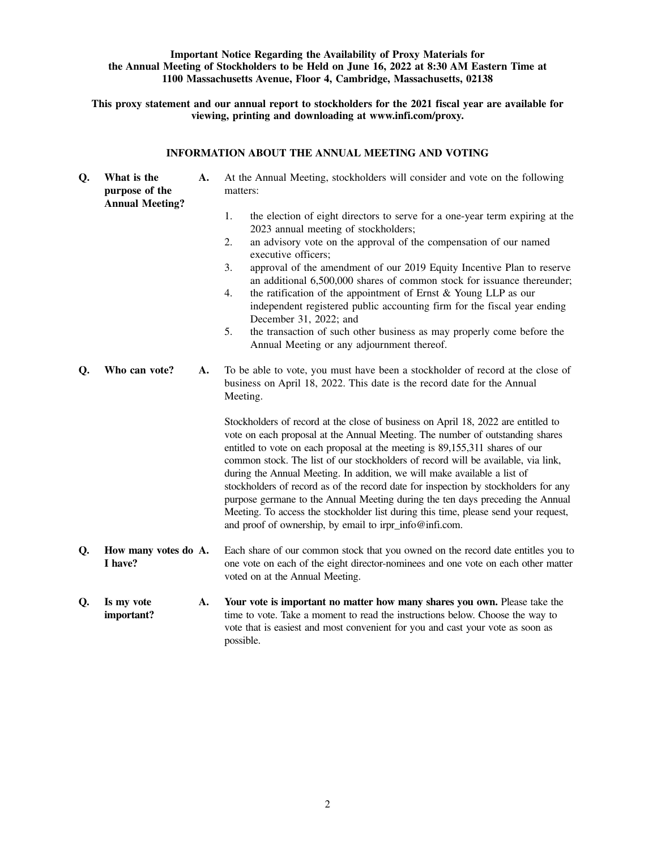## **Important Notice Regarding the Availability of Proxy Materials for the Annual Meeting of Stockholders to be Held on June 16, 2022 at 8:30 AM Eastern Time at 1100 Massachusetts Avenue, Floor 4, Cambridge, Massachusetts, 02138**

**This proxy statement and our annual report to stockholders for the 2021 fiscal year are available for viewing, printing and downloading at www.infi.com/proxy.**

## **INFORMATION ABOUT THE ANNUAL MEETING AND VOTING**

| Q. | What is the<br>purpose of the<br><b>Annual Meeting?</b> | A. | At the Annual Meeting, stockholders will consider and vote on the following<br>matters:                                                                                                                                                                                                                                                                                                                                                                                                                                                                                                                                                                                                                                                        |
|----|---------------------------------------------------------|----|------------------------------------------------------------------------------------------------------------------------------------------------------------------------------------------------------------------------------------------------------------------------------------------------------------------------------------------------------------------------------------------------------------------------------------------------------------------------------------------------------------------------------------------------------------------------------------------------------------------------------------------------------------------------------------------------------------------------------------------------|
|    |                                                         |    | 1.<br>the election of eight directors to serve for a one-year term expiring at the<br>2023 annual meeting of stockholders;<br>2.<br>an advisory vote on the approval of the compensation of our named<br>executive officers;<br>3.<br>approval of the amendment of our 2019 Equity Incentive Plan to reserve<br>an additional 6,500,000 shares of common stock for issuance thereunder;<br>the ratification of the appointment of Ernst $&$ Young LLP as our<br>4.<br>independent registered public accounting firm for the fiscal year ending<br>December 31, 2022; and<br>5.<br>the transaction of such other business as may properly come before the<br>Annual Meeting or any adjournment thereof.                                         |
| Q. | Who can vote?                                           | A. | To be able to vote, you must have been a stockholder of record at the close of<br>business on April 18, 2022. This date is the record date for the Annual<br>Meeting.                                                                                                                                                                                                                                                                                                                                                                                                                                                                                                                                                                          |
|    |                                                         |    | Stockholders of record at the close of business on April 18, 2022 are entitled to<br>vote on each proposal at the Annual Meeting. The number of outstanding shares<br>entitled to vote on each proposal at the meeting is 89,155,311 shares of our<br>common stock. The list of our stockholders of record will be available, via link,<br>during the Annual Meeting. In addition, we will make available a list of<br>stockholders of record as of the record date for inspection by stockholders for any<br>purpose germane to the Annual Meeting during the ten days preceding the Annual<br>Meeting. To access the stockholder list during this time, please send your request,<br>and proof of ownership, by email to irpr_info@infi.com. |
| Q. | How many votes do A.<br>I have?                         |    | Each share of our common stock that you owned on the record date entitles you to<br>one vote on each of the eight director-nominees and one vote on each other matter<br>voted on at the Annual Meeting.                                                                                                                                                                                                                                                                                                                                                                                                                                                                                                                                       |
| Q. | Is my vote<br>important?                                | A. | Your vote is important no matter how many shares you own. Please take the<br>time to vote. Take a moment to read the instructions below. Choose the way to<br>vote that is easiest and most convenient for you and cast your vote as soon as<br>possible.                                                                                                                                                                                                                                                                                                                                                                                                                                                                                      |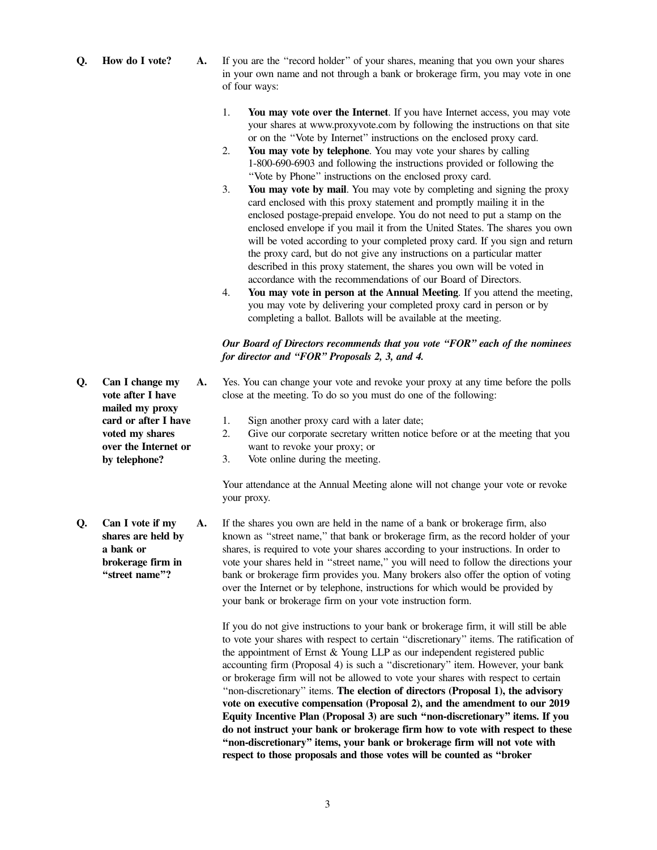- **Q.** How do I vote? A. If you are the "record holder" of your shares, meaning that you own your shares in your own name and not through a bank or brokerage firm, you may vote in one of four ways:
	- 1. **You may vote over the Internet**. If you have Internet access, you may vote your shares at www.proxyvote.com by following the instructions on that site or on the ''Vote by Internet'' instructions on the enclosed proxy card.
	- 2. **You may vote by telephone**. You may vote your shares by calling 1-800-690-6903 and following the instructions provided or following the ''Vote by Phone'' instructions on the enclosed proxy card.
	- 3. **You may vote by mail**. You may vote by completing and signing the proxy card enclosed with this proxy statement and promptly mailing it in the enclosed postage-prepaid envelope. You do not need to put a stamp on the enclosed envelope if you mail it from the United States. The shares you own will be voted according to your completed proxy card. If you sign and return the proxy card, but do not give any instructions on a particular matter described in this proxy statement, the shares you own will be voted in accordance with the recommendations of our Board of Directors.
	- 4. **You may vote in person at the Annual Meeting**. If you attend the meeting, you may vote by delivering your completed proxy card in person or by completing a ballot. Ballots will be available at the meeting.

### *Our Board of Directors recommends that you vote ''FOR'' each of the nominees for director and ''FOR'' Proposals 2, 3, and 4.*

- **A.** Yes. You can change your vote and revoke your proxy at any time before the polls close at the meeting. To do so you must do one of the following:
	- 1. Sign another proxy card with a later date;
	- 2. Give our corporate secretary written notice before or at the meeting that you want to revoke your proxy; or
	- 3. Vote online during the meeting.

Your attendance at the Annual Meeting alone will not change your vote or revoke your proxy.

**shares are held by a bank or brokerage firm in ''street name''? A.** If the shares you own are held in the name of a bank or brokerage firm, also known as ''street name,'' that bank or brokerage firm, as the record holder of your shares, is required to vote your shares according to your instructions. In order to vote your shares held in ''street name,'' you will need to follow the directions your bank or brokerage firm provides you. Many brokers also offer the option of voting over the Internet or by telephone, instructions for which would be provided by your bank or brokerage firm on your vote instruction form.

> If you do not give instructions to your bank or brokerage firm, it will still be able to vote your shares with respect to certain ''discretionary'' items. The ratification of the appointment of Ernst & Young LLP as our independent registered public accounting firm (Proposal 4) is such a ''discretionary'' item. However, your bank or brokerage firm will not be allowed to vote your shares with respect to certain ''non-discretionary'' items. **The election of directors (Proposal 1), the advisory vote on executive compensation (Proposal 2), and the amendment to our 2019 Equity Incentive Plan (Proposal 3) are such ''non-discretionary'' items. If you do not instruct your bank or brokerage firm how to vote with respect to these ''non-discretionary'' items, your bank or brokerage firm will not vote with respect to those proposals and those votes will be counted as ''broker**

**Q. Can I change my vote after I have mailed my proxy card or after I have voted my shares over the Internet or by telephone?**

**Q. Can I vote if my**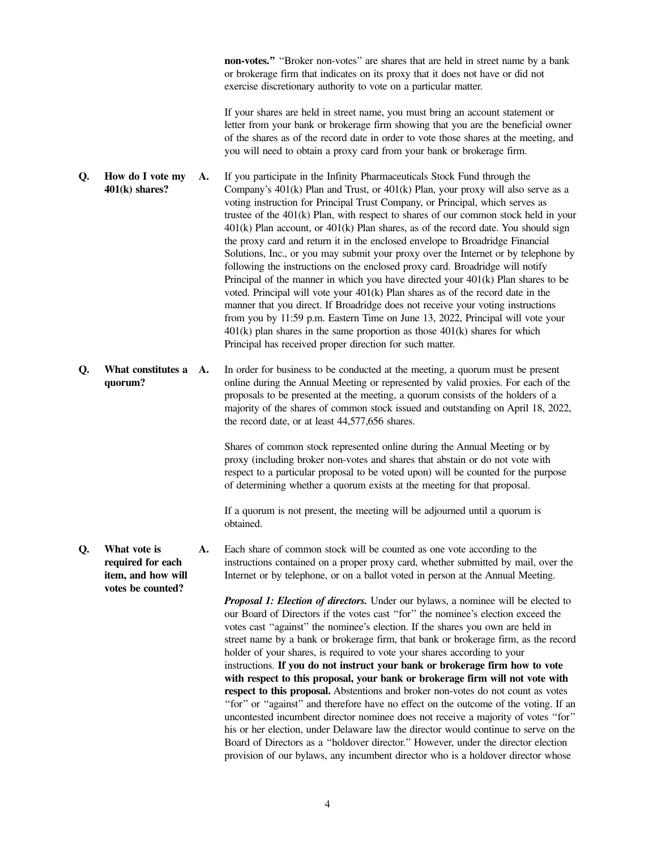**non-votes."** "Broker non-votes" are shares that are held in street name by a bank or brokerage firm that indicates on its proxy that it does not have or did not exercise discretionary authority to vote on a particular matter.

If your shares are held in street name, you must bring an account statement or letter from your bank or brokerage firm showing that you are the beneficial owner of the shares as of the record date in order to vote those shares at the meeting, and you will need to obtain a proxy card from your bank or brokerage firm.

- **Q. How do I vote my 401(k) shares? A.** If you participate in the Infinity Pharmaceuticals Stock Fund through the Company's  $401(k)$  Plan and Trust, or  $401(k)$  Plan, your proxy will also serve as a voting instruction for Principal Trust Company, or Principal, which serves as trustee of the 401(k) Plan, with respect to shares of our common stock held in your 401(k) Plan account, or 401(k) Plan shares, as of the record date. You should sign the proxy card and return it in the enclosed envelope to Broadridge Financial Solutions, Inc., or you may submit your proxy over the Internet or by telephone by following the instructions on the enclosed proxy card. Broadridge will notify Principal of the manner in which you have directed your 401(k) Plan shares to be voted. Principal will vote your 401(k) Plan shares as of the record date in the manner that you direct. If Broadridge does not receive your voting instructions from you by 11:59 p.m. Eastern Time on June 13, 2022, Principal will vote your  $401(k)$  plan shares in the same proportion as those  $401(k)$  shares for which Principal has received proper direction for such matter.
- **Q. What constitutes a quorum? A.** In order for business to be conducted at the meeting, a quorum must be present online during the Annual Meeting or represented by valid proxies. For each of the proposals to be presented at the meeting, a quorum consists of the holders of a majority of the shares of common stock issued and outstanding on April 18, 2022, the record date, or at least 44,577,656 shares.

Shares of common stock represented online during the Annual Meeting or by proxy (including broker non-votes and shares that abstain or do not vote with respect to a particular proposal to be voted upon) will be counted for the purpose of determining whether a quorum exists at the meeting for that proposal.

If a quorum is not present, the meeting will be adjourned until a quorum is obtained.

**Q. What vote is required for each item, and how will A.** Each share of common stock will be counted as one vote according to the instructions contained on a proper proxy card, whether submitted by mail, over the Internet or by telephone, or on a ballot voted in person at the Annual Meeting.

> *Proposal 1: Election of directors.* Under our bylaws, a nominee will be elected to our Board of Directors if the votes cast ''for'' the nominee's election exceed the votes cast ''against'' the nominee's election. If the shares you own are held in street name by a bank or brokerage firm, that bank or brokerage firm, as the record holder of your shares, is required to vote your shares according to your instructions. **If you do not instruct your bank or brokerage firm how to vote with respect to this proposal, your bank or brokerage firm will not vote with respect to this proposal.** Abstentions and broker non-votes do not count as votes ''for'' or ''against'' and therefore have no effect on the outcome of the voting. If an uncontested incumbent director nominee does not receive a majority of votes ''for'' his or her election, under Delaware law the director would continue to serve on the Board of Directors as a ''holdover director.'' However, under the director election provision of our bylaws, any incumbent director who is a holdover director whose

**votes be counted?**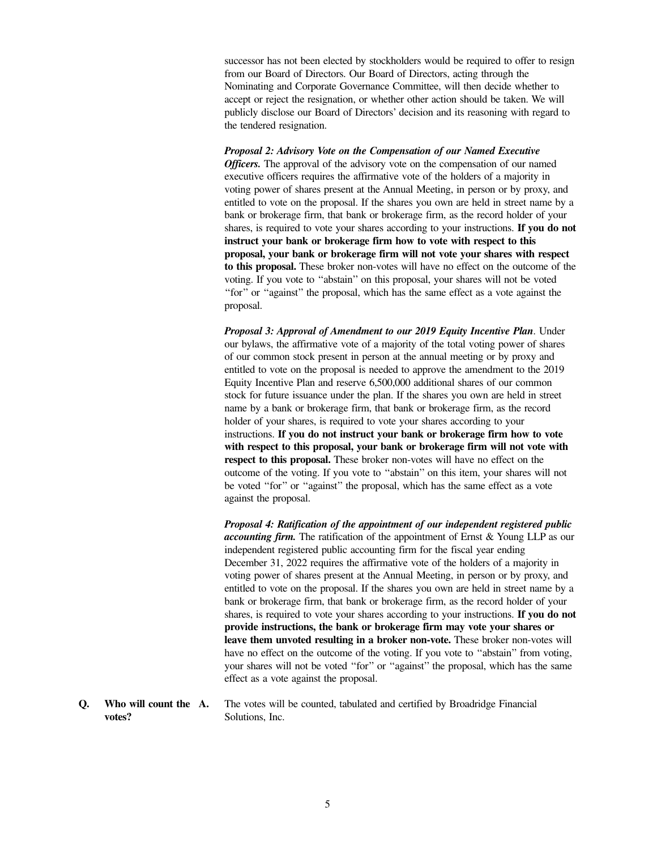successor has not been elected by stockholders would be required to offer to resign from our Board of Directors. Our Board of Directors, acting through the Nominating and Corporate Governance Committee, will then decide whether to accept or reject the resignation, or whether other action should be taken. We will publicly disclose our Board of Directors' decision and its reasoning with regard to the tendered resignation.

*Proposal 2: Advisory Vote on the Compensation of our Named Executive Officers*. The approval of the advisory vote on the compensation of our named executive officers requires the affirmative vote of the holders of a majority in voting power of shares present at the Annual Meeting, in person or by proxy, and entitled to vote on the proposal. If the shares you own are held in street name by a bank or brokerage firm, that bank or brokerage firm, as the record holder of your shares, is required to vote your shares according to your instructions. **If you do not instruct your bank or brokerage firm how to vote with respect to this proposal, your bank or brokerage firm will not vote your shares with respect to this proposal.** These broker non-votes will have no effect on the outcome of the voting. If you vote to ''abstain'' on this proposal, your shares will not be voted ''for'' or ''against'' the proposal, which has the same effect as a vote against the proposal.

*Proposal 3: Approval of Amendment to our 2019 Equity Incentive Plan*. Under our bylaws, the affirmative vote of a majority of the total voting power of shares of our common stock present in person at the annual meeting or by proxy and entitled to vote on the proposal is needed to approve the amendment to the 2019 Equity Incentive Plan and reserve 6,500,000 additional shares of our common stock for future issuance under the plan. If the shares you own are held in street name by a bank or brokerage firm, that bank or brokerage firm, as the record holder of your shares, is required to vote your shares according to your instructions. **If you do not instruct your bank or brokerage firm how to vote with respect to this proposal, your bank or brokerage firm will not vote with respect to this proposal.** These broker non-votes will have no effect on the outcome of the voting. If you vote to ''abstain'' on this item, your shares will not be voted ''for'' or ''against'' the proposal, which has the same effect as a vote against the proposal.

*Proposal 4: Ratification of the appointment of our independent registered public accounting firm.* The ratification of the appointment of Ernst & Young LLP as our independent registered public accounting firm for the fiscal year ending December 31, 2022 requires the affirmative vote of the holders of a majority in voting power of shares present at the Annual Meeting, in person or by proxy, and entitled to vote on the proposal. If the shares you own are held in street name by a bank or brokerage firm, that bank or brokerage firm, as the record holder of your shares, is required to vote your shares according to your instructions. **If you do not provide instructions, the bank or brokerage firm may vote your shares or leave them unvoted resulting in a broker non-vote.** These broker non-votes will have no effect on the outcome of the voting. If you vote to ''abstain'' from voting, your shares will not be voted ''for'' or ''against'' the proposal, which has the same effect as a vote against the proposal.

**Q. Who will count the votes? A.** The votes will be counted, tabulated and certified by Broadridge Financial Solutions, Inc.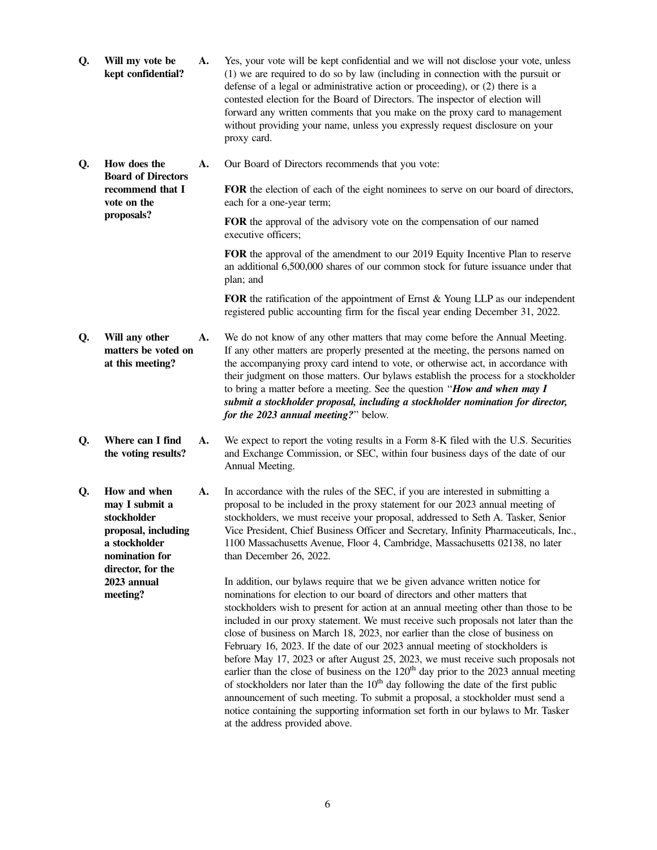| Q. | Will my vote be<br>kept confidential?                                                                                        | A. | Yes, your vote will be kept confidential and we will not disclose your vote, unless<br>(1) we are required to do so by law (including in connection with the pursuit or<br>defense of a legal or administrative action or proceeding), or (2) there is a<br>contested election for the Board of Directors. The inspector of election will<br>forward any written comments that you make on the proxy card to management<br>without providing your name, unless you expressly request disclosure on your<br>proxy card.                                                                                                                                                                                                                                                                                                                                                                                                                                                                           |
|----|------------------------------------------------------------------------------------------------------------------------------|----|--------------------------------------------------------------------------------------------------------------------------------------------------------------------------------------------------------------------------------------------------------------------------------------------------------------------------------------------------------------------------------------------------------------------------------------------------------------------------------------------------------------------------------------------------------------------------------------------------------------------------------------------------------------------------------------------------------------------------------------------------------------------------------------------------------------------------------------------------------------------------------------------------------------------------------------------------------------------------------------------------|
| Q. | How does the<br><b>Board of Directors</b>                                                                                    | А. | Our Board of Directors recommends that you vote:                                                                                                                                                                                                                                                                                                                                                                                                                                                                                                                                                                                                                                                                                                                                                                                                                                                                                                                                                 |
|    | recommend that I<br>vote on the<br>proposals?                                                                                |    | FOR the election of each of the eight nominees to serve on our board of directors,<br>each for a one-year term;                                                                                                                                                                                                                                                                                                                                                                                                                                                                                                                                                                                                                                                                                                                                                                                                                                                                                  |
|    |                                                                                                                              |    | FOR the approval of the advisory vote on the compensation of our named<br>executive officers;                                                                                                                                                                                                                                                                                                                                                                                                                                                                                                                                                                                                                                                                                                                                                                                                                                                                                                    |
|    |                                                                                                                              |    | FOR the approval of the amendment to our 2019 Equity Incentive Plan to reserve<br>an additional 6,500,000 shares of our common stock for future issuance under that<br>plan; and                                                                                                                                                                                                                                                                                                                                                                                                                                                                                                                                                                                                                                                                                                                                                                                                                 |
|    |                                                                                                                              |    | FOR the ratification of the appointment of Ernst & Young LLP as our independent<br>registered public accounting firm for the fiscal year ending December 31, 2022.                                                                                                                                                                                                                                                                                                                                                                                                                                                                                                                                                                                                                                                                                                                                                                                                                               |
| Q. | Will any other<br>matters be voted on<br>at this meeting?                                                                    | A. | We do not know of any other matters that may come before the Annual Meeting.<br>If any other matters are properly presented at the meeting, the persons named on<br>the accompanying proxy card intend to vote, or otherwise act, in accordance with<br>their judgment on those matters. Our bylaws establish the process for a stockholder<br>to bring a matter before a meeting. See the question "How and when may I<br>submit a stockholder proposal, including a stockholder nomination for director,<br>for the 2023 annual meeting?" below.                                                                                                                                                                                                                                                                                                                                                                                                                                               |
| Q. | Where can I find<br>the voting results?                                                                                      | A. | We expect to report the voting results in a Form 8-K filed with the U.S. Securities<br>and Exchange Commission, or SEC, within four business days of the date of our<br>Annual Meeting.                                                                                                                                                                                                                                                                                                                                                                                                                                                                                                                                                                                                                                                                                                                                                                                                          |
| Q. | How and when<br>may I submit a<br>stockholder<br>proposal, including<br>a stockholder<br>nomination for<br>director, for the | A. | In accordance with the rules of the SEC, if you are interested in submitting a<br>proposal to be included in the proxy statement for our 2023 annual meeting of<br>stockholders, we must receive your proposal, addressed to Seth A. Tasker, Senior<br>Vice President, Chief Business Officer and Secretary, Infinity Pharmaceuticals, Inc.<br>1100 Massachusetts Avenue, Floor 4, Cambridge, Massachusetts 02138, no later<br>than December 26, 2022.                                                                                                                                                                                                                                                                                                                                                                                                                                                                                                                                           |
|    | 2023 annual<br>meeting?                                                                                                      |    | In addition, our bylaws require that we be given advance written notice for<br>nominations for election to our board of directors and other matters that<br>stockholders wish to present for action at an annual meeting other than those to be<br>included in our proxy statement. We must receive such proposals not later than the<br>close of business on March 18, 2023, nor earlier than the close of business on<br>February 16, 2023. If the date of our 2023 annual meeting of stockholders is<br>before May 17, 2023 or after August 25, 2023, we must receive such proposals not<br>earlier than the close of business on the 120 <sup>th</sup> day prior to the 2023 annual meeting<br>of stockholders nor later than the $10th$ day following the date of the first public<br>announcement of such meeting. To submit a proposal, a stockholder must send a<br>notice containing the supporting information set forth in our bylaws to Mr. Tasker<br>at the address provided above. |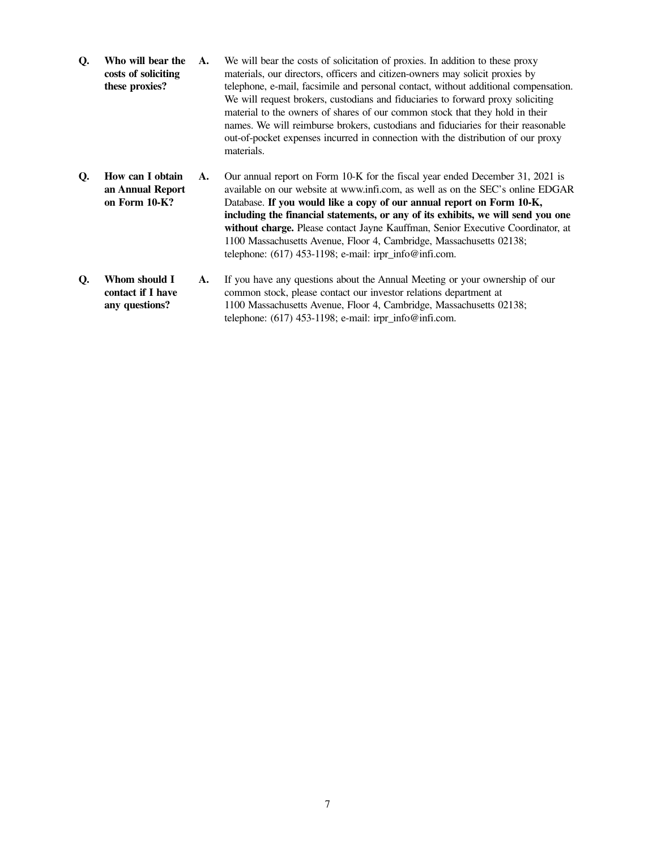| Q. | Who will bear the<br>costs of soliciting<br>these proxies? | A. | We will bear the costs of solicitation of proxies. In addition to these proxy<br>materials, our directors, officers and citizen-owners may solicit proxies by<br>telephone, e-mail, facsimile and personal contact, without additional compensation.<br>We will request brokers, custodians and fiduciaries to forward proxy soliciting<br>material to the owners of shares of our common stock that they hold in their<br>names. We will reimburse brokers, custodians and fiduciaries for their reasonable<br>out-of-pocket expenses incurred in connection with the distribution of our proxy<br>materials. |
|----|------------------------------------------------------------|----|----------------------------------------------------------------------------------------------------------------------------------------------------------------------------------------------------------------------------------------------------------------------------------------------------------------------------------------------------------------------------------------------------------------------------------------------------------------------------------------------------------------------------------------------------------------------------------------------------------------|
| Q. | How can I obtain<br>an Annual Report<br>on Form 10-K?      | A. | Our annual report on Form 10-K for the fiscal year ended December 31, 2021 is<br>available on our website at www.infi.com, as well as on the SEC's online EDGAR<br>Database. If you would like a copy of our annual report on Form 10-K,<br>including the financial statements, or any of its exhibits, we will send you one<br>without charge. Please contact Jayne Kauffman, Senior Executive Coordinator, at<br>1100 Massachusetts Avenue, Floor 4, Cambridge, Massachusetts 02138;<br>telephone: $(617)$ 453-1198; e-mail: irpr_info@infi.com.                                                             |
|    |                                                            |    | 1171 - 1171 - 1170 - 1170 - 1170 - 1171 - 1172 - 1173 - 1174 - 1175 - 1176 - 1177 - 1177 - 1177 - 1177 - 1177 -                                                                                                                                                                                                                                                                                                                                                                                                                                                                                                |

**Q. Whom should I contact if I have any questions? A.** If you have any questions about the Annual Meeting or your ownership of our common stock, please contact our investor relations department at 1100 Massachusetts Avenue, Floor 4, Cambridge, Massachusetts 02138; telephone: (617) 453-1198; e-mail: irpr\_info@infi.com.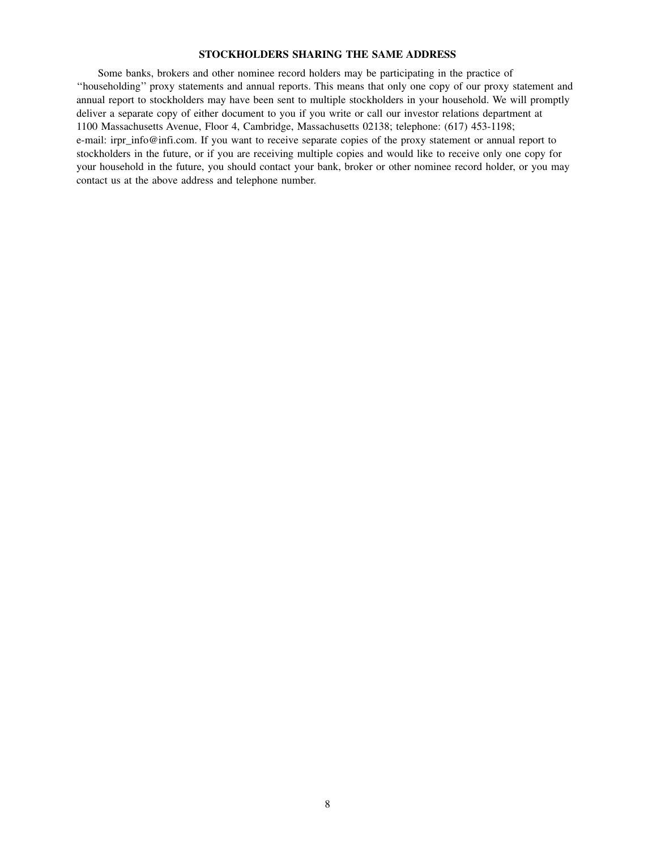### **STOCKHOLDERS SHARING THE SAME ADDRESS**

Some banks, brokers and other nominee record holders may be participating in the practice of ''householding'' proxy statements and annual reports. This means that only one copy of our proxy statement and annual report to stockholders may have been sent to multiple stockholders in your household. We will promptly deliver a separate copy of either document to you if you write or call our investor relations department at 1100 Massachusetts Avenue, Floor 4, Cambridge, Massachusetts 02138; telephone: (617) 453-1198; e-mail: irpr\_info@infi.com. If you want to receive separate copies of the proxy statement or annual report to stockholders in the future, or if you are receiving multiple copies and would like to receive only one copy for your household in the future, you should contact your bank, broker or other nominee record holder, or you may contact us at the above address and telephone number.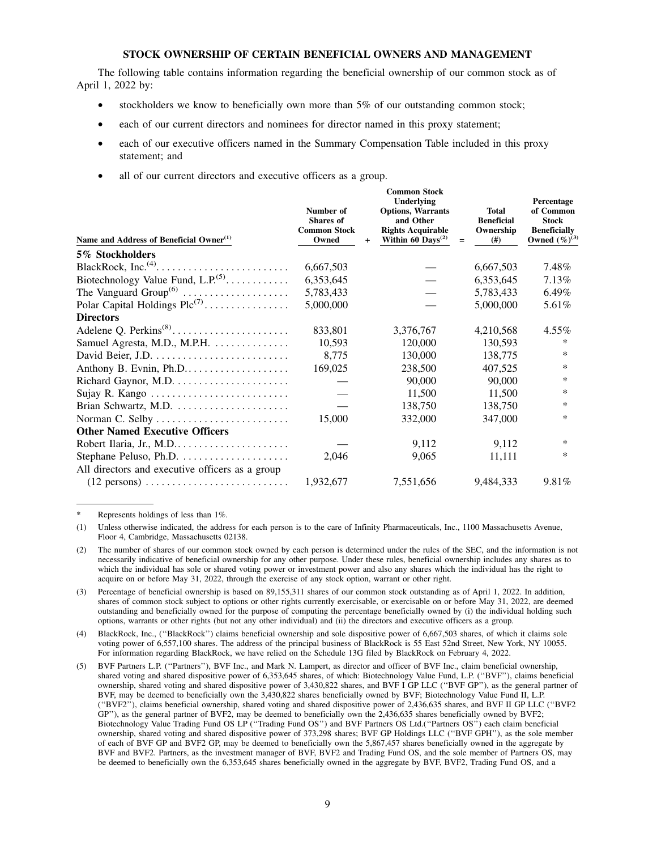### **STOCK OWNERSHIP OF CERTAIN BENEFICIAL OWNERS AND MANAGEMENT**

The following table contains information regarding the beneficial ownership of our common stock as of April 1, 2022 by:

- stockholders we know to beneficially own more than 5% of our outstanding common stock;
- each of our current directors and nominees for director named in this proxy statement;
- each of our executive officers named in the Summary Compensation Table included in this proxy statement; and
- all of our current directors and executive officers as a group.

| Name and Address of Beneficial Owner <sup>(1)</sup>                    | Number of<br><b>Shares</b> of<br><b>Common Stock</b><br>Owned | $\ddot{}$ | <b>Common Stock</b><br>Underlying<br><b>Options, Warrants</b><br>and Other<br><b>Rights Acquirable</b><br>Within 60 $Days^{(2)}$ | $=$ | <b>Total</b><br><b>Beneficial</b><br>Ownership<br>(# ) | Percentage<br>of Common<br><b>Stock</b><br><b>Beneficially</b><br>Owned $(\%)^{(3)}$ |
|------------------------------------------------------------------------|---------------------------------------------------------------|-----------|----------------------------------------------------------------------------------------------------------------------------------|-----|--------------------------------------------------------|--------------------------------------------------------------------------------------|
| 5% Stockholders                                                        |                                                               |           |                                                                                                                                  |     |                                                        |                                                                                      |
|                                                                        | 6,667,503                                                     |           |                                                                                                                                  |     | 6,667,503                                              | 7.48%                                                                                |
| Biotechnology Value Fund, $L.P.^{(5)}$                                 | 6,353,645                                                     |           |                                                                                                                                  |     | 6,353,645                                              | 7.13%                                                                                |
| The Vanguard $Group^{(6)}$                                             | 5,783,433                                                     |           |                                                                                                                                  |     | 5,783,433                                              | 6.49%                                                                                |
| Polar Capital Holdings $Plc^{(7)}$                                     | 5,000,000                                                     |           |                                                                                                                                  |     | 5,000,000                                              | 5.61%                                                                                |
| <b>Directors</b>                                                       |                                                               |           |                                                                                                                                  |     |                                                        |                                                                                      |
| Adelene Q. Perkins <sup>(8)</sup>                                      | 833,801                                                       |           | 3,376,767                                                                                                                        |     | 4,210,568                                              | $4.55\%$                                                                             |
| Samuel Agresta, M.D., M.P.H.                                           | 10,593                                                        |           | 120,000                                                                                                                          |     | 130,593                                                | ∗                                                                                    |
|                                                                        | 8,775                                                         |           | 130,000                                                                                                                          |     | 138,775                                                | ∗                                                                                    |
| Anthony B. Evnin, Ph.D                                                 | 169,025                                                       |           | 238,500                                                                                                                          |     | 407,525                                                | ∗                                                                                    |
|                                                                        |                                                               |           | 90,000                                                                                                                           |     | 90,000                                                 | ∗                                                                                    |
| Sujay R. Kango                                                         |                                                               |           | 11,500                                                                                                                           |     | 11,500                                                 | ∗                                                                                    |
| Brian Schwartz, M.D.                                                   |                                                               |           | 138,750                                                                                                                          |     | 138,750                                                | *                                                                                    |
| Norman C. Selby                                                        | 15,000                                                        |           | 332,000                                                                                                                          |     | 347,000                                                | *                                                                                    |
| <b>Other Named Executive Officers</b>                                  |                                                               |           |                                                                                                                                  |     |                                                        |                                                                                      |
| Robert Ilaria, Jr., M.D                                                |                                                               |           | 9,112                                                                                                                            |     | 9,112                                                  | $\ast$                                                                               |
|                                                                        | 2,046                                                         |           | 9,065                                                                                                                            |     | 11,111                                                 | *                                                                                    |
| All directors and executive officers as a group                        |                                                               |           |                                                                                                                                  |     |                                                        |                                                                                      |
| $(12 \text{ persons}) \dots \dots \dots \dots \dots \dots \dots \dots$ | 1,932,677                                                     |           | 7,551,656                                                                                                                        |     | 9,484,333                                              | 9.81%                                                                                |

Represents holdings of less than 1%.

(1) Unless otherwise indicated, the address for each person is to the care of Infinity Pharmaceuticals, Inc., 1100 Massachusetts Avenue, Floor 4, Cambridge, Massachusetts 02138.

(2) The number of shares of our common stock owned by each person is determined under the rules of the SEC, and the information is not necessarily indicative of beneficial ownership for any other purpose. Under these rules, beneficial ownership includes any shares as to which the individual has sole or shared voting power or investment power and also any shares which the individual has the right to acquire on or before May 31, 2022, through the exercise of any stock option, warrant or other right.

Percentage of beneficial ownership is based on 89,155,311 shares of our common stock outstanding as of April 1, 2022. In addition, shares of common stock subject to options or other rights currently exercisable, or exercisable on or before May 31, 2022, are deemed outstanding and beneficially owned for the purpose of computing the percentage beneficially owned by (i) the individual holding such options, warrants or other rights (but not any other individual) and (ii) the directors and executive officers as a group.

(4) BlackRock, Inc., (''BlackRock'') claims beneficial ownership and sole dispositive power of 6,667,503 shares, of which it claims sole voting power of 6,557,100 shares. The address of the principal business of BlackRock is 55 East 52nd Street, New York, NY 10055. For information regarding BlackRock, we have relied on the Schedule 13G filed by BlackRock on February 4, 2022.

(5) BVF Partners L.P. (''Partners''), BVF Inc., and Mark N. Lampert, as director and officer of BVF Inc., claim beneficial ownership, shared voting and shared dispositive power of 6,353,645 shares, of which: Biotechnology Value Fund, L.P. (''BVF''), claims beneficial ownership, shared voting and shared dispositive power of 3,430,822 shares, and BVF I GP LLC (''BVF GP''), as the general partner of BVF, may be deemed to beneficially own the 3,430,822 shares beneficially owned by BVF; Biotechnology Value Fund II, L.P. (''BVF2''), claims beneficial ownership, shared voting and shared dispositive power of 2,436,635 shares, and BVF II GP LLC (''BVF2 GP''), as the general partner of BVF2, may be deemed to beneficially own the 2,436,635 shares beneficially owned by BVF2; Biotechnology Value Trading Fund OS LP (''Trading Fund OS'') and BVF Partners OS Ltd.(''Partners OS'') each claim beneficial ownership, shared voting and shared dispositive power of 373,298 shares; BVF GP Holdings LLC (''BVF GPH''), as the sole member of each of BVF GP and BVF2 GP, may be deemed to beneficially own the 5,867,457 shares beneficially owned in the aggregate by BVF and BVF2. Partners, as the investment manager of BVF, BVF2 and Trading Fund OS, and the sole member of Partners OS, may be deemed to beneficially own the 6,353,645 shares beneficially owned in the aggregate by BVF, BVF2, Trading Fund OS, and a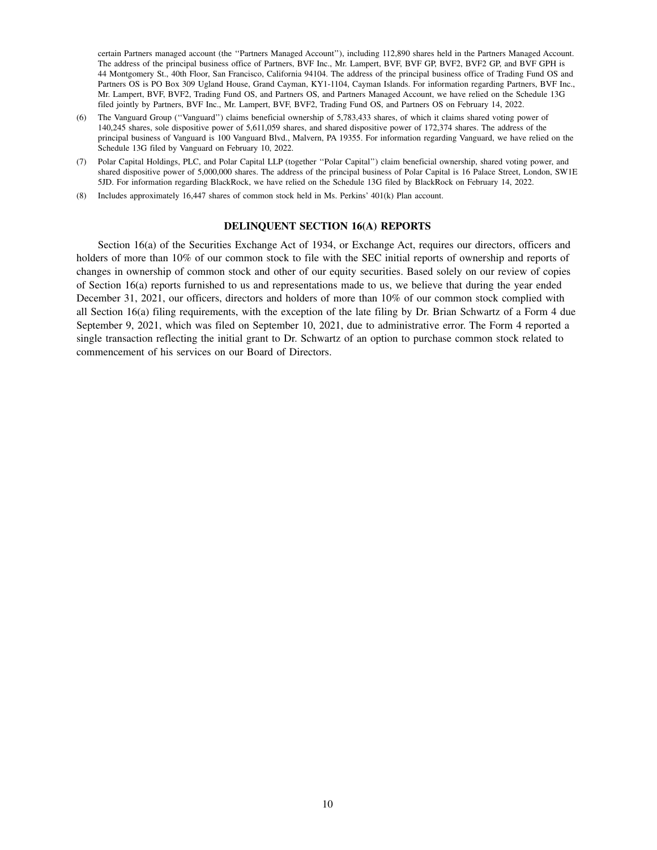certain Partners managed account (the ''Partners Managed Account''), including 112,890 shares held in the Partners Managed Account. The address of the principal business office of Partners, BVF Inc., Mr. Lampert, BVF, BVF GP, BVF2, BVF2 GP, and BVF GPH is 44 Montgomery St., 40th Floor, San Francisco, California 94104. The address of the principal business office of Trading Fund OS and Partners OS is PO Box 309 Ugland House, Grand Cayman, KY1-1104, Cayman Islands. For information regarding Partners, BVF Inc., Mr. Lampert, BVF, BVF2, Trading Fund OS, and Partners OS, and Partners Managed Account, we have relied on the Schedule 13G filed jointly by Partners, BVF Inc., Mr. Lampert, BVF, BVF2, Trading Fund OS, and Partners OS on February 14, 2022.

- (6) The Vanguard Group (''Vanguard'') claims beneficial ownership of 5,783,433 shares, of which it claims shared voting power of 140,245 shares, sole dispositive power of 5,611,059 shares, and shared dispositive power of 172,374 shares. The address of the principal business of Vanguard is 100 Vanguard Blvd., Malvern, PA 19355. For information regarding Vanguard, we have relied on the Schedule 13G filed by Vanguard on February 10, 2022.
- (7) Polar Capital Holdings, PLC, and Polar Capital LLP (together ''Polar Capital'') claim beneficial ownership, shared voting power, and shared dispositive power of 5,000,000 shares. The address of the principal business of Polar Capital is 16 Palace Street, London, SW1E 5JD. For information regarding BlackRock, we have relied on the Schedule 13G filed by BlackRock on February 14, 2022.
- (8) Includes approximately 16,447 shares of common stock held in Ms. Perkins' 401(k) Plan account.

#### **DELINQUENT SECTION 16(A) REPORTS**

Section 16(a) of the Securities Exchange Act of 1934, or Exchange Act, requires our directors, officers and holders of more than 10% of our common stock to file with the SEC initial reports of ownership and reports of changes in ownership of common stock and other of our equity securities. Based solely on our review of copies of Section 16(a) reports furnished to us and representations made to us, we believe that during the year ended December 31, 2021, our officers, directors and holders of more than 10% of our common stock complied with all Section 16(a) filing requirements, with the exception of the late filing by Dr. Brian Schwartz of a Form 4 due September 9, 2021, which was filed on September 10, 2021, due to administrative error. The Form 4 reported a single transaction reflecting the initial grant to Dr. Schwartz of an option to purchase common stock related to commencement of his services on our Board of Directors.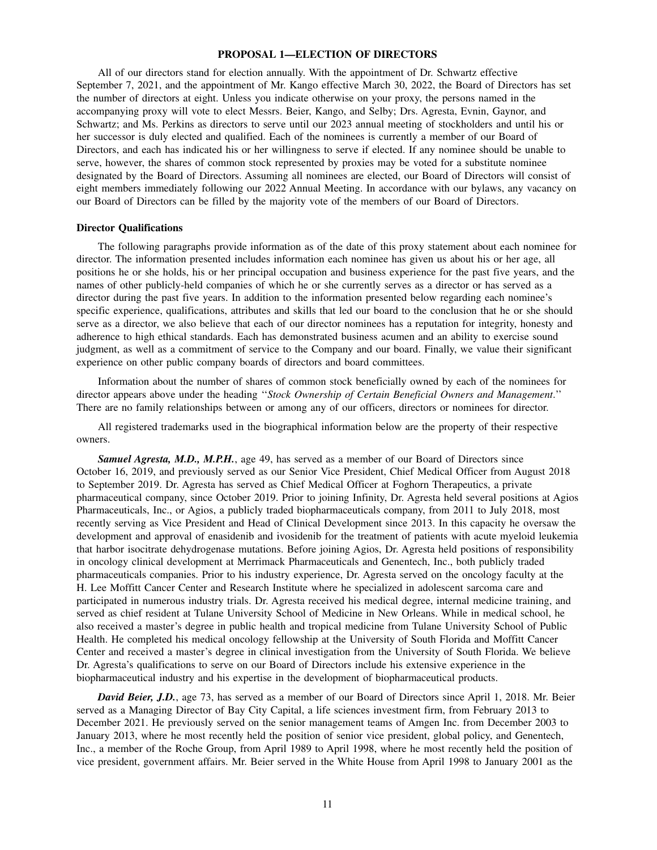### **PROPOSAL 1—ELECTION OF DIRECTORS**

All of our directors stand for election annually. With the appointment of Dr. Schwartz effective September 7, 2021, and the appointment of Mr. Kango effective March 30, 2022, the Board of Directors has set the number of directors at eight. Unless you indicate otherwise on your proxy, the persons named in the accompanying proxy will vote to elect Messrs. Beier, Kango, and Selby; Drs. Agresta, Evnin, Gaynor, and Schwartz; and Ms. Perkins as directors to serve until our 2023 annual meeting of stockholders and until his or her successor is duly elected and qualified. Each of the nominees is currently a member of our Board of Directors, and each has indicated his or her willingness to serve if elected. If any nominee should be unable to serve, however, the shares of common stock represented by proxies may be voted for a substitute nominee designated by the Board of Directors. Assuming all nominees are elected, our Board of Directors will consist of eight members immediately following our 2022 Annual Meeting. In accordance with our bylaws, any vacancy on our Board of Directors can be filled by the majority vote of the members of our Board of Directors.

#### **Director Qualifications**

The following paragraphs provide information as of the date of this proxy statement about each nominee for director. The information presented includes information each nominee has given us about his or her age, all positions he or she holds, his or her principal occupation and business experience for the past five years, and the names of other publicly-held companies of which he or she currently serves as a director or has served as a director during the past five years. In addition to the information presented below regarding each nominee's specific experience, qualifications, attributes and skills that led our board to the conclusion that he or she should serve as a director, we also believe that each of our director nominees has a reputation for integrity, honesty and adherence to high ethical standards. Each has demonstrated business acumen and an ability to exercise sound judgment, as well as a commitment of service to the Company and our board. Finally, we value their significant experience on other public company boards of directors and board committees.

Information about the number of shares of common stock beneficially owned by each of the nominees for director appears above under the heading ''*Stock Ownership of Certain Beneficial Owners and Management*.'' There are no family relationships between or among any of our officers, directors or nominees for director.

All registered trademarks used in the biographical information below are the property of their respective owners.

*Samuel Agresta, M.D., M.P.H.*, age 49, has served as a member of our Board of Directors since October 16, 2019, and previously served as our Senior Vice President, Chief Medical Officer from August 2018 to September 2019. Dr. Agresta has served as Chief Medical Officer at Foghorn Therapeutics, a private pharmaceutical company, since October 2019. Prior to joining Infinity, Dr. Agresta held several positions at Agios Pharmaceuticals, Inc., or Agios, a publicly traded biopharmaceuticals company, from 2011 to July 2018, most recently serving as Vice President and Head of Clinical Development since 2013. In this capacity he oversaw the development and approval of enasidenib and ivosidenib for the treatment of patients with acute myeloid leukemia that harbor isocitrate dehydrogenase mutations. Before joining Agios, Dr. Agresta held positions of responsibility in oncology clinical development at Merrimack Pharmaceuticals and Genentech, Inc., both publicly traded pharmaceuticals companies. Prior to his industry experience, Dr. Agresta served on the oncology faculty at the H. Lee Moffitt Cancer Center and Research Institute where he specialized in adolescent sarcoma care and participated in numerous industry trials. Dr. Agresta received his medical degree, internal medicine training, and served as chief resident at Tulane University School of Medicine in New Orleans. While in medical school, he also received a master's degree in public health and tropical medicine from Tulane University School of Public Health. He completed his medical oncology fellowship at the University of South Florida and Moffitt Cancer Center and received a master's degree in clinical investigation from the University of South Florida. We believe Dr. Agresta's qualifications to serve on our Board of Directors include his extensive experience in the biopharmaceutical industry and his expertise in the development of biopharmaceutical products.

*David Beier, J.D.*, age 73, has served as a member of our Board of Directors since April 1, 2018. Mr. Beier served as a Managing Director of Bay City Capital, a life sciences investment firm, from February 2013 to December 2021. He previously served on the senior management teams of Amgen Inc. from December 2003 to January 2013, where he most recently held the position of senior vice president, global policy, and Genentech, Inc., a member of the Roche Group, from April 1989 to April 1998, where he most recently held the position of vice president, government affairs. Mr. Beier served in the White House from April 1998 to January 2001 as the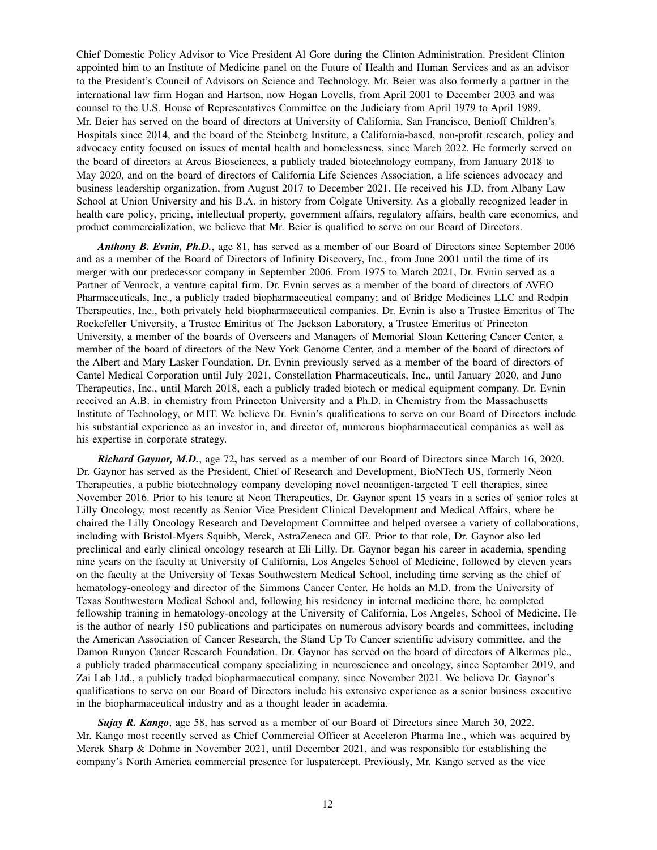Chief Domestic Policy Advisor to Vice President Al Gore during the Clinton Administration. President Clinton appointed him to an Institute of Medicine panel on the Future of Health and Human Services and as an advisor to the President's Council of Advisors on Science and Technology. Mr. Beier was also formerly a partner in the international law firm Hogan and Hartson, now Hogan Lovells, from April 2001 to December 2003 and was counsel to the U.S. House of Representatives Committee on the Judiciary from April 1979 to April 1989. Mr. Beier has served on the board of directors at University of California, San Francisco, Benioff Children's Hospitals since 2014, and the board of the Steinberg Institute, a California-based, non-profit research, policy and advocacy entity focused on issues of mental health and homelessness, since March 2022. He formerly served on the board of directors at Arcus Biosciences, a publicly traded biotechnology company, from January 2018 to May 2020, and on the board of directors of California Life Sciences Association, a life sciences advocacy and business leadership organization, from August 2017 to December 2021. He received his J.D. from Albany Law School at Union University and his B.A. in history from Colgate University. As a globally recognized leader in health care policy, pricing, intellectual property, government affairs, regulatory affairs, health care economics, and product commercialization, we believe that Mr. Beier is qualified to serve on our Board of Directors.

*Anthony B. Evnin, Ph.D.*, age 81, has served as a member of our Board of Directors since September 2006 and as a member of the Board of Directors of Infinity Discovery, Inc., from June 2001 until the time of its merger with our predecessor company in September 2006. From 1975 to March 2021, Dr. Evnin served as a Partner of Venrock, a venture capital firm. Dr. Evnin serves as a member of the board of directors of AVEO Pharmaceuticals, Inc., a publicly traded biopharmaceutical company; and of Bridge Medicines LLC and Redpin Therapeutics, Inc., both privately held biopharmaceutical companies. Dr. Evnin is also a Trustee Emeritus of The Rockefeller University, a Trustee Emiritus of The Jackson Laboratory, a Trustee Emeritus of Princeton University, a member of the boards of Overseers and Managers of Memorial Sloan Kettering Cancer Center, a member of the board of directors of the New York Genome Center, and a member of the board of directors of the Albert and Mary Lasker Foundation. Dr. Evnin previously served as a member of the board of directors of Cantel Medical Corporation until July 2021, Constellation Pharmaceuticals, Inc., until January 2020, and Juno Therapeutics, Inc., until March 2018, each a publicly traded biotech or medical equipment company. Dr. Evnin received an A.B. in chemistry from Princeton University and a Ph.D. in Chemistry from the Massachusetts Institute of Technology, or MIT. We believe Dr. Evnin's qualifications to serve on our Board of Directors include his substantial experience as an investor in, and director of, numerous biopharmaceutical companies as well as his expertise in corporate strategy.

*Richard Gaynor, M.D.*, age 72**,** has served as a member of our Board of Directors since March 16, 2020. Dr. Gaynor has served as the President, Chief of Research and Development, BioNTech US, formerly Neon Therapeutics, a public biotechnology company developing novel neoantigen-targeted T cell therapies, since November 2016. Prior to his tenure at Neon Therapeutics, Dr. Gaynor spent 15 years in a series of senior roles at Lilly Oncology, most recently as Senior Vice President Clinical Development and Medical Affairs, where he chaired the Lilly Oncology Research and Development Committee and helped oversee a variety of collaborations, including with Bristol-Myers Squibb, Merck, AstraZeneca and GE. Prior to that role, Dr. Gaynor also led preclinical and early clinical oncology research at Eli Lilly. Dr. Gaynor began his career in academia, spending nine years on the faculty at University of California, Los Angeles School of Medicine, followed by eleven years on the faculty at the University of Texas Southwestern Medical School, including time serving as the chief of hematology-oncology and director of the Simmons Cancer Center. He holds an M.D. from the University of Texas Southwestern Medical School and, following his residency in internal medicine there, he completed fellowship training in hematology-oncology at the University of California, Los Angeles, School of Medicine. He is the author of nearly 150 publications and participates on numerous advisory boards and committees, including the American Association of Cancer Research, the Stand Up To Cancer scientific advisory committee, and the Damon Runyon Cancer Research Foundation. Dr. Gaynor has served on the board of directors of Alkermes plc., a publicly traded pharmaceutical company specializing in neuroscience and oncology, since September 2019, and Zai Lab Ltd., a publicly traded biopharmaceutical company, since November 2021. We believe Dr. Gaynor's qualifications to serve on our Board of Directors include his extensive experience as a senior business executive in the biopharmaceutical industry and as a thought leader in academia.

*Sujay R. Kango*, age 58, has served as a member of our Board of Directors since March 30, 2022. Mr. Kango most recently served as Chief Commercial Officer at Acceleron Pharma Inc., which was acquired by Merck Sharp & Dohme in November 2021, until December 2021, and was responsible for establishing the company's North America commercial presence for luspatercept. Previously, Mr. Kango served as the vice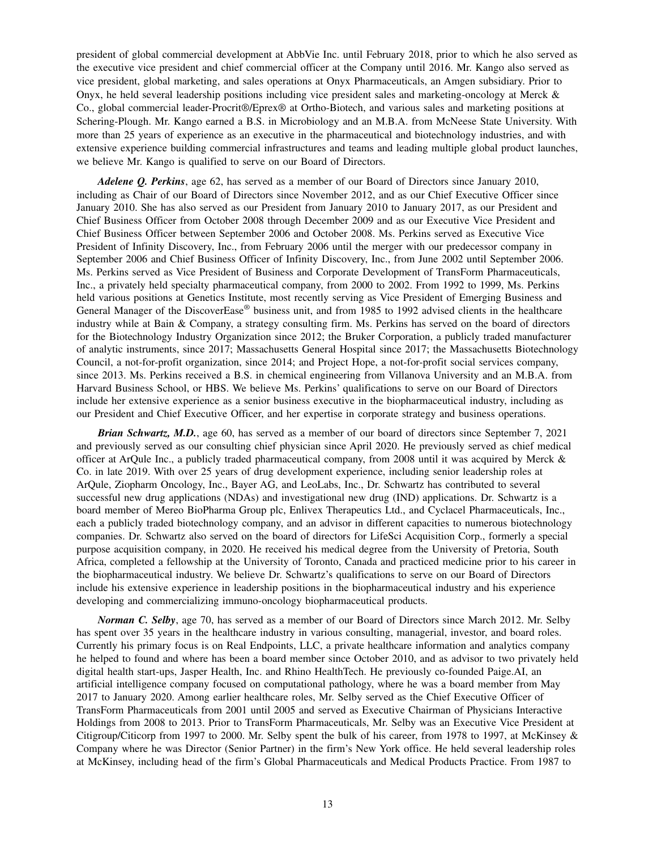president of global commercial development at AbbVie Inc. until February 2018, prior to which he also served as the executive vice president and chief commercial officer at the Company until 2016. Mr. Kango also served as vice president, global marketing, and sales operations at Onyx Pharmaceuticals, an Amgen subsidiary. Prior to Onyx, he held several leadership positions including vice president sales and marketing-oncology at Merck & Co., global commercial leader-Procrit®/Eprex® at Ortho-Biotech, and various sales and marketing positions at Schering-Plough. Mr. Kango earned a B.S. in Microbiology and an M.B.A. from McNeese State University. With more than 25 years of experience as an executive in the pharmaceutical and biotechnology industries, and with extensive experience building commercial infrastructures and teams and leading multiple global product launches, we believe Mr. Kango is qualified to serve on our Board of Directors.

*Adelene Q. Perkins*, age 62, has served as a member of our Board of Directors since January 2010, including as Chair of our Board of Directors since November 2012, and as our Chief Executive Officer since January 2010. She has also served as our President from January 2010 to January 2017, as our President and Chief Business Officer from October 2008 through December 2009 and as our Executive Vice President and Chief Business Officer between September 2006 and October 2008. Ms. Perkins served as Executive Vice President of Infinity Discovery, Inc., from February 2006 until the merger with our predecessor company in September 2006 and Chief Business Officer of Infinity Discovery, Inc., from June 2002 until September 2006. Ms. Perkins served as Vice President of Business and Corporate Development of TransForm Pharmaceuticals, Inc., a privately held specialty pharmaceutical company, from 2000 to 2002. From 1992 to 1999, Ms. Perkins held various positions at Genetics Institute, most recently serving as Vice President of Emerging Business and General Manager of the DiscoverEase® business unit, and from 1985 to 1992 advised clients in the healthcare industry while at Bain & Company, a strategy consulting firm. Ms. Perkins has served on the board of directors for the Biotechnology Industry Organization since 2012; the Bruker Corporation, a publicly traded manufacturer of analytic instruments, since 2017; Massachusetts General Hospital since 2017; the Massachusetts Biotechnology Council, a not-for-profit organization, since 2014; and Project Hope, a not-for-profit social services company, since 2013. Ms. Perkins received a B.S. in chemical engineering from Villanova University and an M.B.A. from Harvard Business School, or HBS. We believe Ms. Perkins' qualifications to serve on our Board of Directors include her extensive experience as a senior business executive in the biopharmaceutical industry, including as our President and Chief Executive Officer, and her expertise in corporate strategy and business operations.

*Brian Schwartz, M.D.*, age 60, has served as a member of our board of directors since September 7, 2021 and previously served as our consulting chief physician since April 2020. He previously served as chief medical officer at ArQule Inc., a publicly traded pharmaceutical company, from 2008 until it was acquired by Merck & Co. in late 2019. With over 25 years of drug development experience, including senior leadership roles at ArQule, Ziopharm Oncology, Inc., Bayer AG, and LeoLabs, Inc., Dr. Schwartz has contributed to several successful new drug applications (NDAs) and investigational new drug (IND) applications. Dr. Schwartz is a board member of Mereo BioPharma Group plc, Enlivex Therapeutics Ltd., and Cyclacel Pharmaceuticals, Inc., each a publicly traded biotechnology company, and an advisor in different capacities to numerous biotechnology companies. Dr. Schwartz also served on the board of directors for LifeSci Acquisition Corp., formerly a special purpose acquisition company, in 2020. He received his medical degree from the University of Pretoria, South Africa, completed a fellowship at the University of Toronto, Canada and practiced medicine prior to his career in the biopharmaceutical industry. We believe Dr. Schwartz's qualifications to serve on our Board of Directors include his extensive experience in leadership positions in the biopharmaceutical industry and his experience developing and commercializing immuno-oncology biopharmaceutical products.

*Norman C. Selby*, age 70, has served as a member of our Board of Directors since March 2012. Mr. Selby has spent over 35 years in the healthcare industry in various consulting, managerial, investor, and board roles. Currently his primary focus is on Real Endpoints, LLC, a private healthcare information and analytics company he helped to found and where has been a board member since October 2010, and as advisor to two privately held digital health start-ups, Jasper Health, Inc. and Rhino HealthTech. He previously co-founded Paige.AI, an artificial intelligence company focused on computational pathology, where he was a board member from May 2017 to January 2020. Among earlier healthcare roles, Mr. Selby served as the Chief Executive Officer of TransForm Pharmaceuticals from 2001 until 2005 and served as Executive Chairman of Physicians Interactive Holdings from 2008 to 2013. Prior to TransForm Pharmaceuticals, Mr. Selby was an Executive Vice President at Citigroup/Citicorp from 1997 to 2000. Mr. Selby spent the bulk of his career, from 1978 to 1997, at McKinsey & Company where he was Director (Senior Partner) in the firm's New York office. He held several leadership roles at McKinsey, including head of the firm's Global Pharmaceuticals and Medical Products Practice. From 1987 to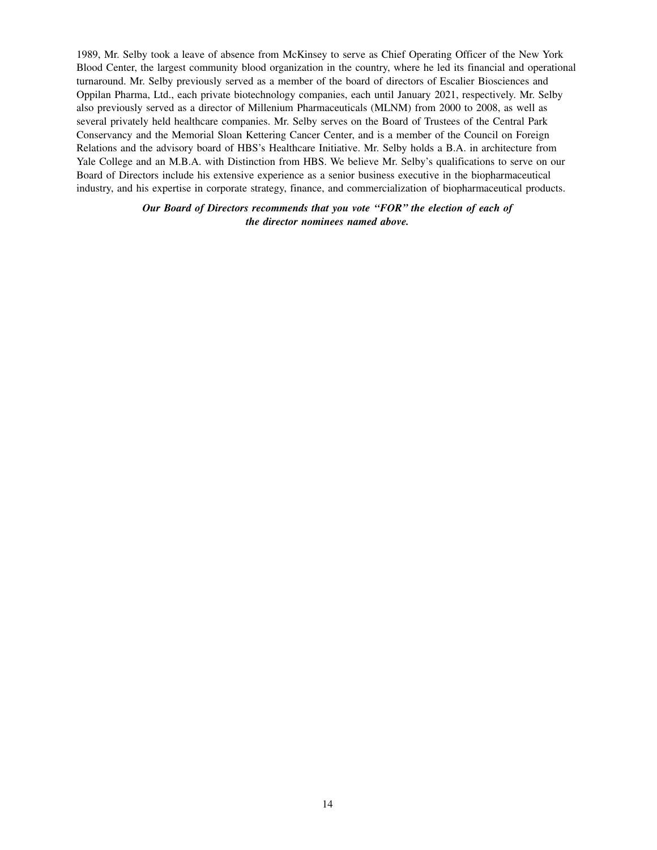1989, Mr. Selby took a leave of absence from McKinsey to serve as Chief Operating Officer of the New York Blood Center, the largest community blood organization in the country, where he led its financial and operational turnaround. Mr. Selby previously served as a member of the board of directors of Escalier Biosciences and Oppilan Pharma, Ltd., each private biotechnology companies, each until January 2021, respectively. Mr. Selby also previously served as a director of Millenium Pharmaceuticals (MLNM) from 2000 to 2008, as well as several privately held healthcare companies. Mr. Selby serves on the Board of Trustees of the Central Park Conservancy and the Memorial Sloan Kettering Cancer Center, and is a member of the Council on Foreign Relations and the advisory board of HBS's Healthcare Initiative. Mr. Selby holds a B.A. in architecture from Yale College and an M.B.A. with Distinction from HBS. We believe Mr. Selby's qualifications to serve on our Board of Directors include his extensive experience as a senior business executive in the biopharmaceutical industry, and his expertise in corporate strategy, finance, and commercialization of biopharmaceutical products.

> *Our Board of Directors recommends that you vote ''FOR'' the election of each of the director nominees named above.*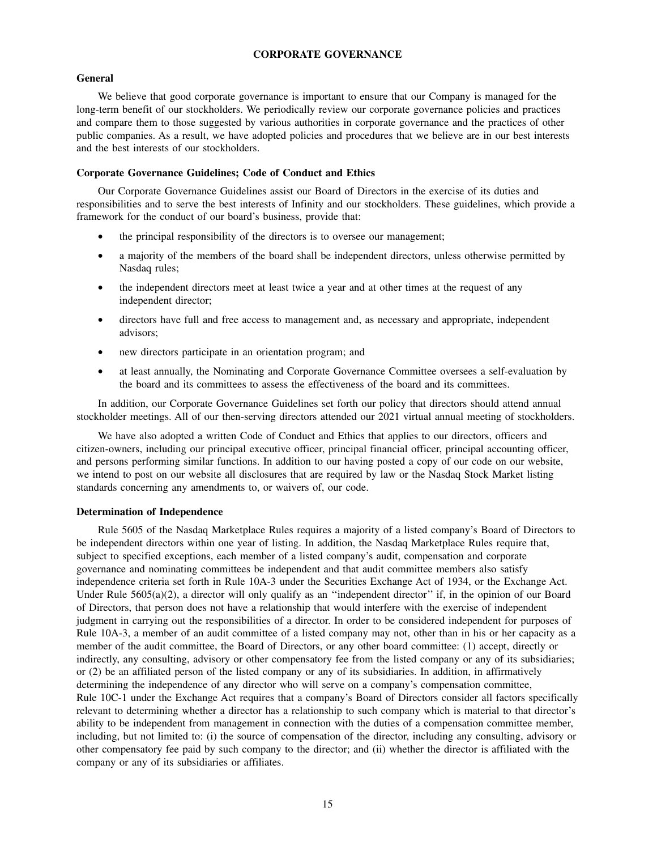### **CORPORATE GOVERNANCE**

#### **General**

We believe that good corporate governance is important to ensure that our Company is managed for the long-term benefit of our stockholders. We periodically review our corporate governance policies and practices and compare them to those suggested by various authorities in corporate governance and the practices of other public companies. As a result, we have adopted policies and procedures that we believe are in our best interests and the best interests of our stockholders.

#### **Corporate Governance Guidelines; Code of Conduct and Ethics**

Our Corporate Governance Guidelines assist our Board of Directors in the exercise of its duties and responsibilities and to serve the best interests of Infinity and our stockholders. These guidelines, which provide a framework for the conduct of our board's business, provide that:

- the principal responsibility of the directors is to oversee our management;
- a majority of the members of the board shall be independent directors, unless otherwise permitted by Nasdaq rules;
- the independent directors meet at least twice a year and at other times at the request of any independent director;
- directors have full and free access to management and, as necessary and appropriate, independent advisors;
- new directors participate in an orientation program; and
- at least annually, the Nominating and Corporate Governance Committee oversees a self-evaluation by the board and its committees to assess the effectiveness of the board and its committees.

In addition, our Corporate Governance Guidelines set forth our policy that directors should attend annual stockholder meetings. All of our then-serving directors attended our 2021 virtual annual meeting of stockholders.

We have also adopted a written Code of Conduct and Ethics that applies to our directors, officers and citizen-owners, including our principal executive officer, principal financial officer, principal accounting officer, and persons performing similar functions. In addition to our having posted a copy of our code on our website, we intend to post on our website all disclosures that are required by law or the Nasdaq Stock Market listing standards concerning any amendments to, or waivers of, our code.

### **Determination of Independence**

Rule 5605 of the Nasdaq Marketplace Rules requires a majority of a listed company's Board of Directors to be independent directors within one year of listing. In addition, the Nasdaq Marketplace Rules require that, subject to specified exceptions, each member of a listed company's audit, compensation and corporate governance and nominating committees be independent and that audit committee members also satisfy independence criteria set forth in Rule 10A-3 under the Securities Exchange Act of 1934, or the Exchange Act. Under Rule 5605(a)(2), a director will only qualify as an "independent director" if, in the opinion of our Board of Directors, that person does not have a relationship that would interfere with the exercise of independent judgment in carrying out the responsibilities of a director. In order to be considered independent for purposes of Rule 10A-3, a member of an audit committee of a listed company may not, other than in his or her capacity as a member of the audit committee, the Board of Directors, or any other board committee: (1) accept, directly or indirectly, any consulting, advisory or other compensatory fee from the listed company or any of its subsidiaries; or (2) be an affiliated person of the listed company or any of its subsidiaries. In addition, in affirmatively determining the independence of any director who will serve on a company's compensation committee, Rule 10C-1 under the Exchange Act requires that a company's Board of Directors consider all factors specifically relevant to determining whether a director has a relationship to such company which is material to that director's ability to be independent from management in connection with the duties of a compensation committee member, including, but not limited to: (i) the source of compensation of the director, including any consulting, advisory or other compensatory fee paid by such company to the director; and (ii) whether the director is affiliated with the company or any of its subsidiaries or affiliates.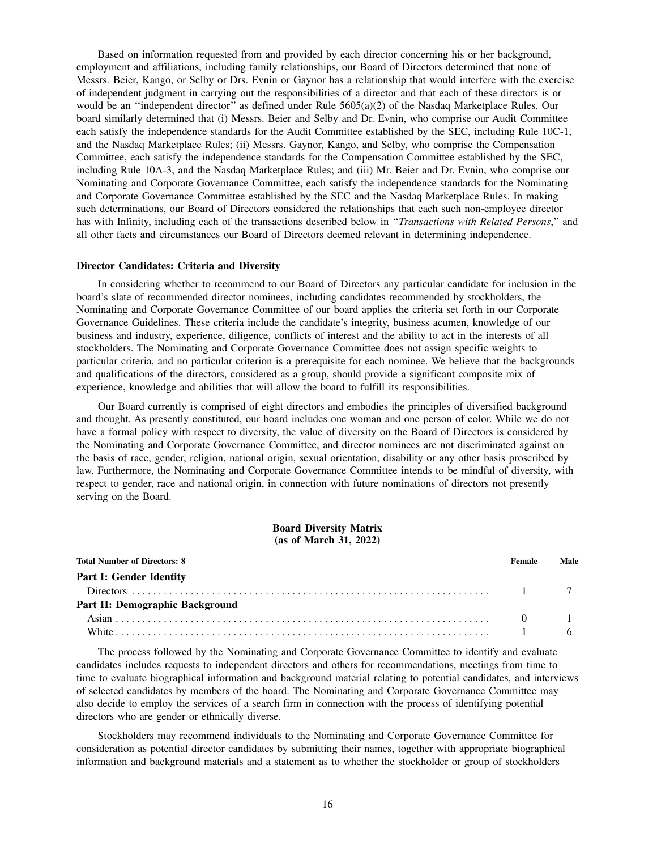Based on information requested from and provided by each director concerning his or her background, employment and affiliations, including family relationships, our Board of Directors determined that none of Messrs. Beier, Kango, or Selby or Drs. Evnin or Gaynor has a relationship that would interfere with the exercise of independent judgment in carrying out the responsibilities of a director and that each of these directors is or would be an "independent director" as defined under Rule 5605(a)(2) of the Nasdaq Marketplace Rules. Our board similarly determined that (i) Messrs. Beier and Selby and Dr. Evnin, who comprise our Audit Committee each satisfy the independence standards for the Audit Committee established by the SEC, including Rule 10C-1, and the Nasdaq Marketplace Rules; (ii) Messrs. Gaynor, Kango, and Selby, who comprise the Compensation Committee, each satisfy the independence standards for the Compensation Committee established by the SEC, including Rule 10A-3, and the Nasdaq Marketplace Rules; and (iii) Mr. Beier and Dr. Evnin, who comprise our Nominating and Corporate Governance Committee, each satisfy the independence standards for the Nominating and Corporate Governance Committee established by the SEC and the Nasdaq Marketplace Rules. In making such determinations, our Board of Directors considered the relationships that each such non-employee director has with Infinity, including each of the transactions described below in ''*Transactions with Related Persons*,'' and all other facts and circumstances our Board of Directors deemed relevant in determining independence.

#### **Director Candidates: Criteria and Diversity**

In considering whether to recommend to our Board of Directors any particular candidate for inclusion in the board's slate of recommended director nominees, including candidates recommended by stockholders, the Nominating and Corporate Governance Committee of our board applies the criteria set forth in our Corporate Governance Guidelines. These criteria include the candidate's integrity, business acumen, knowledge of our business and industry, experience, diligence, conflicts of interest and the ability to act in the interests of all stockholders. The Nominating and Corporate Governance Committee does not assign specific weights to particular criteria, and no particular criterion is a prerequisite for each nominee. We believe that the backgrounds and qualifications of the directors, considered as a group, should provide a significant composite mix of experience, knowledge and abilities that will allow the board to fulfill its responsibilities.

Our Board currently is comprised of eight directors and embodies the principles of diversified background and thought. As presently constituted, our board includes one woman and one person of color. While we do not have a formal policy with respect to diversity, the value of diversity on the Board of Directors is considered by the Nominating and Corporate Governance Committee, and director nominees are not discriminated against on the basis of race, gender, religion, national origin, sexual orientation, disability or any other basis proscribed by law. Furthermore, the Nominating and Corporate Governance Committee intends to be mindful of diversity, with respect to gender, race and national origin, in connection with future nominations of directors not presently serving on the Board.

#### **Board Diversity Matrix (as of March 31, 2022)**

| <b>Total Number of Directors: 8</b> | Female   | Male |
|-------------------------------------|----------|------|
| <b>Part I: Gender Identity</b>      |          |      |
|                                     |          |      |
| Part II: Demographic Background     |          |      |
|                                     | $\theta$ |      |
|                                     |          |      |

The process followed by the Nominating and Corporate Governance Committee to identify and evaluate candidates includes requests to independent directors and others for recommendations, meetings from time to time to evaluate biographical information and background material relating to potential candidates, and interviews of selected candidates by members of the board. The Nominating and Corporate Governance Committee may also decide to employ the services of a search firm in connection with the process of identifying potential directors who are gender or ethnically diverse.

Stockholders may recommend individuals to the Nominating and Corporate Governance Committee for consideration as potential director candidates by submitting their names, together with appropriate biographical information and background materials and a statement as to whether the stockholder or group of stockholders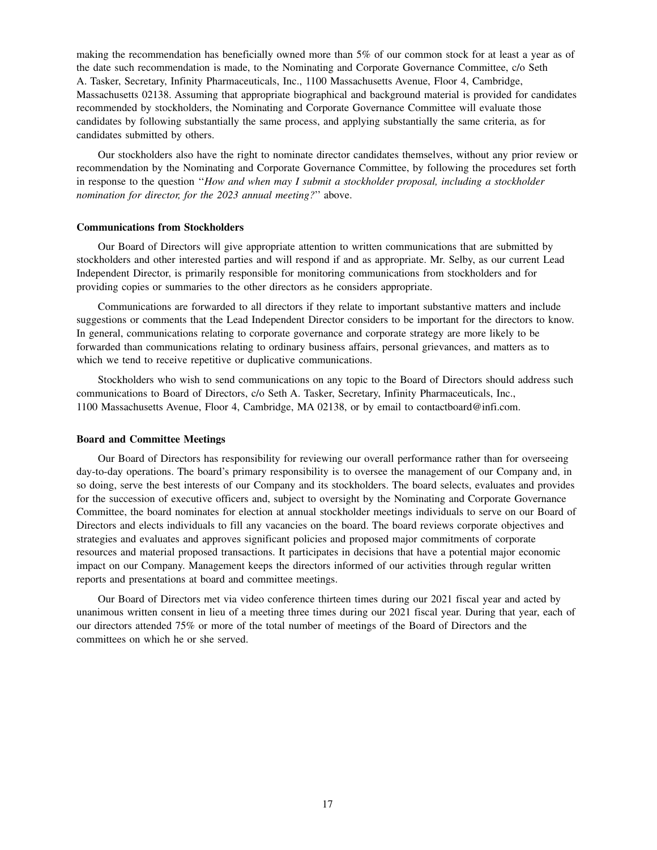making the recommendation has beneficially owned more than 5% of our common stock for at least a year as of the date such recommendation is made, to the Nominating and Corporate Governance Committee, c/o Seth A. Tasker, Secretary, Infinity Pharmaceuticals, Inc., 1100 Massachusetts Avenue, Floor 4, Cambridge, Massachusetts 02138. Assuming that appropriate biographical and background material is provided for candidates recommended by stockholders, the Nominating and Corporate Governance Committee will evaluate those candidates by following substantially the same process, and applying substantially the same criteria, as for candidates submitted by others.

Our stockholders also have the right to nominate director candidates themselves, without any prior review or recommendation by the Nominating and Corporate Governance Committee, by following the procedures set forth in response to the question ''*How and when may I submit a stockholder proposal, including a stockholder nomination for director, for the 2023 annual meeting?*'' above.

#### **Communications from Stockholders**

Our Board of Directors will give appropriate attention to written communications that are submitted by stockholders and other interested parties and will respond if and as appropriate. Mr. Selby, as our current Lead Independent Director, is primarily responsible for monitoring communications from stockholders and for providing copies or summaries to the other directors as he considers appropriate.

Communications are forwarded to all directors if they relate to important substantive matters and include suggestions or comments that the Lead Independent Director considers to be important for the directors to know. In general, communications relating to corporate governance and corporate strategy are more likely to be forwarded than communications relating to ordinary business affairs, personal grievances, and matters as to which we tend to receive repetitive or duplicative communications.

Stockholders who wish to send communications on any topic to the Board of Directors should address such communications to Board of Directors, c/o Seth A. Tasker, Secretary, Infinity Pharmaceuticals, Inc., 1100 Massachusetts Avenue, Floor 4, Cambridge, MA 02138, or by email to contactboard@infi.com.

#### **Board and Committee Meetings**

Our Board of Directors has responsibility for reviewing our overall performance rather than for overseeing day-to-day operations. The board's primary responsibility is to oversee the management of our Company and, in so doing, serve the best interests of our Company and its stockholders. The board selects, evaluates and provides for the succession of executive officers and, subject to oversight by the Nominating and Corporate Governance Committee, the board nominates for election at annual stockholder meetings individuals to serve on our Board of Directors and elects individuals to fill any vacancies on the board. The board reviews corporate objectives and strategies and evaluates and approves significant policies and proposed major commitments of corporate resources and material proposed transactions. It participates in decisions that have a potential major economic impact on our Company. Management keeps the directors informed of our activities through regular written reports and presentations at board and committee meetings.

Our Board of Directors met via video conference thirteen times during our 2021 fiscal year and acted by unanimous written consent in lieu of a meeting three times during our 2021 fiscal year. During that year, each of our directors attended 75% or more of the total number of meetings of the Board of Directors and the committees on which he or she served.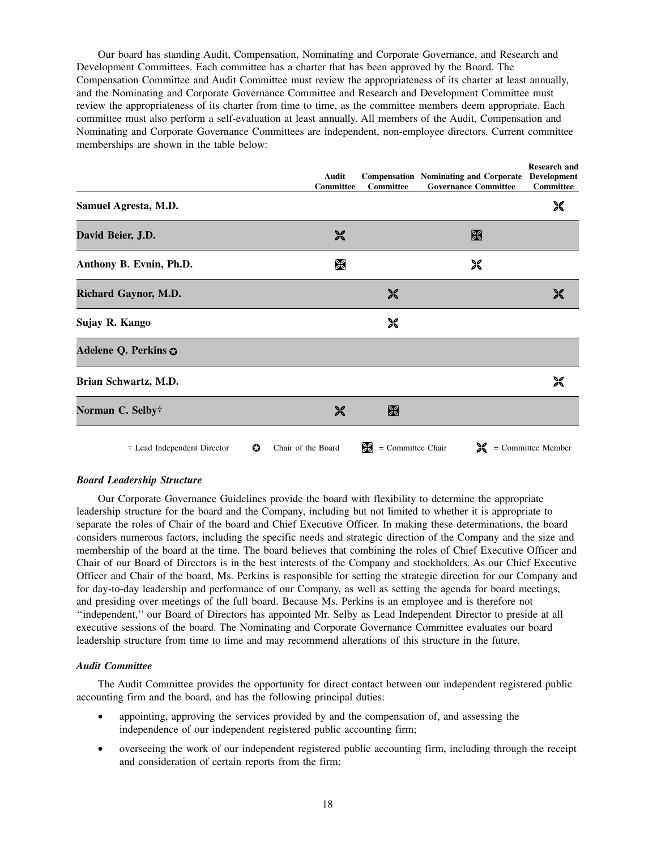Our board has standing Audit, Compensation, Nominating and Corporate Governance, and Research and Development Committees. Each committee has a charter that has been approved by the Board. The Compensation Committee and Audit Committee must review the appropriateness of its charter at least annually, and the Nominating and Corporate Governance Committee and Research and Development Committee must review the appropriateness of its charter from time to time, as the committee members deem appropriate. Each committee must also perform a self-evaluation at least annually. All members of the Audit, Compensation and Nominating and Corporate Governance Committees are independent, non-employee directors. Current committee memberships are shown in the table below:

|                                  | Audit<br>Committee | <b>Committee</b>         | <b>Compensation</b> Nominating and Corporate<br><b>Governance Committee</b> | <b>Research and</b><br>Development<br><b>Committee</b> |
|----------------------------------|--------------------|--------------------------|-----------------------------------------------------------------------------|--------------------------------------------------------|
| Samuel Agresta, M.D.             |                    |                          |                                                                             | ※                                                      |
| David Beier, J.D.                | ※                  |                          | X                                                                           |                                                        |
| Anthony B. Evnin, Ph.D.          | $\mathbb X$        |                          | ※                                                                           |                                                        |
| Richard Gaynor, M.D.             |                    | $\frac{1}{26}$           |                                                                             | $\frac{1}{26}$                                         |
| Sujay R. Kango                   |                    | ※                        |                                                                             |                                                        |
| Adelene Q. Perkins $\odot$       |                    |                          |                                                                             |                                                        |
| Brian Schwartz, M.D.             |                    |                          |                                                                             | ※                                                      |
| Norman C. Selby†                 | 饕                  | $\mathbb X$              |                                                                             |                                                        |
| O<br>† Lead Independent Director | Chair of the Board | Ⅹ<br>$=$ Committee Chair |                                                                             | $\mathcal{K}$ = Committee Member                       |

### *Board Leadership Structure*

Our Corporate Governance Guidelines provide the board with flexibility to determine the appropriate leadership structure for the board and the Company, including but not limited to whether it is appropriate to separate the roles of Chair of the board and Chief Executive Officer. In making these determinations, the board considers numerous factors, including the specific needs and strategic direction of the Company and the size and membership of the board at the time. The board believes that combining the roles of Chief Executive Officer and Chair of our Board of Directors is in the best interests of the Company and stockholders. As our Chief Executive Officer and Chair of the board, Ms. Perkins is responsible for setting the strategic direction for our Company and for day-to-day leadership and performance of our Company, as well as setting the agenda for board meetings, and presiding over meetings of the full board. Because Ms. Perkins is an employee and is therefore not ''independent,'' our Board of Directors has appointed Mr. Selby as Lead Independent Director to preside at all executive sessions of the board. The Nominating and Corporate Governance Committee evaluates our board leadership structure from time to time and may recommend alterations of this structure in the future.

### *Audit Committee*

The Audit Committee provides the opportunity for direct contact between our independent registered public accounting firm and the board, and has the following principal duties:

- appointing, approving the services provided by and the compensation of, and assessing the independence of our independent registered public accounting firm;
- overseeing the work of our independent registered public accounting firm, including through the receipt and consideration of certain reports from the firm;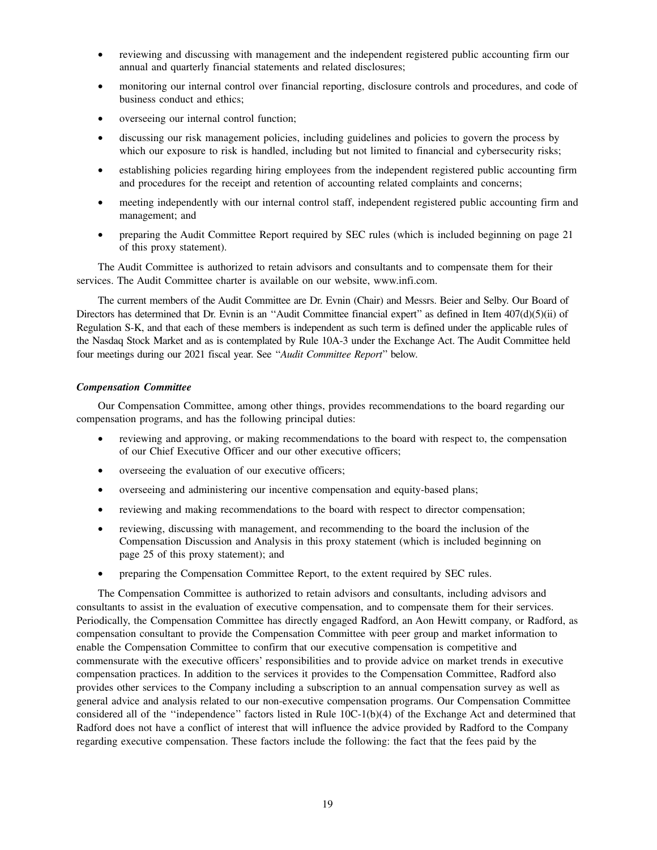- reviewing and discussing with management and the independent registered public accounting firm our annual and quarterly financial statements and related disclosures;
- monitoring our internal control over financial reporting, disclosure controls and procedures, and code of business conduct and ethics;
- overseeing our internal control function;
- discussing our risk management policies, including guidelines and policies to govern the process by which our exposure to risk is handled, including but not limited to financial and cybersecurity risks;
- establishing policies regarding hiring employees from the independent registered public accounting firm and procedures for the receipt and retention of accounting related complaints and concerns;
- meeting independently with our internal control staff, independent registered public accounting firm and management; and
- preparing the Audit Committee Report required by SEC rules (which is included beginning on page 21 of this proxy statement).

The Audit Committee is authorized to retain advisors and consultants and to compensate them for their services. The Audit Committee charter is available on our website, www.infi.com.

The current members of the Audit Committee are Dr. Evnin (Chair) and Messrs. Beier and Selby. Our Board of Directors has determined that Dr. Evnin is an "Audit Committee financial expert" as defined in Item 407(d)(5)(ii) of Regulation S-K, and that each of these members is independent as such term is defined under the applicable rules of the Nasdaq Stock Market and as is contemplated by Rule 10A-3 under the Exchange Act. The Audit Committee held four meetings during our 2021 fiscal year. See ''*Audit Committee Report*'' below.

### *Compensation Committee*

Our Compensation Committee, among other things, provides recommendations to the board regarding our compensation programs, and has the following principal duties:

- reviewing and approving, or making recommendations to the board with respect to, the compensation of our Chief Executive Officer and our other executive officers;
- overseeing the evaluation of our executive officers;
- overseeing and administering our incentive compensation and equity-based plans;
- reviewing and making recommendations to the board with respect to director compensation;
- reviewing, discussing with management, and recommending to the board the inclusion of the Compensation Discussion and Analysis in this proxy statement (which is included beginning on page 25 of this proxy statement); and
- preparing the Compensation Committee Report, to the extent required by SEC rules.

The Compensation Committee is authorized to retain advisors and consultants, including advisors and consultants to assist in the evaluation of executive compensation, and to compensate them for their services. Periodically, the Compensation Committee has directly engaged Radford, an Aon Hewitt company, or Radford, as compensation consultant to provide the Compensation Committee with peer group and market information to enable the Compensation Committee to confirm that our executive compensation is competitive and commensurate with the executive officers' responsibilities and to provide advice on market trends in executive compensation practices. In addition to the services it provides to the Compensation Committee, Radford also provides other services to the Company including a subscription to an annual compensation survey as well as general advice and analysis related to our non-executive compensation programs. Our Compensation Committee considered all of the ''independence'' factors listed in Rule 10C-1(b)(4) of the Exchange Act and determined that Radford does not have a conflict of interest that will influence the advice provided by Radford to the Company regarding executive compensation. These factors include the following: the fact that the fees paid by the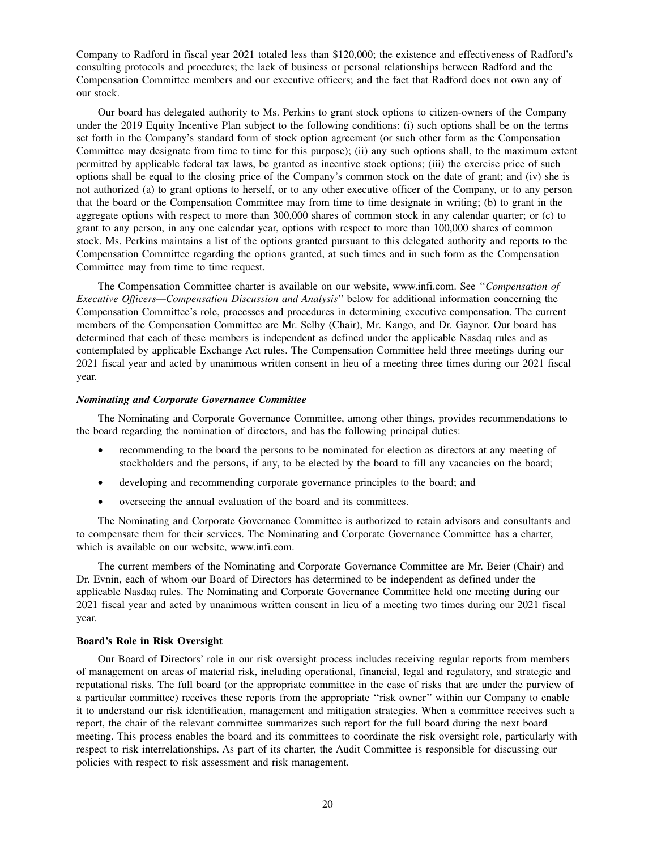Company to Radford in fiscal year 2021 totaled less than \$120,000; the existence and effectiveness of Radford's consulting protocols and procedures; the lack of business or personal relationships between Radford and the Compensation Committee members and our executive officers; and the fact that Radford does not own any of our stock.

Our board has delegated authority to Ms. Perkins to grant stock options to citizen-owners of the Company under the 2019 Equity Incentive Plan subject to the following conditions: (i) such options shall be on the terms set forth in the Company's standard form of stock option agreement (or such other form as the Compensation Committee may designate from time to time for this purpose); (ii) any such options shall, to the maximum extent permitted by applicable federal tax laws, be granted as incentive stock options; (iii) the exercise price of such options shall be equal to the closing price of the Company's common stock on the date of grant; and (iv) she is not authorized (a) to grant options to herself, or to any other executive officer of the Company, or to any person that the board or the Compensation Committee may from time to time designate in writing; (b) to grant in the aggregate options with respect to more than 300,000 shares of common stock in any calendar quarter; or (c) to grant to any person, in any one calendar year, options with respect to more than 100,000 shares of common stock. Ms. Perkins maintains a list of the options granted pursuant to this delegated authority and reports to the Compensation Committee regarding the options granted, at such times and in such form as the Compensation Committee may from time to time request.

The Compensation Committee charter is available on our website, www.infi.com. See ''*Compensation of Executive Officers—Compensation Discussion and Analysis*'' below for additional information concerning the Compensation Committee's role, processes and procedures in determining executive compensation. The current members of the Compensation Committee are Mr. Selby (Chair), Mr. Kango, and Dr. Gaynor. Our board has determined that each of these members is independent as defined under the applicable Nasdaq rules and as contemplated by applicable Exchange Act rules. The Compensation Committee held three meetings during our 2021 fiscal year and acted by unanimous written consent in lieu of a meeting three times during our 2021 fiscal year.

#### *Nominating and Corporate Governance Committee*

The Nominating and Corporate Governance Committee, among other things, provides recommendations to the board regarding the nomination of directors, and has the following principal duties:

- recommending to the board the persons to be nominated for election as directors at any meeting of stockholders and the persons, if any, to be elected by the board to fill any vacancies on the board;
- developing and recommending corporate governance principles to the board; and
- overseeing the annual evaluation of the board and its committees.

The Nominating and Corporate Governance Committee is authorized to retain advisors and consultants and to compensate them for their services. The Nominating and Corporate Governance Committee has a charter, which is available on our website, www.infi.com.

The current members of the Nominating and Corporate Governance Committee are Mr. Beier (Chair) and Dr. Evnin, each of whom our Board of Directors has determined to be independent as defined under the applicable Nasdaq rules. The Nominating and Corporate Governance Committee held one meeting during our 2021 fiscal year and acted by unanimous written consent in lieu of a meeting two times during our 2021 fiscal year.

#### **Board's Role in Risk Oversight**

Our Board of Directors' role in our risk oversight process includes receiving regular reports from members of management on areas of material risk, including operational, financial, legal and regulatory, and strategic and reputational risks. The full board (or the appropriate committee in the case of risks that are under the purview of a particular committee) receives these reports from the appropriate ''risk owner'' within our Company to enable it to understand our risk identification, management and mitigation strategies. When a committee receives such a report, the chair of the relevant committee summarizes such report for the full board during the next board meeting. This process enables the board and its committees to coordinate the risk oversight role, particularly with respect to risk interrelationships. As part of its charter, the Audit Committee is responsible for discussing our policies with respect to risk assessment and risk management.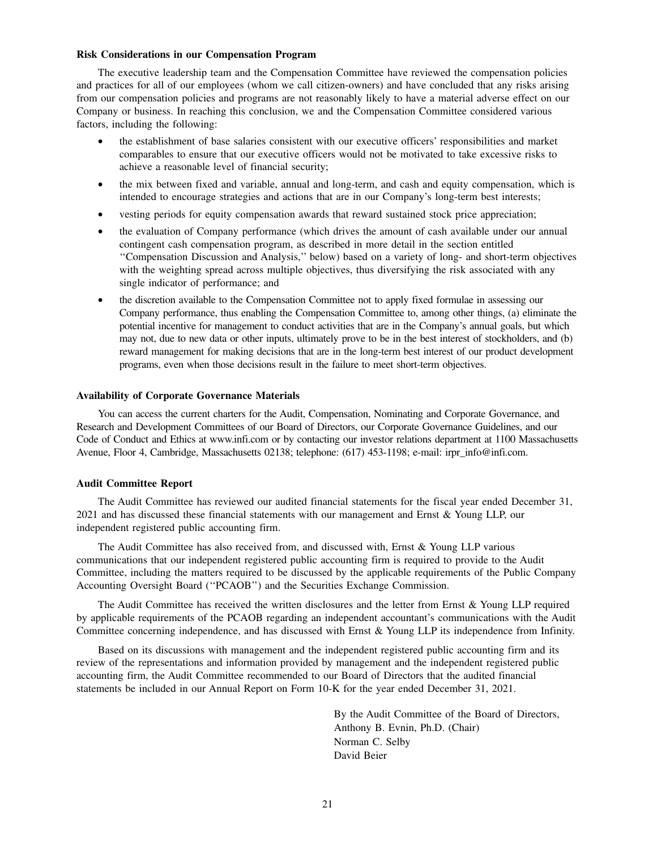#### **Risk Considerations in our Compensation Program**

The executive leadership team and the Compensation Committee have reviewed the compensation policies and practices for all of our employees (whom we call citizen-owners) and have concluded that any risks arising from our compensation policies and programs are not reasonably likely to have a material adverse effect on our Company or business. In reaching this conclusion, we and the Compensation Committee considered various factors, including the following:

- the establishment of base salaries consistent with our executive officers' responsibilities and market comparables to ensure that our executive officers would not be motivated to take excessive risks to achieve a reasonable level of financial security;
- the mix between fixed and variable, annual and long-term, and cash and equity compensation, which is intended to encourage strategies and actions that are in our Company's long-term best interests;
- vesting periods for equity compensation awards that reward sustained stock price appreciation;
- the evaluation of Company performance (which drives the amount of cash available under our annual contingent cash compensation program, as described in more detail in the section entitled ''Compensation Discussion and Analysis,'' below) based on a variety of long- and short-term objectives with the weighting spread across multiple objectives, thus diversifying the risk associated with any single indicator of performance; and
- the discretion available to the Compensation Committee not to apply fixed formulae in assessing our Company performance, thus enabling the Compensation Committee to, among other things, (a) eliminate the potential incentive for management to conduct activities that are in the Company's annual goals, but which may not, due to new data or other inputs, ultimately prove to be in the best interest of stockholders, and (b) reward management for making decisions that are in the long-term best interest of our product development programs, even when those decisions result in the failure to meet short-term objectives.

#### **Availability of Corporate Governance Materials**

You can access the current charters for the Audit, Compensation, Nominating and Corporate Governance, and Research and Development Committees of our Board of Directors, our Corporate Governance Guidelines, and our Code of Conduct and Ethics at www.infi.com or by contacting our investor relations department at 1100 Massachusetts Avenue, Floor 4, Cambridge, Massachusetts 02138; telephone: (617) 453-1198; e-mail: irpr\_info@infi.com.

#### **Audit Committee Report**

The Audit Committee has reviewed our audited financial statements for the fiscal year ended December 31, 2021 and has discussed these financial statements with our management and Ernst & Young LLP, our independent registered public accounting firm.

The Audit Committee has also received from, and discussed with, Ernst & Young LLP various communications that our independent registered public accounting firm is required to provide to the Audit Committee, including the matters required to be discussed by the applicable requirements of the Public Company Accounting Oversight Board (''PCAOB'') and the Securities Exchange Commission.

The Audit Committee has received the written disclosures and the letter from Ernst & Young LLP required by applicable requirements of the PCAOB regarding an independent accountant's communications with the Audit Committee concerning independence, and has discussed with Ernst & Young LLP its independence from Infinity.

Based on its discussions with management and the independent registered public accounting firm and its review of the representations and information provided by management and the independent registered public accounting firm, the Audit Committee recommended to our Board of Directors that the audited financial statements be included in our Annual Report on Form 10-K for the year ended December 31, 2021.

> By the Audit Committee of the Board of Directors, Anthony B. Evnin, Ph.D. (Chair) Norman C. Selby David Beier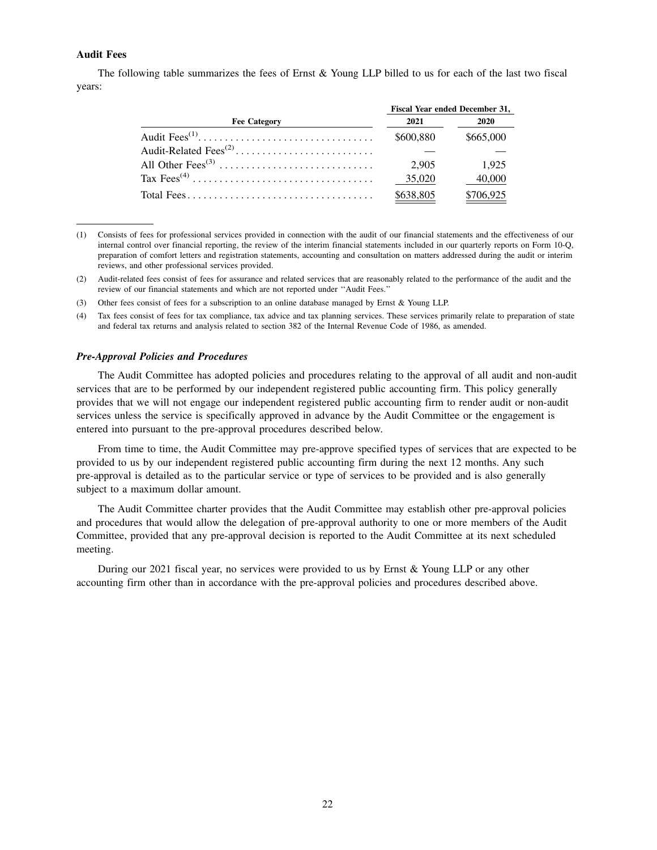### **Audit Fees**

The following table summarizes the fees of Ernst & Young LLP billed to us for each of the last two fiscal years:

|                     |           | <b>Fiscal Year ended December 31,</b> |  |  |  |
|---------------------|-----------|---------------------------------------|--|--|--|
| <b>Fee Category</b> | 2021      | 2020                                  |  |  |  |
|                     | \$600.880 | \$665,000                             |  |  |  |
|                     |           |                                       |  |  |  |
|                     | 2.905     | 1.925                                 |  |  |  |
|                     | 35,020    | 40,000                                |  |  |  |
|                     | \$638,805 | \$706,925                             |  |  |  |

<sup>(1)</sup> Consists of fees for professional services provided in connection with the audit of our financial statements and the effectiveness of our internal control over financial reporting, the review of the interim financial statements included in our quarterly reports on Form 10-Q, preparation of comfort letters and registration statements, accounting and consultation on matters addressed during the audit or interim reviews, and other professional services provided.

- (3) Other fees consist of fees for a subscription to an online database managed by Ernst & Young LLP.
- (4) Tax fees consist of fees for tax compliance, tax advice and tax planning services. These services primarily relate to preparation of state and federal tax returns and analysis related to section 382 of the Internal Revenue Code of 1986, as amended.

#### *Pre-Approval Policies and Procedures*

The Audit Committee has adopted policies and procedures relating to the approval of all audit and non-audit services that are to be performed by our independent registered public accounting firm. This policy generally provides that we will not engage our independent registered public accounting firm to render audit or non-audit services unless the service is specifically approved in advance by the Audit Committee or the engagement is entered into pursuant to the pre-approval procedures described below.

From time to time, the Audit Committee may pre-approve specified types of services that are expected to be provided to us by our independent registered public accounting firm during the next 12 months. Any such pre-approval is detailed as to the particular service or type of services to be provided and is also generally subject to a maximum dollar amount.

The Audit Committee charter provides that the Audit Committee may establish other pre-approval policies and procedures that would allow the delegation of pre-approval authority to one or more members of the Audit Committee, provided that any pre-approval decision is reported to the Audit Committee at its next scheduled meeting.

During our 2021 fiscal year, no services were provided to us by Ernst & Young LLP or any other accounting firm other than in accordance with the pre-approval policies and procedures described above.

<sup>(2)</sup> Audit-related fees consist of fees for assurance and related services that are reasonably related to the performance of the audit and the review of our financial statements and which are not reported under ''Audit Fees.''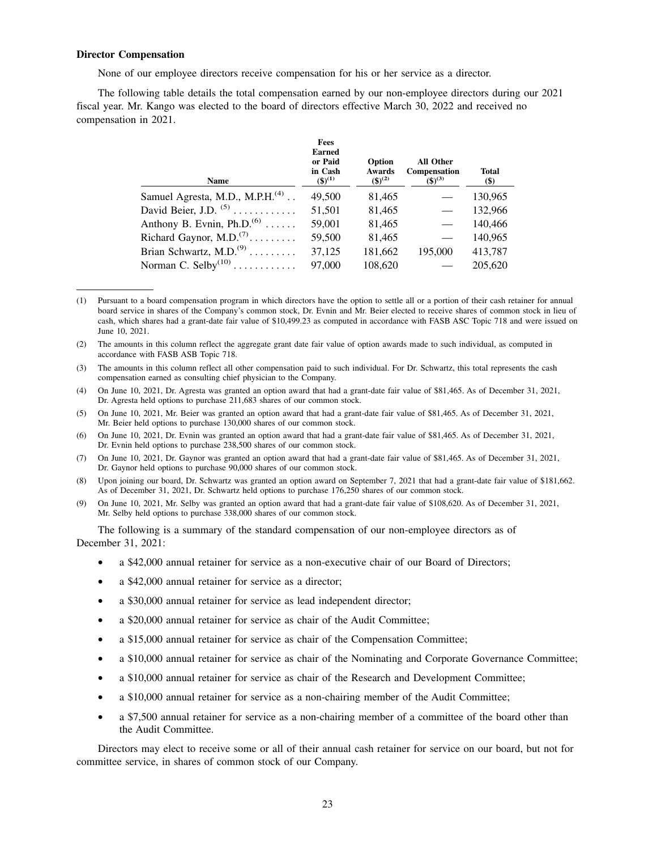#### **Director Compensation**

None of our employee directors receive compensation for his or her service as a director.

The following table details the total compensation earned by our non-employee directors during our 2021 fiscal year. Mr. Kango was elected to the board of directors effective March 30, 2022 and received no compensation in 2021.

| <b>Name</b>                                      | <b>Fees</b><br><b>Earned</b><br>or Paid<br>in Cash<br>$({\bf 5})^{(1)}$ | Option<br><b>Awards</b><br>$({\$})^{(2)}$ | All Other<br>Compensation<br>$({\$})^{(3)}$ | <b>Total</b><br>\$) |
|--------------------------------------------------|-------------------------------------------------------------------------|-------------------------------------------|---------------------------------------------|---------------------|
| Samuel Agresta, M.D., M.P.H. <sup>(4)</sup>      | 49,500                                                                  | 81,465                                    |                                             | 130,965             |
| David Beier, J.D. $(5)$                          | 51,501                                                                  | 81,465                                    |                                             | 132,966             |
| Anthony B. Evnin, $Ph.D.(6)$                     | 59,001                                                                  | 81,465                                    |                                             | 140,466             |
| Richard Gaynor, M.D. <sup><math>(7)</math></sup> | 59,500                                                                  | 81,465                                    |                                             | 140,965             |
| Brian Schwartz, M.D. <sup>(9)</sup>              | 37,125                                                                  | 181,662                                   | 195,000                                     | 413,787             |
| Norman C. Selby $^{(10)}$                        | 97,000                                                                  | 108,620                                   |                                             | 205,620             |

<sup>(1)</sup> Pursuant to a board compensation program in which directors have the option to settle all or a portion of their cash retainer for annual board service in shares of the Company's common stock, Dr. Evnin and Mr. Beier elected to receive shares of common stock in lieu of cash, which shares had a grant-date fair value of \$10,499.23 as computed in accordance with FASB ASC Topic 718 and were issued on June 10, 2021.

(2) The amounts in this column reflect the aggregate grant date fair value of option awards made to such individual, as computed in accordance with FASB ASB Topic 718.

(4) On June 10, 2021, Dr. Agresta was granted an option award that had a grant-date fair value of \$81,465. As of December 31, 2021, Dr. Agresta held options to purchase 211,683 shares of our common stock.

(5) On June 10, 2021, Mr. Beier was granted an option award that had a grant-date fair value of \$81,465. As of December 31, 2021, Mr. Beier held options to purchase 130,000 shares of our common stock.

(6) On June 10, 2021, Dr. Evnin was granted an option award that had a grant-date fair value of \$81,465. As of December 31, 2021, Dr. Evnin held options to purchase 238,500 shares of our common stock.

(7) On June 10, 2021, Dr. Gaynor was granted an option award that had a grant-date fair value of \$81,465. As of December 31, 2021, Dr. Gaynor held options to purchase 90,000 shares of our common stock.

(8) Upon joining our board, Dr. Schwartz was granted an option award on September 7, 2021 that had a grant-date fair value of \$181,662. As of December 31, 2021, Dr. Schwartz held options to purchase 176,250 shares of our common stock.

(9) On June 10, 2021, Mr. Selby was granted an option award that had a grant-date fair value of \$108,620. As of December 31, 2021, Mr. Selby held options to purchase 338,000 shares of our common stock.

The following is a summary of the standard compensation of our non-employee directors as of December 31, 2021:

- a \$42,000 annual retainer for service as a non-executive chair of our Board of Directors;
- a \$42,000 annual retainer for service as a director;
- a \$30,000 annual retainer for service as lead independent director;
- a \$20,000 annual retainer for service as chair of the Audit Committee;
- a \$15,000 annual retainer for service as chair of the Compensation Committee;
- a \$10,000 annual retainer for service as chair of the Nominating and Corporate Governance Committee;
- a \$10,000 annual retainer for service as chair of the Research and Development Committee;
- a \$10,000 annual retainer for service as a non-chairing member of the Audit Committee;
- a \$7,500 annual retainer for service as a non-chairing member of a committee of the board other than the Audit Committee.

Directors may elect to receive some or all of their annual cash retainer for service on our board, but not for committee service, in shares of common stock of our Company.

<sup>(3)</sup> The amounts in this column reflect all other compensation paid to such individual. For Dr. Schwartz, this total represents the cash compensation earned as consulting chief physician to the Company.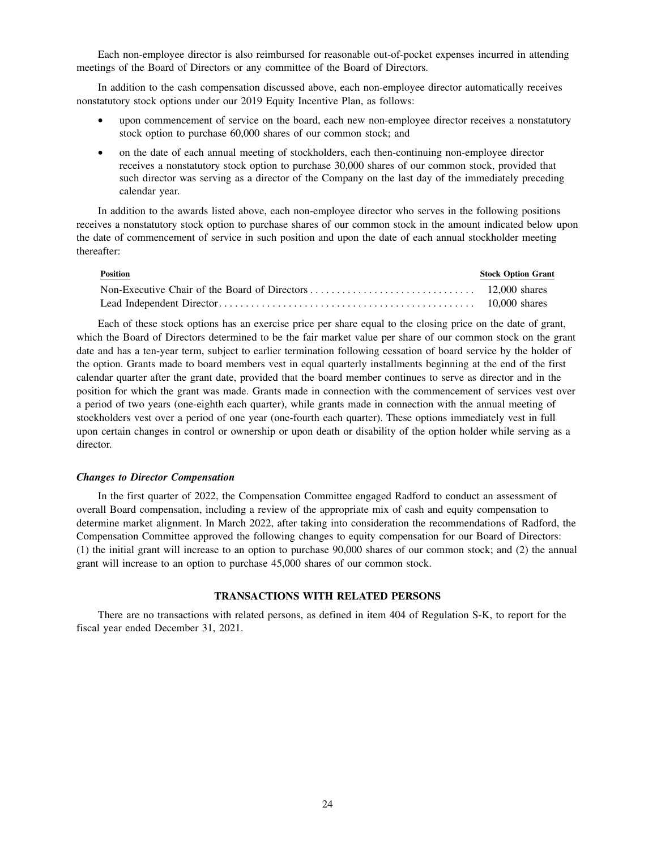Each non-employee director is also reimbursed for reasonable out-of-pocket expenses incurred in attending meetings of the Board of Directors or any committee of the Board of Directors.

In addition to the cash compensation discussed above, each non-employee director automatically receives nonstatutory stock options under our 2019 Equity Incentive Plan, as follows:

- upon commencement of service on the board, each new non-employee director receives a nonstatutory stock option to purchase 60,000 shares of our common stock; and
- on the date of each annual meeting of stockholders, each then-continuing non-employee director receives a nonstatutory stock option to purchase 30,000 shares of our common stock, provided that such director was serving as a director of the Company on the last day of the immediately preceding calendar year.

In addition to the awards listed above, each non-employee director who serves in the following positions receives a nonstatutory stock option to purchase shares of our common stock in the amount indicated below upon the date of commencement of service in such position and upon the date of each annual stockholder meeting thereafter:

| <b>Position</b> | <b>Stock Option Grant</b> |
|-----------------|---------------------------|
|                 |                           |
|                 |                           |

Each of these stock options has an exercise price per share equal to the closing price on the date of grant, which the Board of Directors determined to be the fair market value per share of our common stock on the grant date and has a ten-year term, subject to earlier termination following cessation of board service by the holder of the option. Grants made to board members vest in equal quarterly installments beginning at the end of the first calendar quarter after the grant date, provided that the board member continues to serve as director and in the position for which the grant was made. Grants made in connection with the commencement of services vest over a period of two years (one-eighth each quarter), while grants made in connection with the annual meeting of stockholders vest over a period of one year (one-fourth each quarter). These options immediately vest in full upon certain changes in control or ownership or upon death or disability of the option holder while serving as a director.

#### *Changes to Director Compensation*

In the first quarter of 2022, the Compensation Committee engaged Radford to conduct an assessment of overall Board compensation, including a review of the appropriate mix of cash and equity compensation to determine market alignment. In March 2022, after taking into consideration the recommendations of Radford, the Compensation Committee approved the following changes to equity compensation for our Board of Directors: (1) the initial grant will increase to an option to purchase 90,000 shares of our common stock; and (2) the annual grant will increase to an option to purchase 45,000 shares of our common stock.

### **TRANSACTIONS WITH RELATED PERSONS**

There are no transactions with related persons, as defined in item 404 of Regulation S-K, to report for the fiscal year ended December 31, 2021.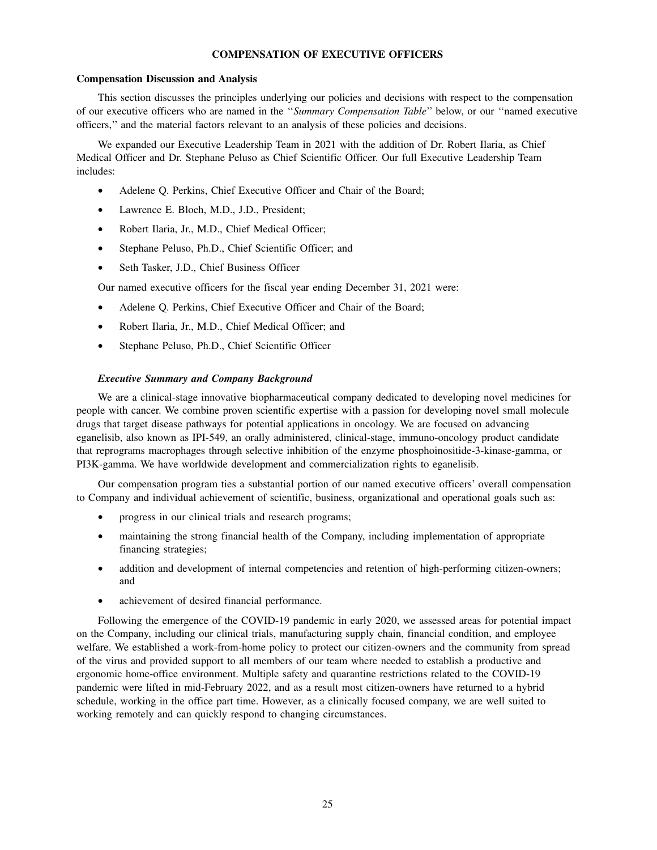### **COMPENSATION OF EXECUTIVE OFFICERS**

#### **Compensation Discussion and Analysis**

This section discusses the principles underlying our policies and decisions with respect to the compensation of our executive officers who are named in the ''*Summary Compensation Table*'' below, or our ''named executive officers,'' and the material factors relevant to an analysis of these policies and decisions.

We expanded our Executive Leadership Team in 2021 with the addition of Dr. Robert Ilaria, as Chief Medical Officer and Dr. Stephane Peluso as Chief Scientific Officer. Our full Executive Leadership Team includes:

- Adelene Q. Perkins, Chief Executive Officer and Chair of the Board;
- Lawrence E. Bloch, M.D., J.D., President;
- Robert Ilaria, Jr., M.D., Chief Medical Officer;
- Stephane Peluso, Ph.D., Chief Scientific Officer; and
- Seth Tasker, J.D., Chief Business Officer

Our named executive officers for the fiscal year ending December 31, 2021 were:

- Adelene Q. Perkins, Chief Executive Officer and Chair of the Board;
- Robert Ilaria, Jr., M.D., Chief Medical Officer; and
- Stephane Peluso, Ph.D., Chief Scientific Officer

#### *Executive Summary and Company Background*

We are a clinical-stage innovative biopharmaceutical company dedicated to developing novel medicines for people with cancer. We combine proven scientific expertise with a passion for developing novel small molecule drugs that target disease pathways for potential applications in oncology. We are focused on advancing eganelisib, also known as IPI-549, an orally administered, clinical-stage, immuno-oncology product candidate that reprograms macrophages through selective inhibition of the enzyme phosphoinositide-3-kinase-gamma, or PI3K-gamma. We have worldwide development and commercialization rights to eganelisib.

Our compensation program ties a substantial portion of our named executive officers' overall compensation to Company and individual achievement of scientific, business, organizational and operational goals such as:

- progress in our clinical trials and research programs;
- maintaining the strong financial health of the Company, including implementation of appropriate financing strategies;
- addition and development of internal competencies and retention of high-performing citizen-owners; and
- achievement of desired financial performance.

Following the emergence of the COVID-19 pandemic in early 2020, we assessed areas for potential impact on the Company, including our clinical trials, manufacturing supply chain, financial condition, and employee welfare. We established a work-from-home policy to protect our citizen-owners and the community from spread of the virus and provided support to all members of our team where needed to establish a productive and ergonomic home-office environment. Multiple safety and quarantine restrictions related to the COVID-19 pandemic were lifted in mid-February 2022, and as a result most citizen-owners have returned to a hybrid schedule, working in the office part time. However, as a clinically focused company, we are well suited to working remotely and can quickly respond to changing circumstances.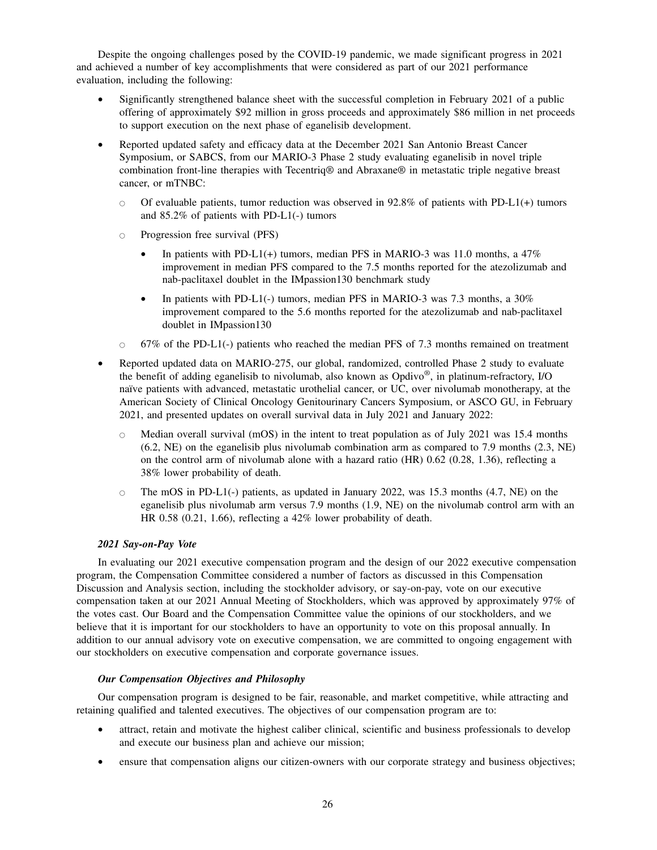Despite the ongoing challenges posed by the COVID-19 pandemic, we made significant progress in 2021 and achieved a number of key accomplishments that were considered as part of our 2021 performance evaluation, including the following:

- Significantly strengthened balance sheet with the successful completion in February 2021 of a public offering of approximately \$92 million in gross proceeds and approximately \$86 million in net proceeds to support execution on the next phase of eganelisib development.
- Reported updated safety and efficacy data at the December 2021 San Antonio Breast Cancer Symposium, or SABCS, from our MARIO-3 Phase 2 study evaluating eganelisib in novel triple combination front-line therapies with Tecentriq® and Abraxane® in metastatic triple negative breast cancer, or mTNBC:
	- $\circ$  Of evaluable patients, tumor reduction was observed in 92.8% of patients with PD-L1(+) tumors and 85.2% of patients with PD-L1(-) tumors
	- Progression free survival (PFS)
		- In patients with PD-L1(+) tumors, median PFS in MARIO-3 was 11.0 months, a  $47\%$ improvement in median PFS compared to the 7.5 months reported for the atezolizumab and nab-paclitaxel doublet in the IMpassion130 benchmark study
		- In patients with PD-L1(-) tumors, median PFS in MARIO-3 was 7.3 months, a 30% improvement compared to the 5.6 months reported for the atezolizumab and nab-paclitaxel doublet in IMpassion130
	- $\circ$  67% of the PD-L1(-) patients who reached the median PFS of 7.3 months remained on treatment
- Reported updated data on MARIO-275, our global, randomized, controlled Phase 2 study to evaluate the benefit of adding eganelisib to nivolumab, also known as Opdivo® , in platinum-refractory, I/O naïve patients with advanced, metastatic urothelial cancer, or UC, over nivolumab monotherapy, at the American Society of Clinical Oncology Genitourinary Cancers Symposium, or ASCO GU, in February 2021, and presented updates on overall survival data in July 2021 and January 2022:
	- $\circ$  Median overall survival (mOS) in the intent to treat population as of July 2021 was 15.4 months (6.2, NE) on the eganelisib plus nivolumab combination arm as compared to 7.9 months (2.3, NE) on the control arm of nivolumab alone with a hazard ratio (HR) 0.62 (0.28, 1.36), reflecting a 38% lower probability of death.
	- $\circ$  The mOS in PD-L1(-) patients, as updated in January 2022, was 15.3 months (4.7, NE) on the eganelisib plus nivolumab arm versus 7.9 months (1.9, NE) on the nivolumab control arm with an HR 0.58 (0.21, 1.66), reflecting a 42% lower probability of death.

### *2021 Say-on-Pay Vote*

In evaluating our 2021 executive compensation program and the design of our 2022 executive compensation program, the Compensation Committee considered a number of factors as discussed in this Compensation Discussion and Analysis section, including the stockholder advisory, or say-on-pay, vote on our executive compensation taken at our 2021 Annual Meeting of Stockholders, which was approved by approximately 97% of the votes cast. Our Board and the Compensation Committee value the opinions of our stockholders, and we believe that it is important for our stockholders to have an opportunity to vote on this proposal annually. In addition to our annual advisory vote on executive compensation, we are committed to ongoing engagement with our stockholders on executive compensation and corporate governance issues.

### *Our Compensation Objectives and Philosophy*

Our compensation program is designed to be fair, reasonable, and market competitive, while attracting and retaining qualified and talented executives. The objectives of our compensation program are to:

- attract, retain and motivate the highest caliber clinical, scientific and business professionals to develop and execute our business plan and achieve our mission;
- ensure that compensation aligns our citizen-owners with our corporate strategy and business objectives;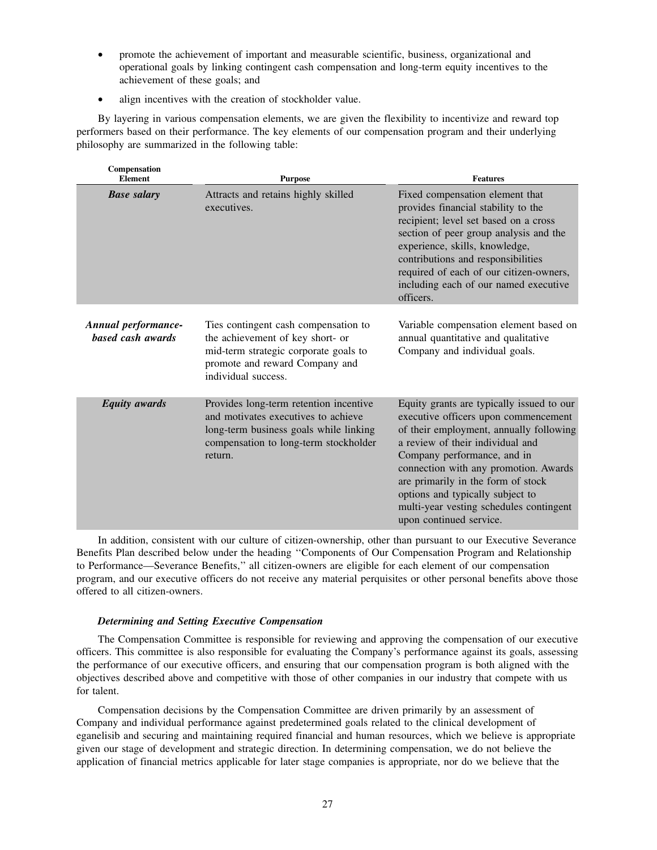- promote the achievement of important and measurable scientific, business, organizational and operational goals by linking contingent cash compensation and long-term equity incentives to the achievement of these goals; and
- align incentives with the creation of stockholder value.

By layering in various compensation elements, we are given the flexibility to incentivize and reward top performers based on their performance. The key elements of our compensation program and their underlying philosophy are summarized in the following table:

| Compensation<br><b>Element</b>           | <b>Purpose</b>                                                                                                                                                              | <b>Features</b>                                                                                                                                                                                                                                                                                                                                                                          |
|------------------------------------------|-----------------------------------------------------------------------------------------------------------------------------------------------------------------------------|------------------------------------------------------------------------------------------------------------------------------------------------------------------------------------------------------------------------------------------------------------------------------------------------------------------------------------------------------------------------------------------|
| <b>Base salary</b>                       | Attracts and retains highly skilled<br>executives.                                                                                                                          | Fixed compensation element that<br>provides financial stability to the<br>recipient; level set based on a cross<br>section of peer group analysis and the<br>experience, skills, knowledge,<br>contributions and responsibilities<br>required of each of our citizen-owners,<br>including each of our named executive<br>officers.                                                       |
| Annual performance-<br>based cash awards | Ties contingent cash compensation to<br>the achievement of key short- or<br>mid-term strategic corporate goals to<br>promote and reward Company and<br>individual success.  | Variable compensation element based on<br>annual quantitative and qualitative<br>Company and individual goals.                                                                                                                                                                                                                                                                           |
| <b>Equity</b> awards                     | Provides long-term retention incentive<br>and motivates executives to achieve<br>long-term business goals while linking<br>compensation to long-term stockholder<br>return. | Equity grants are typically issued to our<br>executive officers upon commencement<br>of their employment, annually following<br>a review of their individual and<br>Company performance, and in<br>connection with any promotion. Awards<br>are primarily in the form of stock<br>options and typically subject to<br>multi-year vesting schedules contingent<br>upon continued service. |

In addition, consistent with our culture of citizen-ownership, other than pursuant to our Executive Severance Benefits Plan described below under the heading ''Components of Our Compensation Program and Relationship to Performance—Severance Benefits,'' all citizen-owners are eligible for each element of our compensation program, and our executive officers do not receive any material perquisites or other personal benefits above those offered to all citizen-owners.

## *Determining and Setting Executive Compensation*

The Compensation Committee is responsible for reviewing and approving the compensation of our executive officers. This committee is also responsible for evaluating the Company's performance against its goals, assessing the performance of our executive officers, and ensuring that our compensation program is both aligned with the objectives described above and competitive with those of other companies in our industry that compete with us for talent.

Compensation decisions by the Compensation Committee are driven primarily by an assessment of Company and individual performance against predetermined goals related to the clinical development of eganelisib and securing and maintaining required financial and human resources, which we believe is appropriate given our stage of development and strategic direction. In determining compensation, we do not believe the application of financial metrics applicable for later stage companies is appropriate, nor do we believe that the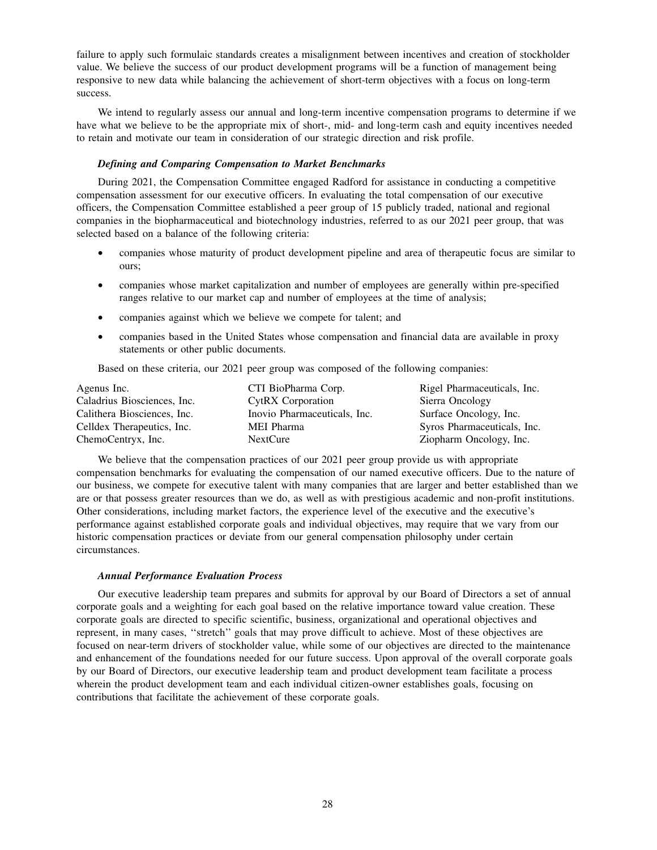failure to apply such formulaic standards creates a misalignment between incentives and creation of stockholder value. We believe the success of our product development programs will be a function of management being responsive to new data while balancing the achievement of short-term objectives with a focus on long-term success.

We intend to regularly assess our annual and long-term incentive compensation programs to determine if we have what we believe to be the appropriate mix of short-, mid- and long-term cash and equity incentives needed to retain and motivate our team in consideration of our strategic direction and risk profile.

#### *Defining and Comparing Compensation to Market Benchmarks*

During 2021, the Compensation Committee engaged Radford for assistance in conducting a competitive compensation assessment for our executive officers. In evaluating the total compensation of our executive officers, the Compensation Committee established a peer group of 15 publicly traded, national and regional companies in the biopharmaceutical and biotechnology industries, referred to as our 2021 peer group, that was selected based on a balance of the following criteria:

- companies whose maturity of product development pipeline and area of therapeutic focus are similar to ours;
- companies whose market capitalization and number of employees are generally within pre-specified ranges relative to our market cap and number of employees at the time of analysis;
- companies against which we believe we compete for talent; and
- companies based in the United States whose compensation and financial data are available in proxy statements or other public documents.

Based on these criteria, our 2021 peer group was composed of the following companies:

| Agenus Inc.                 | CTI BioPharma Corp.          | Rigel Pharmaceuticals, Inc. |
|-----------------------------|------------------------------|-----------------------------|
| Caladrius Biosciences, Inc. | <b>CytRX</b> Corporation     | Sierra Oncology             |
| Calithera Biosciences, Inc. | Inovio Pharmaceuticals, Inc. | Surface Oncology, Inc.      |
| Celldex Therapeutics, Inc.  | MEI Pharma                   | Syros Pharmaceuticals, Inc. |
| ChemoCentryx, Inc.          | NextCure                     | Ziopharm Oncology, Inc.     |

We believe that the compensation practices of our 2021 peer group provide us with appropriate compensation benchmarks for evaluating the compensation of our named executive officers. Due to the nature of our business, we compete for executive talent with many companies that are larger and better established than we are or that possess greater resources than we do, as well as with prestigious academic and non-profit institutions. Other considerations, including market factors, the experience level of the executive and the executive's performance against established corporate goals and individual objectives, may require that we vary from our historic compensation practices or deviate from our general compensation philosophy under certain circumstances.

#### *Annual Performance Evaluation Process*

Our executive leadership team prepares and submits for approval by our Board of Directors a set of annual corporate goals and a weighting for each goal based on the relative importance toward value creation. These corporate goals are directed to specific scientific, business, organizational and operational objectives and represent, in many cases, ''stretch'' goals that may prove difficult to achieve. Most of these objectives are focused on near-term drivers of stockholder value, while some of our objectives are directed to the maintenance and enhancement of the foundations needed for our future success. Upon approval of the overall corporate goals by our Board of Directors, our executive leadership team and product development team facilitate a process wherein the product development team and each individual citizen-owner establishes goals, focusing on contributions that facilitate the achievement of these corporate goals.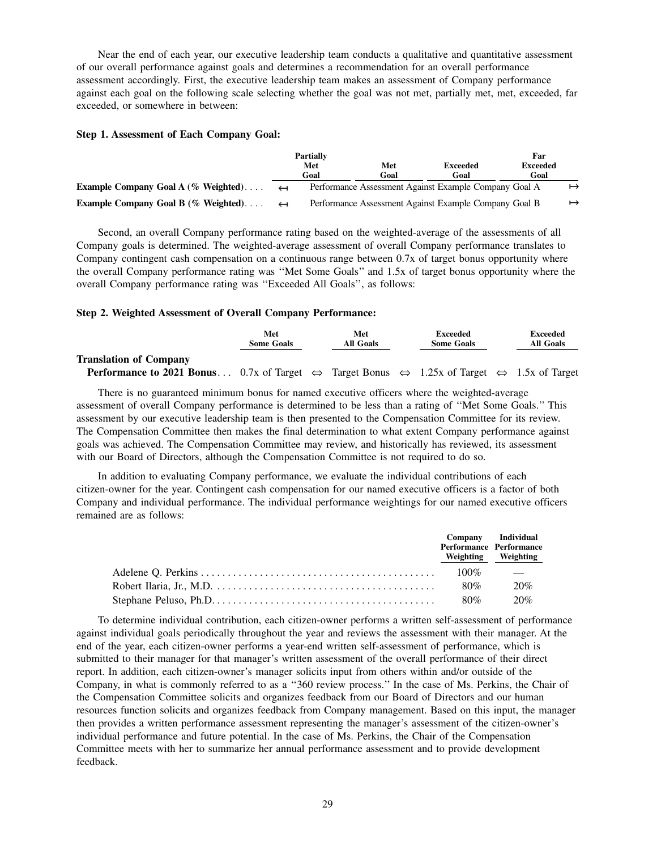Near the end of each year, our executive leadership team conducts a qualitative and quantitative assessment of our overall performance against goals and determines a recommendation for an overall performance assessment accordingly. First, the executive leadership team makes an assessment of Company performance against each goal on the following scale selecting whether the goal was not met, partially met, met, exceeded, far exceeded, or somewhere in between:

## **Step 1. Assessment of Each Company Goal:**

|                                         |                   | <b>Partially</b><br>Met<br>Goal | Met<br>Goal                                           | <b>Exceeded</b><br>Goal | Far<br><b>Exceeded</b><br>Goal |           |
|-----------------------------------------|-------------------|---------------------------------|-------------------------------------------------------|-------------------------|--------------------------------|-----------|
| Example Company Goal A $(\%$ Weighted)  | $\leftarrow$      |                                 | Performance Assessment Against Example Company Goal A |                         |                                | $\mapsto$ |
| Example Company Goal B ( $\%$ Weighted) | $\leftrightarrow$ |                                 | Performance Assessment Against Example Company Goal B |                         |                                | $\mapsto$ |

Second, an overall Company performance rating based on the weighted-average of the assessments of all Company goals is determined. The weighted-average assessment of overall Company performance translates to Company contingent cash compensation on a continuous range between 0.7x of target bonus opportunity where the overall Company performance rating was ''Met Some Goals'' and 1.5x of target bonus opportunity where the overall Company performance rating was ''Exceeded All Goals'', as follows:

### **Step 2. Weighted Assessment of Overall Company Performance:**

|                                                                                                                                                   | Met<br><b>Some Goals</b> | Met<br>All Goals | Exceeded<br><b>Some Goals</b> | Exceeded<br><b>All Goals</b> |
|---------------------------------------------------------------------------------------------------------------------------------------------------|--------------------------|------------------|-------------------------------|------------------------------|
| <b>Translation of Company</b>                                                                                                                     |                          |                  |                               |                              |
| <b>Performance to 2021 Bonus</b> 0.7x of Target $\Leftrightarrow$ Target Bonus $\Leftrightarrow$ 1.25x of Target $\Leftrightarrow$ 1.5x of Target |                          |                  |                               |                              |

There is no guaranteed minimum bonus for named executive officers where the weighted-average assessment of overall Company performance is determined to be less than a rating of ''Met Some Goals.'' This assessment by our executive leadership team is then presented to the Compensation Committee for its review. The Compensation Committee then makes the final determination to what extent Company performance against goals was achieved. The Compensation Committee may review, and historically has reviewed, its assessment with our Board of Directors, although the Compensation Committee is not required to do so.

In addition to evaluating Company performance, we evaluate the individual contributions of each citizen-owner for the year. Contingent cash compensation for our named executive officers is a factor of both Company and individual performance. The individual performance weightings for our named executive officers remained are as follows:

|                                                                                                              |         | Company Individual<br>Performance Performance<br>Weighting Weighting |
|--------------------------------------------------------------------------------------------------------------|---------|----------------------------------------------------------------------|
|                                                                                                              | $100\%$ | and the state of the state of the                                    |
|                                                                                                              | 80%     | 20%                                                                  |
| Stephane Peluso, Ph.D. $\dots \dots \dots \dots \dots \dots \dots \dots \dots \dots \dots \dots \dots \dots$ | 80%     | 20%                                                                  |

To determine individual contribution, each citizen-owner performs a written self-assessment of performance against individual goals periodically throughout the year and reviews the assessment with their manager. At the end of the year, each citizen-owner performs a year-end written self-assessment of performance, which is submitted to their manager for that manager's written assessment of the overall performance of their direct report. In addition, each citizen-owner's manager solicits input from others within and/or outside of the Company, in what is commonly referred to as a ''360 review process.'' In the case of Ms. Perkins, the Chair of the Compensation Committee solicits and organizes feedback from our Board of Directors and our human resources function solicits and organizes feedback from Company management. Based on this input, the manager then provides a written performance assessment representing the manager's assessment of the citizen-owner's individual performance and future potential. In the case of Ms. Perkins, the Chair of the Compensation Committee meets with her to summarize her annual performance assessment and to provide development feedback.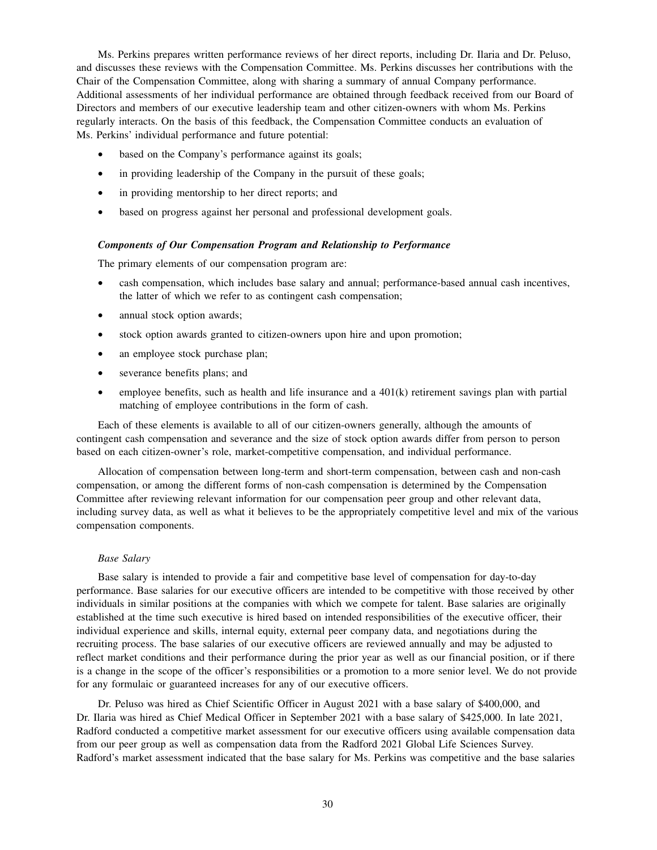Ms. Perkins prepares written performance reviews of her direct reports, including Dr. Ilaria and Dr. Peluso, and discusses these reviews with the Compensation Committee. Ms. Perkins discusses her contributions with the Chair of the Compensation Committee, along with sharing a summary of annual Company performance. Additional assessments of her individual performance are obtained through feedback received from our Board of Directors and members of our executive leadership team and other citizen-owners with whom Ms. Perkins regularly interacts. On the basis of this feedback, the Compensation Committee conducts an evaluation of Ms. Perkins' individual performance and future potential:

- based on the Company's performance against its goals;
- in providing leadership of the Company in the pursuit of these goals;
- in providing mentorship to her direct reports; and
- based on progress against her personal and professional development goals.

### *Components of Our Compensation Program and Relationship to Performance*

The primary elements of our compensation program are:

- cash compensation, which includes base salary and annual; performance-based annual cash incentives, the latter of which we refer to as contingent cash compensation;
- annual stock option awards;
- stock option awards granted to citizen-owners upon hire and upon promotion;
- an employee stock purchase plan;
- severance benefits plans; and
- employee benefits, such as health and life insurance and a  $401(k)$  retirement savings plan with partial matching of employee contributions in the form of cash.

Each of these elements is available to all of our citizen-owners generally, although the amounts of contingent cash compensation and severance and the size of stock option awards differ from person to person based on each citizen-owner's role, market-competitive compensation, and individual performance.

Allocation of compensation between long-term and short-term compensation, between cash and non-cash compensation, or among the different forms of non-cash compensation is determined by the Compensation Committee after reviewing relevant information for our compensation peer group and other relevant data, including survey data, as well as what it believes to be the appropriately competitive level and mix of the various compensation components.

#### *Base Salary*

Base salary is intended to provide a fair and competitive base level of compensation for day-to-day performance. Base salaries for our executive officers are intended to be competitive with those received by other individuals in similar positions at the companies with which we compete for talent. Base salaries are originally established at the time such executive is hired based on intended responsibilities of the executive officer, their individual experience and skills, internal equity, external peer company data, and negotiations during the recruiting process. The base salaries of our executive officers are reviewed annually and may be adjusted to reflect market conditions and their performance during the prior year as well as our financial position, or if there is a change in the scope of the officer's responsibilities or a promotion to a more senior level. We do not provide for any formulaic or guaranteed increases for any of our executive officers.

Dr. Peluso was hired as Chief Scientific Officer in August 2021 with a base salary of \$400,000, and Dr. Ilaria was hired as Chief Medical Officer in September 2021 with a base salary of \$425,000. In late 2021, Radford conducted a competitive market assessment for our executive officers using available compensation data from our peer group as well as compensation data from the Radford 2021 Global Life Sciences Survey. Radford's market assessment indicated that the base salary for Ms. Perkins was competitive and the base salaries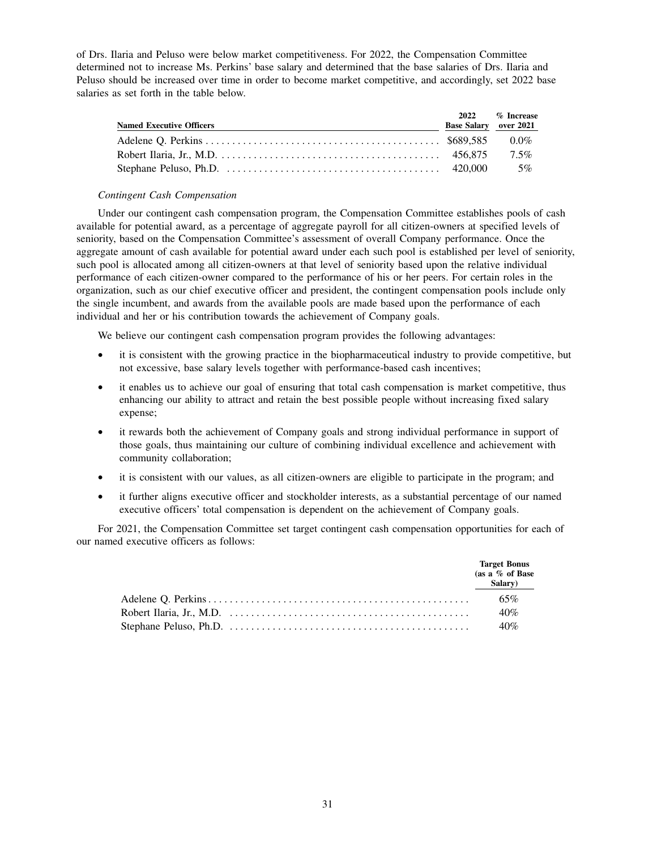of Drs. Ilaria and Peluso were below market competitiveness. For 2022, the Compensation Committee determined not to increase Ms. Perkins' base salary and determined that the base salaries of Drs. Ilaria and Peluso should be increased over time in order to become market competitive, and accordingly, set 2022 base salaries as set forth in the table below.

| <b>Named Executive Officers</b> | 2022<br><b>Base Salary</b> over 2021 | $\%$ Increase |
|---------------------------------|--------------------------------------|---------------|
|                                 |                                      | $0.0\%$       |
|                                 |                                      | $7.5\%$       |
|                                 |                                      | 5%            |

### *Contingent Cash Compensation*

Under our contingent cash compensation program, the Compensation Committee establishes pools of cash available for potential award, as a percentage of aggregate payroll for all citizen-owners at specified levels of seniority, based on the Compensation Committee's assessment of overall Company performance. Once the aggregate amount of cash available for potential award under each such pool is established per level of seniority, such pool is allocated among all citizen-owners at that level of seniority based upon the relative individual performance of each citizen-owner compared to the performance of his or her peers. For certain roles in the organization, such as our chief executive officer and president, the contingent compensation pools include only the single incumbent, and awards from the available pools are made based upon the performance of each individual and her or his contribution towards the achievement of Company goals.

We believe our contingent cash compensation program provides the following advantages:

- it is consistent with the growing practice in the biopharmaceutical industry to provide competitive, but not excessive, base salary levels together with performance-based cash incentives;
- it enables us to achieve our goal of ensuring that total cash compensation is market competitive, thus enhancing our ability to attract and retain the best possible people without increasing fixed salary expense;
- it rewards both the achievement of Company goals and strong individual performance in support of those goals, thus maintaining our culture of combining individual excellence and achievement with community collaboration;
- it is consistent with our values, as all citizen-owners are eligible to participate in the program; and
- it further aligns executive officer and stockholder interests, as a substantial percentage of our named executive officers' total compensation is dependent on the achievement of Company goals.

For 2021, the Compensation Committee set target contingent cash compensation opportunities for each of our named executive officers as follows:

|                                                                                                                            | <b>Target Bonus</b><br>(as a $\%$ of Base<br>Salary) $\frac{ }{ }$ |
|----------------------------------------------------------------------------------------------------------------------------|--------------------------------------------------------------------|
|                                                                                                                            | 65%                                                                |
| Robert Ilaria, Jr., M.D. $\dots \dots \dots \dots \dots \dots \dots \dots \dots \dots \dots \dots \dots \dots \dots \dots$ | 40%                                                                |
|                                                                                                                            | 40%                                                                |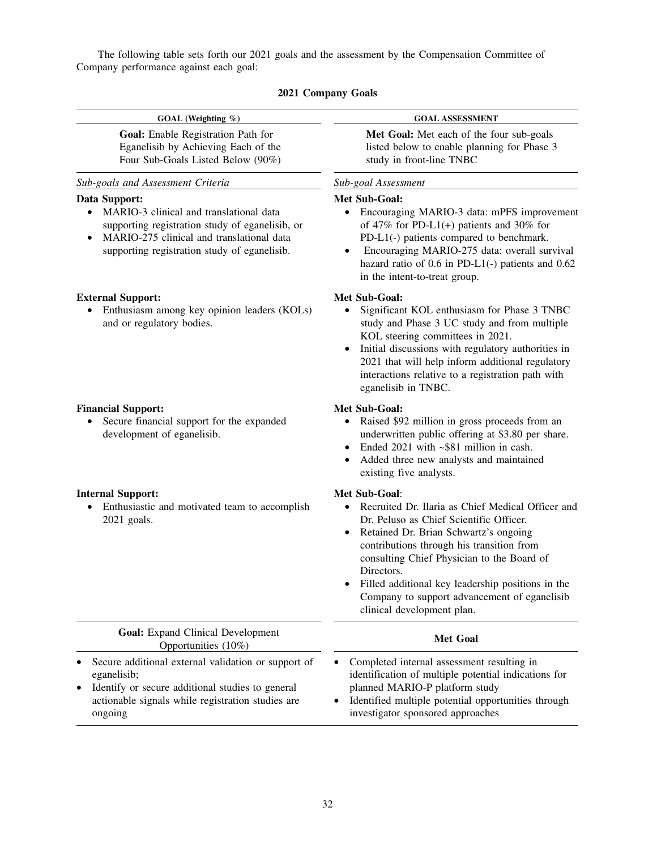The following table sets forth our 2021 goals and the assessment by the Compensation Committee of Company performance against each goal:

|  | 2021 Company Goals |  |
|--|--------------------|--|
|--|--------------------|--|

| GOAL (Weighting %)                                                                                                                                                                                       | <b>GOAL ASSESSMENT</b>                                                                                                                                                                                                                                                                                                                                                                             |
|----------------------------------------------------------------------------------------------------------------------------------------------------------------------------------------------------------|----------------------------------------------------------------------------------------------------------------------------------------------------------------------------------------------------------------------------------------------------------------------------------------------------------------------------------------------------------------------------------------------------|
| Goal: Enable Registration Path for<br>Eganelisib by Achieving Each of the<br>Four Sub-Goals Listed Below (90%)                                                                                           | Met Goal: Met each of the four sub-goals<br>listed below to enable planning for Phase 3<br>study in front-line TNBC                                                                                                                                                                                                                                                                                |
| Sub-goals and Assessment Criteria                                                                                                                                                                        | Sub-goal Assessment                                                                                                                                                                                                                                                                                                                                                                                |
| Data Support:<br>MARIO-3 clinical and translational data<br>supporting registration study of eganelisib, or<br>MARIO-275 clinical and translational data<br>supporting registration study of eganelisib. | Met Sub-Goal:<br>Encouraging MARIO-3 data: mPFS improvement<br>of 47% for PD-L1(+) patients and 30% for<br>PD-L1(-) patients compared to benchmark.<br>Encouraging MARIO-275 data: overall survival<br>hazard ratio of 0.6 in PD-L1(-) patients and 0.62<br>in the intent-to-treat group.                                                                                                          |
| <b>External Support:</b><br>Enthusiasm among key opinion leaders (KOLs)<br>and or regulatory bodies.                                                                                                     | <b>Met Sub-Goal:</b><br>Significant KOL enthusiasm for Phase 3 TNBC<br>study and Phase 3 UC study and from multiple<br>KOL steering committees in 2021.<br>Initial discussions with regulatory authorities in<br>2021 that will help inform additional regulatory<br>interactions relative to a registration path with<br>eganelisib in TNBC.                                                      |
| <b>Financial Support:</b><br>Secure financial support for the expanded<br>development of eganelisib.                                                                                                     | Met Sub-Goal:<br>Raised \$92 million in gross proceeds from an<br>$\bullet$<br>underwritten public offering at \$3.80 per share.<br>Ended 2021 with ~\$81 million in cash.<br>Added three new analysts and maintained<br>existing five analysts.                                                                                                                                                   |
| <b>Internal Support:</b><br>Enthusiastic and motivated team to accomplish<br>2021 goals.                                                                                                                 | Met Sub-Goal:<br>Recruited Dr. Ilaria as Chief Medical Officer and<br>Dr. Peluso as Chief Scientific Officer.<br>Retained Dr. Brian Schwartz's ongoing<br>contributions through his transition from<br>consulting Chief Physician to the Board of<br>Directors.<br>Filled additional key leadership positions in the<br>Company to support advancement of eganelisib<br>clinical development plan. |
| <b>Goal:</b> Expand Clinical Development<br>Opportunities (10%)                                                                                                                                          | <b>Met Goal</b>                                                                                                                                                                                                                                                                                                                                                                                    |
| Secure additional external validation or support of<br>eganelisib;<br>Identify or secure additional studies to general<br>$\bullet$<br>actionable signals while registration studies are                 | Completed internal assessment resulting in<br>identification of multiple potential indications for<br>planned MARIO-P platform study<br>Identified multiple potential opportunities through<br>٠                                                                                                                                                                                                   |

ongoing

investigator sponsored approaches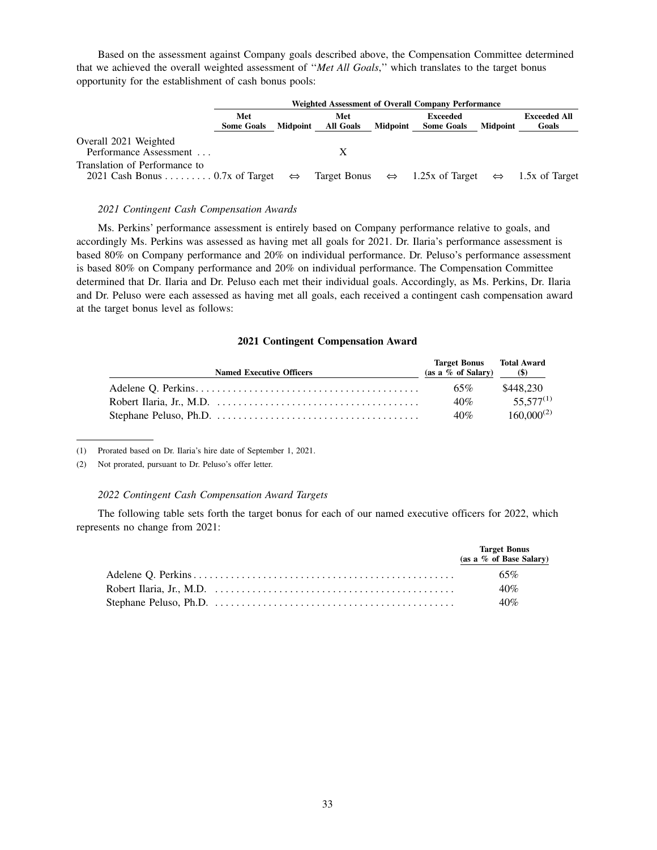Based on the assessment against Company goals described above, the Compensation Committee determined that we achieved the overall weighted assessment of ''*Met All Goals*,'' which translates to the target bonus opportunity for the establishment of cash bonus pools:

|                                                                                   | Weighted Assessment of Overall Company Performance |                 |                         |                 |                                                                                 |                 |                              |  |
|-----------------------------------------------------------------------------------|----------------------------------------------------|-----------------|-------------------------|-----------------|---------------------------------------------------------------------------------|-----------------|------------------------------|--|
|                                                                                   | Met<br><b>Some Goals</b>                           | <b>Midpoint</b> | Met<br><b>All Goals</b> | <b>Midpoint</b> | Exceeded<br><b>Some Goals</b>                                                   | <b>Midpoint</b> | <b>Exceeded All</b><br>Goals |  |
| Overall 2021 Weighted<br>Performance Assessment                                   |                                                    |                 |                         |                 |                                                                                 |                 |                              |  |
| Translation of Performance to<br>2021 Cash Bonus 0.7x of Target $\Leftrightarrow$ |                                                    |                 |                         |                 | Target Bonus $\Leftrightarrow$ 1.25x of Target $\Leftrightarrow$ 1.5x of Target |                 |                              |  |

#### *2021 Contingent Cash Compensation Awards*

Ms. Perkins' performance assessment is entirely based on Company performance relative to goals, and accordingly Ms. Perkins was assessed as having met all goals for 2021. Dr. Ilaria's performance assessment is based 80% on Company performance and 20% on individual performance. Dr. Peluso's performance assessment is based 80% on Company performance and 20% on individual performance. The Compensation Committee determined that Dr. Ilaria and Dr. Peluso each met their individual goals. Accordingly, as Ms. Perkins, Dr. Ilaria and Dr. Peluso were each assessed as having met all goals, each received a contingent cash compensation award at the target bonus level as follows:

## **2021 Contingent Compensation Award**

| <b>Named Executive Officers</b>                                                                          | <b>Target Bonus</b> Total Award<br>$(as a \% of Salary)$ (\$) |                 |
|----------------------------------------------------------------------------------------------------------|---------------------------------------------------------------|-----------------|
|                                                                                                          | 65%                                                           | \$448.230       |
| Robert Ilaria, Jr., M.D. $\dots \dots \dots \dots \dots \dots \dots \dots \dots \dots \dots \dots \dots$ | 40%                                                           | $55.577^{(1)}$  |
|                                                                                                          | 40%                                                           | $160,000^{(2)}$ |

(1) Prorated based on Dr. Ilaria's hire date of September 1, 2021.

(2) Not prorated, pursuant to Dr. Peluso's offer letter.

#### *2022 Contingent Cash Compensation Award Targets*

The following table sets forth the target bonus for each of our named executive officers for 2022, which represents no change from 2021:

|                                                                                                                            | <b>Target Bonus</b><br>(as a % of Base Salary) |
|----------------------------------------------------------------------------------------------------------------------------|------------------------------------------------|
|                                                                                                                            | $65\%$                                         |
| Robert Ilaria, Jr., M.D. $\dots \dots \dots \dots \dots \dots \dots \dots \dots \dots \dots \dots \dots \dots \dots \dots$ | 40%                                            |
|                                                                                                                            | 40%                                            |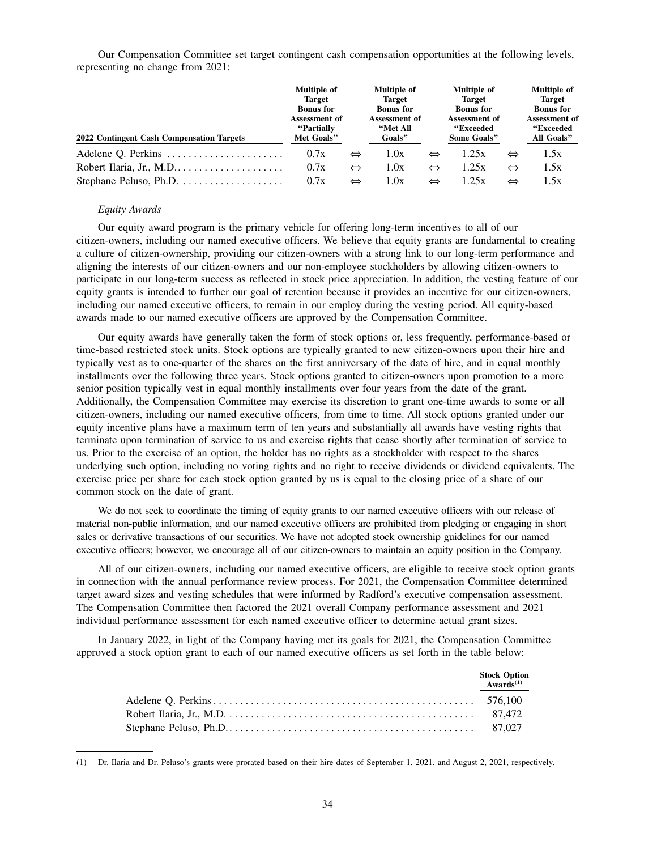Our Compensation Committee set target contingent cash compensation opportunities at the following levels, representing no change from 2021:

|                                                              | <b>Multiple of</b>                         |                   | <b>Multiple of</b>                  |                   | <b>Multiple of</b>                        |                   | <b>Multiple of</b>                       |  |
|--------------------------------------------------------------|--------------------------------------------|-------------------|-------------------------------------|-------------------|-------------------------------------------|-------------------|------------------------------------------|--|
|                                                              | <b>Target</b><br><b>Bonus</b> for          |                   | <b>Target</b><br><b>Bonus</b> for   |                   | <b>Target</b><br><b>Bonus</b> for         |                   | <b>Target</b><br><b>Bonus</b> for        |  |
| 2022 Contingent Cash Compensation Targets                    | Assessment of<br>"Partially"<br>Met Goals" |                   | Assessment of<br>"Met All<br>Goals" |                   | Assessment of<br>"Exceeded<br>Some Goals" |                   | Assessment of<br>"Exceeded<br>All Goals" |  |
| Adelene Q. Perkins                                           | 0.7x                                       | $\Leftrightarrow$ | 1.0x                                | $\Leftrightarrow$ | 1.25x                                     | $\Leftrightarrow$ | 1.5x                                     |  |
|                                                              | 0.7x                                       | $\Leftrightarrow$ | 1.0x                                | $\Leftrightarrow$ | 1.25x                                     | $\Leftrightarrow$ | 1.5x                                     |  |
| Stephane Peluso, Ph.D. $\dots \dots \dots \dots \dots \dots$ | 0.7x                                       | $\Leftrightarrow$ | 1.0x                                | $\Leftrightarrow$ | 1.25x                                     | $\Leftrightarrow$ | 1.5x                                     |  |

## *Equity Awards*

Our equity award program is the primary vehicle for offering long-term incentives to all of our citizen-owners, including our named executive officers. We believe that equity grants are fundamental to creating a culture of citizen-ownership, providing our citizen-owners with a strong link to our long-term performance and aligning the interests of our citizen-owners and our non-employee stockholders by allowing citizen-owners to participate in our long-term success as reflected in stock price appreciation. In addition, the vesting feature of our equity grants is intended to further our goal of retention because it provides an incentive for our citizen-owners, including our named executive officers, to remain in our employ during the vesting period. All equity-based awards made to our named executive officers are approved by the Compensation Committee.

Our equity awards have generally taken the form of stock options or, less frequently, performance-based or time-based restricted stock units. Stock options are typically granted to new citizen-owners upon their hire and typically vest as to one-quarter of the shares on the first anniversary of the date of hire, and in equal monthly installments over the following three years. Stock options granted to citizen-owners upon promotion to a more senior position typically vest in equal monthly installments over four years from the date of the grant. Additionally, the Compensation Committee may exercise its discretion to grant one-time awards to some or all citizen-owners, including our named executive officers, from time to time. All stock options granted under our equity incentive plans have a maximum term of ten years and substantially all awards have vesting rights that terminate upon termination of service to us and exercise rights that cease shortly after termination of service to us. Prior to the exercise of an option, the holder has no rights as a stockholder with respect to the shares underlying such option, including no voting rights and no right to receive dividends or dividend equivalents. The exercise price per share for each stock option granted by us is equal to the closing price of a share of our common stock on the date of grant.

We do not seek to coordinate the timing of equity grants to our named executive officers with our release of material non-public information, and our named executive officers are prohibited from pledging or engaging in short sales or derivative transactions of our securities. We have not adopted stock ownership guidelines for our named executive officers; however, we encourage all of our citizen-owners to maintain an equity position in the Company.

All of our citizen-owners, including our named executive officers, are eligible to receive stock option grants in connection with the annual performance review process. For 2021, the Compensation Committee determined target award sizes and vesting schedules that were informed by Radford's executive compensation assessment. The Compensation Committee then factored the 2021 overall Company performance assessment and 2021 individual performance assessment for each named executive officer to determine actual grant sizes.

In January 2022, in light of the Company having met its goals for 2021, the Compensation Committee approved a stock option grant to each of our named executive officers as set forth in the table below:

| <b>Stock Option</b><br>$Awards^{(1)}$ |
|---------------------------------------|
|                                       |
|                                       |
|                                       |

<sup>(1)</sup> Dr. Ilaria and Dr. Peluso's grants were prorated based on their hire dates of September 1, 2021, and August 2, 2021, respectively.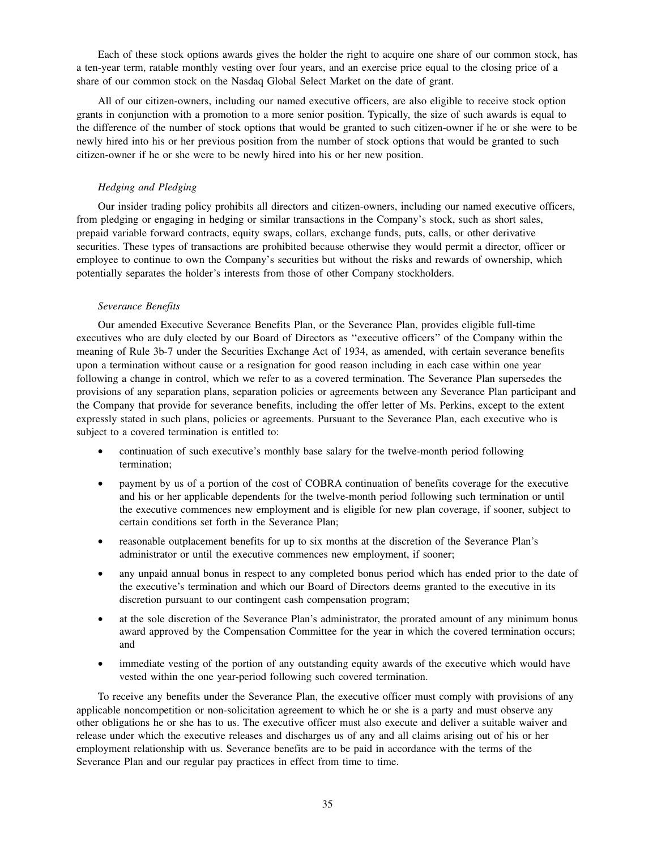Each of these stock options awards gives the holder the right to acquire one share of our common stock, has a ten-year term, ratable monthly vesting over four years, and an exercise price equal to the closing price of a share of our common stock on the Nasdaq Global Select Market on the date of grant.

All of our citizen-owners, including our named executive officers, are also eligible to receive stock option grants in conjunction with a promotion to a more senior position. Typically, the size of such awards is equal to the difference of the number of stock options that would be granted to such citizen-owner if he or she were to be newly hired into his or her previous position from the number of stock options that would be granted to such citizen-owner if he or she were to be newly hired into his or her new position.

# *Hedging and Pledging*

Our insider trading policy prohibits all directors and citizen-owners, including our named executive officers, from pledging or engaging in hedging or similar transactions in the Company's stock, such as short sales, prepaid variable forward contracts, equity swaps, collars, exchange funds, puts, calls, or other derivative securities. These types of transactions are prohibited because otherwise they would permit a director, officer or employee to continue to own the Company's securities but without the risks and rewards of ownership, which potentially separates the holder's interests from those of other Company stockholders.

## *Severance Benefits*

Our amended Executive Severance Benefits Plan, or the Severance Plan, provides eligible full-time executives who are duly elected by our Board of Directors as ''executive officers'' of the Company within the meaning of Rule 3b-7 under the Securities Exchange Act of 1934, as amended, with certain severance benefits upon a termination without cause or a resignation for good reason including in each case within one year following a change in control, which we refer to as a covered termination. The Severance Plan supersedes the provisions of any separation plans, separation policies or agreements between any Severance Plan participant and the Company that provide for severance benefits, including the offer letter of Ms. Perkins, except to the extent expressly stated in such plans, policies or agreements. Pursuant to the Severance Plan, each executive who is subject to a covered termination is entitled to:

- continuation of such executive's monthly base salary for the twelve-month period following termination;
- payment by us of a portion of the cost of COBRA continuation of benefits coverage for the executive and his or her applicable dependents for the twelve-month period following such termination or until the executive commences new employment and is eligible for new plan coverage, if sooner, subject to certain conditions set forth in the Severance Plan;
- reasonable outplacement benefits for up to six months at the discretion of the Severance Plan's administrator or until the executive commences new employment, if sooner;
- any unpaid annual bonus in respect to any completed bonus period which has ended prior to the date of the executive's termination and which our Board of Directors deems granted to the executive in its discretion pursuant to our contingent cash compensation program;
- at the sole discretion of the Severance Plan's administrator, the prorated amount of any minimum bonus award approved by the Compensation Committee for the year in which the covered termination occurs; and
- immediate vesting of the portion of any outstanding equity awards of the executive which would have vested within the one year-period following such covered termination.

To receive any benefits under the Severance Plan, the executive officer must comply with provisions of any applicable noncompetition or non-solicitation agreement to which he or she is a party and must observe any other obligations he or she has to us. The executive officer must also execute and deliver a suitable waiver and release under which the executive releases and discharges us of any and all claims arising out of his or her employment relationship with us. Severance benefits are to be paid in accordance with the terms of the Severance Plan and our regular pay practices in effect from time to time.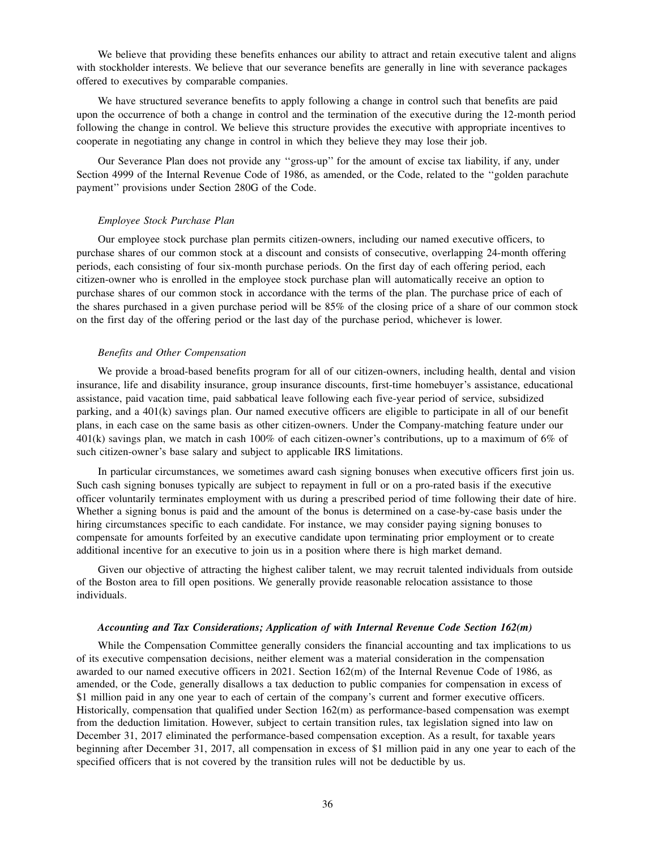We believe that providing these benefits enhances our ability to attract and retain executive talent and aligns with stockholder interests. We believe that our severance benefits are generally in line with severance packages offered to executives by comparable companies.

We have structured severance benefits to apply following a change in control such that benefits are paid upon the occurrence of both a change in control and the termination of the executive during the 12-month period following the change in control. We believe this structure provides the executive with appropriate incentives to cooperate in negotiating any change in control in which they believe they may lose their job.

Our Severance Plan does not provide any ''gross-up'' for the amount of excise tax liability, if any, under Section 4999 of the Internal Revenue Code of 1986, as amended, or the Code, related to the ''golden parachute payment'' provisions under Section 280G of the Code.

### *Employee Stock Purchase Plan*

Our employee stock purchase plan permits citizen-owners, including our named executive officers, to purchase shares of our common stock at a discount and consists of consecutive, overlapping 24-month offering periods, each consisting of four six-month purchase periods. On the first day of each offering period, each citizen-owner who is enrolled in the employee stock purchase plan will automatically receive an option to purchase shares of our common stock in accordance with the terms of the plan. The purchase price of each of the shares purchased in a given purchase period will be 85% of the closing price of a share of our common stock on the first day of the offering period or the last day of the purchase period, whichever is lower.

#### *Benefits and Other Compensation*

We provide a broad-based benefits program for all of our citizen-owners, including health, dental and vision insurance, life and disability insurance, group insurance discounts, first-time homebuyer's assistance, educational assistance, paid vacation time, paid sabbatical leave following each five-year period of service, subsidized parking, and a 401(k) savings plan. Our named executive officers are eligible to participate in all of our benefit plans, in each case on the same basis as other citizen-owners. Under the Company-matching feature under our 401(k) savings plan, we match in cash 100% of each citizen-owner's contributions, up to a maximum of 6% of such citizen-owner's base salary and subject to applicable IRS limitations.

In particular circumstances, we sometimes award cash signing bonuses when executive officers first join us. Such cash signing bonuses typically are subject to repayment in full or on a pro-rated basis if the executive officer voluntarily terminates employment with us during a prescribed period of time following their date of hire. Whether a signing bonus is paid and the amount of the bonus is determined on a case-by-case basis under the hiring circumstances specific to each candidate. For instance, we may consider paying signing bonuses to compensate for amounts forfeited by an executive candidate upon terminating prior employment or to create additional incentive for an executive to join us in a position where there is high market demand.

Given our objective of attracting the highest caliber talent, we may recruit talented individuals from outside of the Boston area to fill open positions. We generally provide reasonable relocation assistance to those individuals.

## *Accounting and Tax Considerations; Application of with Internal Revenue Code Section 162(m)*

While the Compensation Committee generally considers the financial accounting and tax implications to us of its executive compensation decisions, neither element was a material consideration in the compensation awarded to our named executive officers in 2021. Section 162(m) of the Internal Revenue Code of 1986, as amended, or the Code, generally disallows a tax deduction to public companies for compensation in excess of \$1 million paid in any one year to each of certain of the company's current and former executive officers. Historically, compensation that qualified under Section 162(m) as performance-based compensation was exempt from the deduction limitation. However, subject to certain transition rules, tax legislation signed into law on December 31, 2017 eliminated the performance-based compensation exception. As a result, for taxable years beginning after December 31, 2017, all compensation in excess of \$1 million paid in any one year to each of the specified officers that is not covered by the transition rules will not be deductible by us.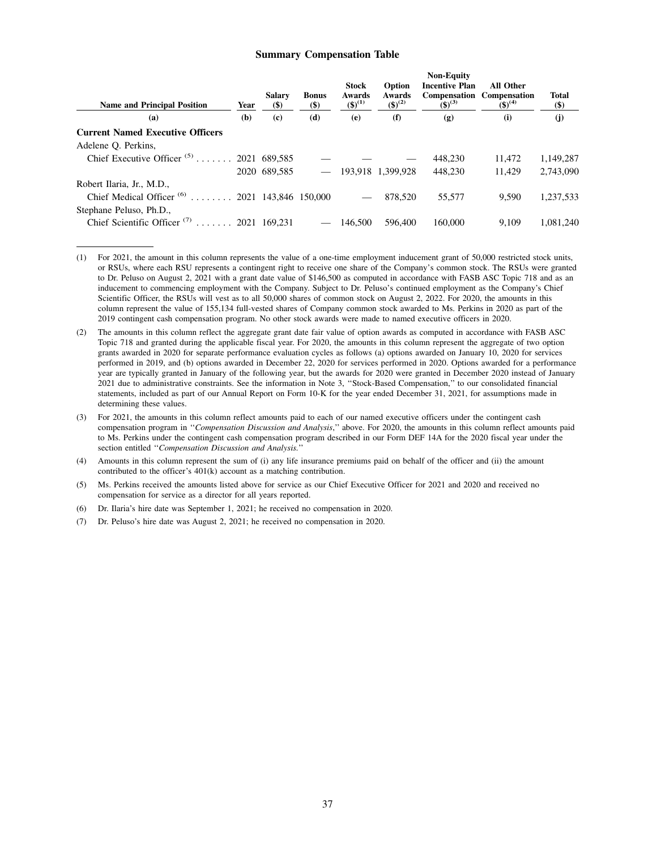### **Summary Compensation Table**

| <b>Name and Principal Position</b>                        | Year | <b>Salarv</b><br>$(\$)$ | <b>Bonus</b><br>$(\$)$   | <b>Stock</b><br>Awards<br>$({\$})^{(1)}$ | Option<br>Awards<br>$({\$})^{(2)}$ | <b>Non-Equity</b><br><b>Incentive Plan</b><br>$(5)^{(3)}$ | <b>All Other</b><br><b>Compensation</b> Compensation<br>$(3)^{(4)}$ | Total<br>$($)$ |
|-----------------------------------------------------------|------|-------------------------|--------------------------|------------------------------------------|------------------------------------|-----------------------------------------------------------|---------------------------------------------------------------------|----------------|
| (a)                                                       | (b)  | (c)                     | (d)                      | (e)                                      | (f)                                | $\left( \mathbf{g} \right)$                               | (i)                                                                 | (i)            |
| <b>Current Named Executive Officers</b>                   |      |                         |                          |                                          |                                    |                                                           |                                                                     |                |
| Adelene O. Perkins,                                       |      |                         |                          |                                          |                                    |                                                           |                                                                     |                |
| Chief Executive Officer <sup>(5)</sup> 2021 689,585       |      |                         |                          |                                          |                                    | 448.230                                                   | 11.472                                                              | 1,149,287      |
|                                                           |      | 2020 689.585            |                          |                                          | 193,918 1,399,928                  | 448,230                                                   | 11.429                                                              | 2,743,090      |
| Robert Ilaria, Jr., M.D.,                                 |      |                         |                          |                                          |                                    |                                                           |                                                                     |                |
| Chief Medical Officer <sup>(6)</sup> 2021 143,846 150,000 |      |                         |                          |                                          | 878,520                            | 55.577                                                    | 9.590                                                               | 1,237,533      |
| Stephane Peluso, Ph.D.,                                   |      |                         |                          |                                          |                                    |                                                           |                                                                     |                |
| Chief Scientific Officer <sup>(7)</sup> 2021 169,231      |      |                         | $\overline{\phantom{a}}$ | 146.500                                  | 596,400                            | 160,000                                                   | 9.109                                                               | 1.081.240      |

<sup>(1)</sup> For 2021, the amount in this column represents the value of a one-time employment inducement grant of 50,000 restricted stock units, or RSUs, where each RSU represents a contingent right to receive one share of the Company's common stock. The RSUs were granted to Dr. Peluso on August 2, 2021 with a grant date value of \$146,500 as computed in accordance with FASB ASC Topic 718 and as an inducement to commencing employment with the Company. Subject to Dr. Peluso's continued employment as the Company's Chief Scientific Officer, the RSUs will vest as to all 50,000 shares of common stock on August 2, 2022. For 2020, the amounts in this column represent the value of 155,134 full-vested shares of Company common stock awarded to Ms. Perkins in 2020 as part of the 2019 contingent cash compensation program. No other stock awards were made to named executive officers in 2020.

- (6) Dr. Ilaria's hire date was September 1, 2021; he received no compensation in 2020.
- (7) Dr. Peluso's hire date was August 2, 2021; he received no compensation in 2020.

<sup>(2)</sup> The amounts in this column reflect the aggregate grant date fair value of option awards as computed in accordance with FASB ASC Topic 718 and granted during the applicable fiscal year. For 2020, the amounts in this column represent the aggregate of two option grants awarded in 2020 for separate performance evaluation cycles as follows (a) options awarded on January 10, 2020 for services performed in 2019, and (b) options awarded in December 22, 2020 for services performed in 2020. Options awarded for a performance year are typically granted in January of the following year, but the awards for 2020 were granted in December 2020 instead of January 2021 due to administrative constraints. See the information in Note 3, ''Stock-Based Compensation,'' to our consolidated financial statements, included as part of our Annual Report on Form 10-K for the year ended December 31, 2021, for assumptions made in determining these values.

<sup>(3)</sup> For 2021, the amounts in this column reflect amounts paid to each of our named executive officers under the contingent cash compensation program in ''*Compensation Discussion and Analysis*,'' above. For 2020, the amounts in this column reflect amounts paid to Ms. Perkins under the contingent cash compensation program described in our Form DEF 14A for the 2020 fiscal year under the section entitled ''*Compensation Discussion and Analysis.*''

<sup>(4)</sup> Amounts in this column represent the sum of (i) any life insurance premiums paid on behalf of the officer and (ii) the amount contributed to the officer's 401(k) account as a matching contribution.

<sup>(5)</sup> Ms. Perkins received the amounts listed above for service as our Chief Executive Officer for 2021 and 2020 and received no compensation for service as a director for all years reported.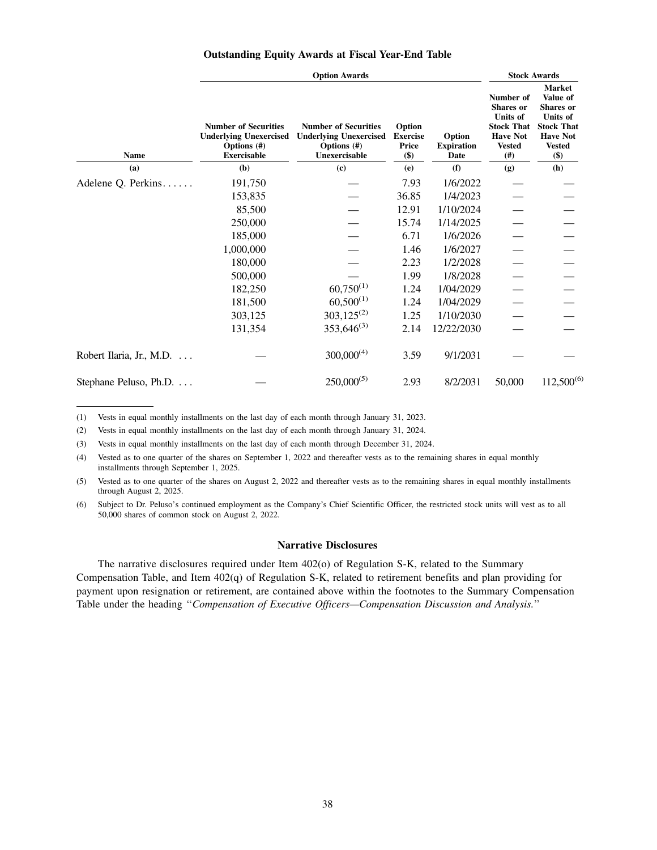|  | <b>Outstanding Equity Awards at Fiscal Year-End Table</b> |  |  |  |  |
|--|-----------------------------------------------------------|--|--|--|--|
|--|-----------------------------------------------------------|--|--|--|--|

| <b>Option Awards</b>     |                                                                                                      |                                                                                                 |                                                  |                                     |                                                                                                                   | <b>Stock Awards</b>                                                                                                              |  |  |
|--------------------------|------------------------------------------------------------------------------------------------------|-------------------------------------------------------------------------------------------------|--------------------------------------------------|-------------------------------------|-------------------------------------------------------------------------------------------------------------------|----------------------------------------------------------------------------------------------------------------------------------|--|--|
| Name                     | <b>Number of Securities</b><br><b>Underlying Unexercised</b><br>Options $(\#)$<br><b>Exercisable</b> | <b>Number of Securities</b><br><b>Underlying Unexercised</b><br>Options $(\#)$<br>Unexercisable | Option<br><b>Exercise</b><br><b>Price</b><br>\$) | Option<br><b>Expiration</b><br>Date | Number of<br><b>Shares</b> or<br><b>Units of</b><br><b>Stock That</b><br><b>Have Not</b><br><b>Vested</b><br>(# ) | <b>Market</b><br>Value of<br><b>Shares</b> or<br><b>Units of</b><br><b>Stock That</b><br><b>Have Not</b><br><b>Vested</b><br>\$) |  |  |
| (a)                      | (b)                                                                                                  | (c)                                                                                             | (e)                                              | (f)                                 | (g)                                                                                                               | (h)                                                                                                                              |  |  |
| Adelene Q. Perkins       | 191,750                                                                                              |                                                                                                 | 7.93                                             | 1/6/2022                            |                                                                                                                   |                                                                                                                                  |  |  |
|                          | 153,835                                                                                              |                                                                                                 | 36.85                                            | 1/4/2023                            |                                                                                                                   |                                                                                                                                  |  |  |
|                          | 85,500                                                                                               |                                                                                                 | 12.91                                            | 1/10/2024                           |                                                                                                                   |                                                                                                                                  |  |  |
|                          | 250,000                                                                                              |                                                                                                 | 15.74                                            | 1/14/2025                           |                                                                                                                   |                                                                                                                                  |  |  |
|                          | 185,000                                                                                              |                                                                                                 | 6.71                                             | 1/6/2026                            |                                                                                                                   |                                                                                                                                  |  |  |
|                          | 1,000,000                                                                                            |                                                                                                 | 1.46                                             | 1/6/2027                            |                                                                                                                   |                                                                                                                                  |  |  |
|                          | 180,000                                                                                              |                                                                                                 | 2.23                                             | 1/2/2028                            |                                                                                                                   |                                                                                                                                  |  |  |
|                          | 500,000                                                                                              |                                                                                                 | 1.99                                             | 1/8/2028                            |                                                                                                                   |                                                                                                                                  |  |  |
|                          | 182,250                                                                                              | $60,750^{(1)}$                                                                                  | 1.24                                             | 1/04/2029                           |                                                                                                                   |                                                                                                                                  |  |  |
|                          | 181,500                                                                                              | $60,500^{(1)}$                                                                                  | 1.24                                             | 1/04/2029                           |                                                                                                                   |                                                                                                                                  |  |  |
|                          | 303,125                                                                                              | $303,125^{(2)}$                                                                                 | 1.25                                             | 1/10/2030                           |                                                                                                                   |                                                                                                                                  |  |  |
|                          | 131,354                                                                                              | $353,646^{(3)}$                                                                                 | 2.14                                             | 12/22/2030                          |                                                                                                                   |                                                                                                                                  |  |  |
| Robert Ilaria, Jr., M.D. |                                                                                                      | $300,000^{(4)}$                                                                                 | 3.59                                             | 9/1/2031                            |                                                                                                                   |                                                                                                                                  |  |  |
| Stephane Peluso, Ph.D.   |                                                                                                      | $250,000^{(5)}$                                                                                 | 2.93                                             | 8/2/2031                            | 50,000                                                                                                            | $112,500^{(6)}$                                                                                                                  |  |  |

(1) Vests in equal monthly installments on the last day of each month through January 31, 2023.

(2) Vests in equal monthly installments on the last day of each month through January 31, 2024.

(3) Vests in equal monthly installments on the last day of each month through December 31, 2024.

(4) Vested as to one quarter of the shares on September 1, 2022 and thereafter vests as to the remaining shares in equal monthly installments through September 1, 2025.

(5) Vested as to one quarter of the shares on August 2, 2022 and thereafter vests as to the remaining shares in equal monthly installments through August 2, 2025.

(6) Subject to Dr. Peluso's continued employment as the Company's Chief Scientific Officer, the restricted stock units will vest as to all 50,000 shares of common stock on August 2, 2022.

# **Narrative Disclosures**

The narrative disclosures required under Item 402(o) of Regulation S-K, related to the Summary Compensation Table, and Item 402(q) of Regulation S-K, related to retirement benefits and plan providing for payment upon resignation or retirement, are contained above within the footnotes to the Summary Compensation Table under the heading ''*Compensation of Executive Officers—Compensation Discussion and Analysis.*''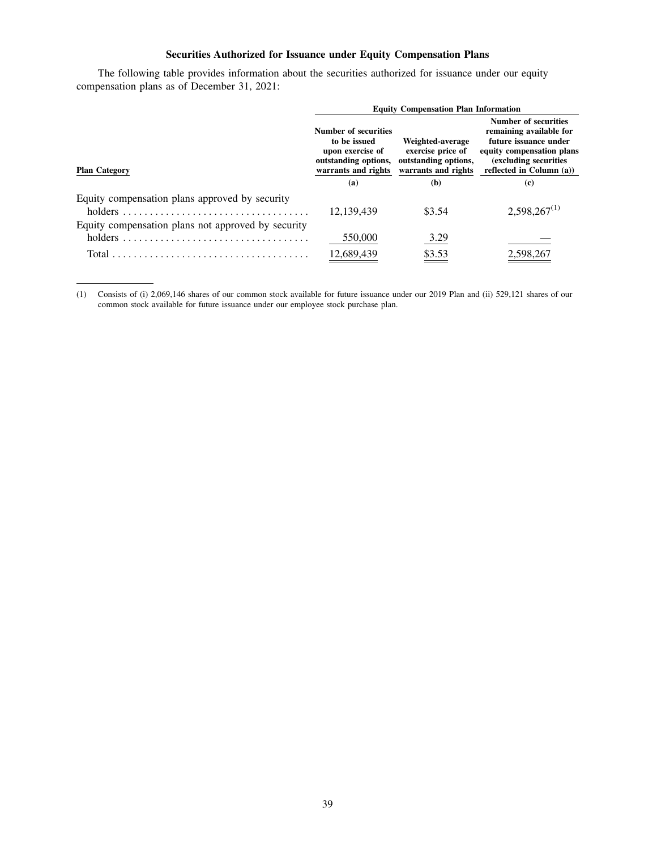# **Securities Authorized for Issuance under Equity Compensation Plans**

The following table provides information about the securities authorized for issuance under our equity compensation plans as of December 31, 2021:

|                                                               | <b>Equity Compensation Plan Information</b>                                                             |                                                                                      |                                                                                                                                                             |  |  |  |  |
|---------------------------------------------------------------|---------------------------------------------------------------------------------------------------------|--------------------------------------------------------------------------------------|-------------------------------------------------------------------------------------------------------------------------------------------------------------|--|--|--|--|
| <b>Plan Category</b>                                          | Number of securities<br>to be issued<br>upon exercise of<br>outstanding options,<br>warrants and rights | Weighted-average<br>exercise price of<br>outstanding options,<br>warrants and rights | Number of securities<br>remaining available for<br>future issuance under<br>equity compensation plans<br>(excluding securities)<br>reflected in Column (a)) |  |  |  |  |
|                                                               | (a)                                                                                                     | (b)                                                                                  | (c)                                                                                                                                                         |  |  |  |  |
| Equity compensation plans approved by security<br>holders     | 12,139,439                                                                                              | \$3.54                                                                               | $2,598,267^{(1)}$                                                                                                                                           |  |  |  |  |
| Equity compensation plans not approved by security<br>holders | 550,000                                                                                                 | <u>3.29</u>                                                                          |                                                                                                                                                             |  |  |  |  |
| Total                                                         | 12,689,439                                                                                              | 83.53                                                                                | 2,598,267                                                                                                                                                   |  |  |  |  |

(1) Consists of (i) 2,069,146 shares of our common stock available for future issuance under our 2019 Plan and (ii) 529,121 shares of our common stock available for future issuance under our employee stock purchase plan.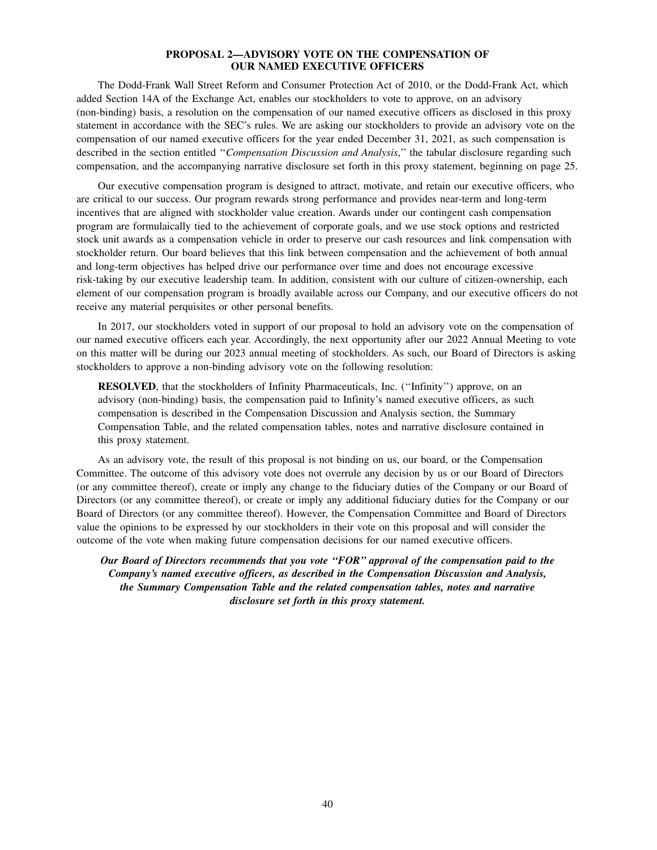# **PROPOSAL 2—ADVISORY VOTE ON THE COMPENSATION OF OUR NAMED EXECUTIVE OFFICERS**

The Dodd-Frank Wall Street Reform and Consumer Protection Act of 2010, or the Dodd-Frank Act, which added Section 14A of the Exchange Act, enables our stockholders to vote to approve, on an advisory (non-binding) basis, a resolution on the compensation of our named executive officers as disclosed in this proxy statement in accordance with the SEC's rules. We are asking our stockholders to provide an advisory vote on the compensation of our named executive officers for the year ended December 31, 2021, as such compensation is described in the section entitled ''*Compensation Discussion and Analysis*,'' the tabular disclosure regarding such compensation, and the accompanying narrative disclosure set forth in this proxy statement, beginning on page 25.

Our executive compensation program is designed to attract, motivate, and retain our executive officers, who are critical to our success. Our program rewards strong performance and provides near-term and long-term incentives that are aligned with stockholder value creation. Awards under our contingent cash compensation program are formulaically tied to the achievement of corporate goals, and we use stock options and restricted stock unit awards as a compensation vehicle in order to preserve our cash resources and link compensation with stockholder return. Our board believes that this link between compensation and the achievement of both annual and long-term objectives has helped drive our performance over time and does not encourage excessive risk-taking by our executive leadership team. In addition, consistent with our culture of citizen-ownership, each element of our compensation program is broadly available across our Company, and our executive officers do not receive any material perquisites or other personal benefits.

In 2017, our stockholders voted in support of our proposal to hold an advisory vote on the compensation of our named executive officers each year. Accordingly, the next opportunity after our 2022 Annual Meeting to vote on this matter will be during our 2023 annual meeting of stockholders. As such, our Board of Directors is asking stockholders to approve a non-binding advisory vote on the following resolution:

**RESOLVED**, that the stockholders of Infinity Pharmaceuticals, Inc. (''Infinity'') approve, on an advisory (non-binding) basis, the compensation paid to Infinity's named executive officers, as such compensation is described in the Compensation Discussion and Analysis section, the Summary Compensation Table, and the related compensation tables, notes and narrative disclosure contained in this proxy statement.

As an advisory vote, the result of this proposal is not binding on us, our board, or the Compensation Committee. The outcome of this advisory vote does not overrule any decision by us or our Board of Directors (or any committee thereof), create or imply any change to the fiduciary duties of the Company or our Board of Directors (or any committee thereof), or create or imply any additional fiduciary duties for the Company or our Board of Directors (or any committee thereof). However, the Compensation Committee and Board of Directors value the opinions to be expressed by our stockholders in their vote on this proposal and will consider the outcome of the vote when making future compensation decisions for our named executive officers.

*Our Board of Directors recommends that you vote ''FOR'' approval of the compensation paid to the Company's named executive officers, as described in the Compensation Discussion and Analysis, the Summary Compensation Table and the related compensation tables, notes and narrative disclosure set forth in this proxy statement.*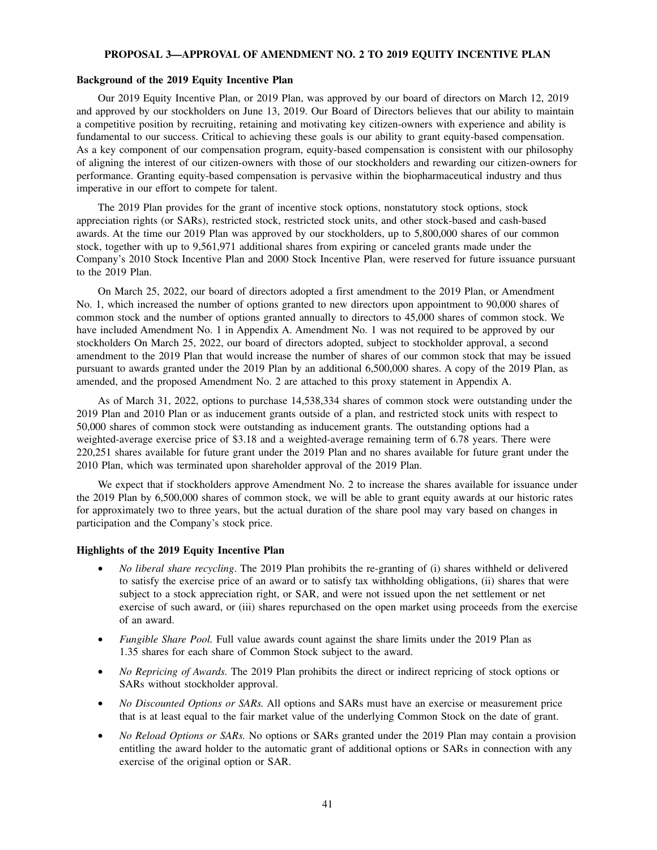#### **PROPOSAL 3—APPROVAL OF AMENDMENT NO. 2 TO 2019 EQUITY INCENTIVE PLAN**

# **Background of the 2019 Equity Incentive Plan**

Our 2019 Equity Incentive Plan, or 2019 Plan, was approved by our board of directors on March 12, 2019 and approved by our stockholders on June 13, 2019. Our Board of Directors believes that our ability to maintain a competitive position by recruiting, retaining and motivating key citizen-owners with experience and ability is fundamental to our success. Critical to achieving these goals is our ability to grant equity-based compensation. As a key component of our compensation program, equity-based compensation is consistent with our philosophy of aligning the interest of our citizen-owners with those of our stockholders and rewarding our citizen-owners for performance. Granting equity-based compensation is pervasive within the biopharmaceutical industry and thus imperative in our effort to compete for talent.

The 2019 Plan provides for the grant of incentive stock options, nonstatutory stock options, stock appreciation rights (or SARs), restricted stock, restricted stock units, and other stock-based and cash-based awards. At the time our 2019 Plan was approved by our stockholders, up to 5,800,000 shares of our common stock, together with up to 9,561,971 additional shares from expiring or canceled grants made under the Company's 2010 Stock Incentive Plan and 2000 Stock Incentive Plan, were reserved for future issuance pursuant to the 2019 Plan.

On March 25, 2022, our board of directors adopted a first amendment to the 2019 Plan, or Amendment No. 1, which increased the number of options granted to new directors upon appointment to 90,000 shares of common stock and the number of options granted annually to directors to 45,000 shares of common stock. We have included Amendment No. 1 in Appendix A. Amendment No. 1 was not required to be approved by our stockholders On March 25, 2022, our board of directors adopted, subject to stockholder approval, a second amendment to the 2019 Plan that would increase the number of shares of our common stock that may be issued pursuant to awards granted under the 2019 Plan by an additional 6,500,000 shares. A copy of the 2019 Plan, as amended, and the proposed Amendment No. 2 are attached to this proxy statement in Appendix A.

As of March 31, 2022, options to purchase 14,538,334 shares of common stock were outstanding under the 2019 Plan and 2010 Plan or as inducement grants outside of a plan, and restricted stock units with respect to 50,000 shares of common stock were outstanding as inducement grants. The outstanding options had a weighted-average exercise price of \$3.18 and a weighted-average remaining term of 6.78 years. There were 220,251 shares available for future grant under the 2019 Plan and no shares available for future grant under the 2010 Plan, which was terminated upon shareholder approval of the 2019 Plan.

We expect that if stockholders approve Amendment No. 2 to increase the shares available for issuance under the 2019 Plan by 6,500,000 shares of common stock, we will be able to grant equity awards at our historic rates for approximately two to three years, but the actual duration of the share pool may vary based on changes in participation and the Company's stock price.

# **Highlights of the 2019 Equity Incentive Plan**

- *No liberal share recycling*. The 2019 Plan prohibits the re-granting of (i) shares withheld or delivered to satisfy the exercise price of an award or to satisfy tax withholding obligations, (ii) shares that were subject to a stock appreciation right, or SAR, and were not issued upon the net settlement or net exercise of such award, or (iii) shares repurchased on the open market using proceeds from the exercise of an award.
- *Fungible Share Pool.* Full value awards count against the share limits under the 2019 Plan as 1.35 shares for each share of Common Stock subject to the award.
- *No Repricing of Awards*. The 2019 Plan prohibits the direct or indirect repricing of stock options or SARs without stockholder approval.
- *No Discounted Options or SARs.* All options and SARs must have an exercise or measurement price that is at least equal to the fair market value of the underlying Common Stock on the date of grant.
- *No Reload Options or SARs.* No options or SARs granted under the 2019 Plan may contain a provision entitling the award holder to the automatic grant of additional options or SARs in connection with any exercise of the original option or SAR.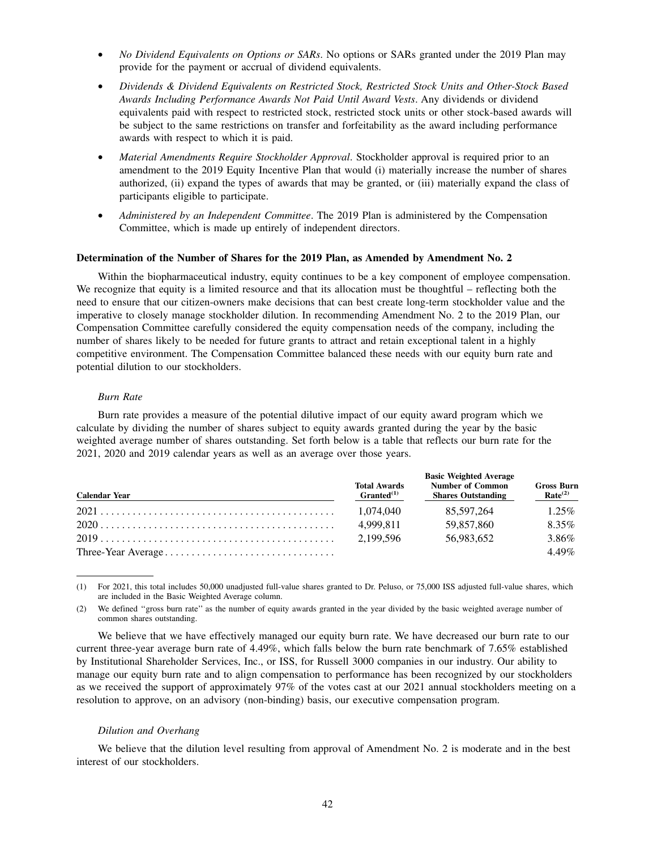- *No Dividend Equivalents on Options or SARs*. No options or SARs granted under the 2019 Plan may provide for the payment or accrual of dividend equivalents.
- *Dividends & Dividend Equivalents on Restricted Stock, Restricted Stock Units and Other-Stock Based Awards Including Performance Awards Not Paid Until Award Vests*. Any dividends or dividend equivalents paid with respect to restricted stock, restricted stock units or other stock-based awards will be subject to the same restrictions on transfer and forfeitability as the award including performance awards with respect to which it is paid.
- *Material Amendments Require Stockholder Approval.* Stockholder approval is required prior to an amendment to the 2019 Equity Incentive Plan that would (i) materially increase the number of shares authorized, (ii) expand the types of awards that may be granted, or (iii) materially expand the class of participants eligible to participate.
- *Administered by an Independent Committee*. The 2019 Plan is administered by the Compensation Committee, which is made up entirely of independent directors.

#### **Determination of the Number of Shares for the 2019 Plan, as Amended by Amendment No. 2**

Within the biopharmaceutical industry, equity continues to be a key component of employee compensation. We recognize that equity is a limited resource and that its allocation must be thoughtful – reflecting both the need to ensure that our citizen-owners make decisions that can best create long-term stockholder value and the imperative to closely manage stockholder dilution. In recommending Amendment No. 2 to the 2019 Plan, our Compensation Committee carefully considered the equity compensation needs of the company, including the number of shares likely to be needed for future grants to attract and retain exceptional talent in a highly competitive environment. The Compensation Committee balanced these needs with our equity burn rate and potential dilution to our stockholders.

#### *Burn Rate*

Burn rate provides a measure of the potential dilutive impact of our equity award program which we calculate by dividing the number of shares subject to equity awards granted during the year by the basic weighted average number of shares outstanding. Set forth below is a table that reflects our burn rate for the 2021, 2020 and 2019 calendar years as well as an average over those years.

| <b>Calendar Year</b> | <b>Total Awards</b><br>$Granded^{(1)}$ | <b>Number of Common</b><br><b>Shares Outstanding</b> | <b>Gross Burn</b><br>Rate <sup>(2)</sup> |
|----------------------|----------------------------------------|------------------------------------------------------|------------------------------------------|
|                      | 1.074.040                              | 85.597.264                                           | $1.25\%$                                 |
|                      | 4.999.811                              | 59.857.860                                           | 8.35%                                    |
|                      | 2.199.596                              | 56.983.652                                           | 3.86%                                    |
|                      |                                        |                                                      | $4.49\%$                                 |

(1) For 2021, this total includes 50,000 unadjusted full-value shares granted to Dr. Peluso, or 75,000 ISS adjusted full-value shares, which are included in the Basic Weighted Average column.

(2) We defined ''gross burn rate'' as the number of equity awards granted in the year divided by the basic weighted average number of common shares outstanding.

We believe that we have effectively managed our equity burn rate. We have decreased our burn rate to our current three-year average burn rate of 4.49%, which falls below the burn rate benchmark of 7.65% established by Institutional Shareholder Services, Inc., or ISS, for Russell 3000 companies in our industry. Our ability to manage our equity burn rate and to align compensation to performance has been recognized by our stockholders as we received the support of approximately 97% of the votes cast at our 2021 annual stockholders meeting on a resolution to approve, on an advisory (non-binding) basis, our executive compensation program.

#### *Dilution and Overhang*

We believe that the dilution level resulting from approval of Amendment No. 2 is moderate and in the best interest of our stockholders.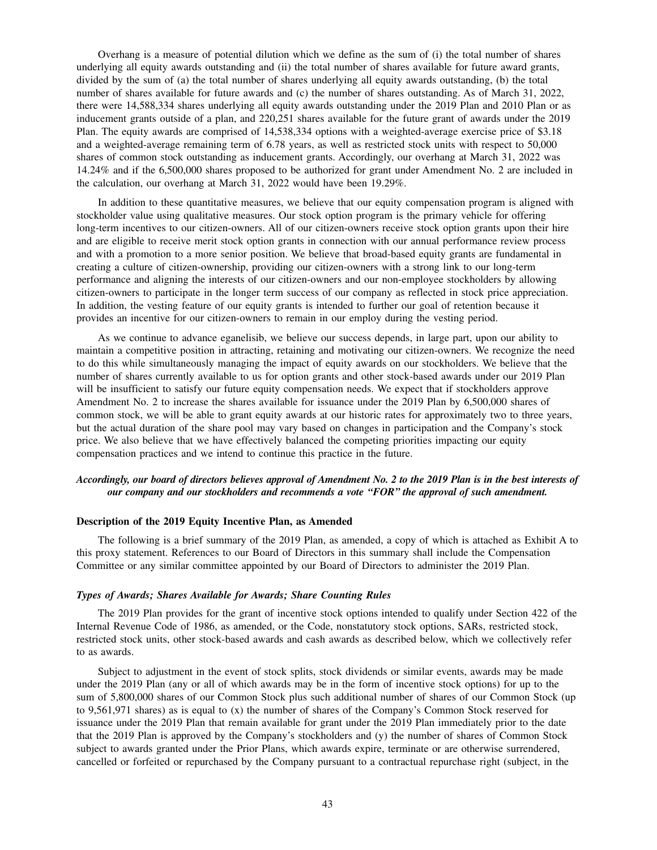Overhang is a measure of potential dilution which we define as the sum of (i) the total number of shares underlying all equity awards outstanding and (ii) the total number of shares available for future award grants, divided by the sum of (a) the total number of shares underlying all equity awards outstanding, (b) the total number of shares available for future awards and (c) the number of shares outstanding. As of March 31, 2022, there were 14,588,334 shares underlying all equity awards outstanding under the 2019 Plan and 2010 Plan or as inducement grants outside of a plan, and 220,251 shares available for the future grant of awards under the 2019 Plan. The equity awards are comprised of 14,538,334 options with a weighted-average exercise price of \$3.18 and a weighted-average remaining term of 6.78 years, as well as restricted stock units with respect to 50,000 shares of common stock outstanding as inducement grants. Accordingly, our overhang at March 31, 2022 was 14.24% and if the 6,500,000 shares proposed to be authorized for grant under Amendment No. 2 are included in the calculation, our overhang at March 31, 2022 would have been 19.29%.

In addition to these quantitative measures, we believe that our equity compensation program is aligned with stockholder value using qualitative measures. Our stock option program is the primary vehicle for offering long-term incentives to our citizen-owners. All of our citizen-owners receive stock option grants upon their hire and are eligible to receive merit stock option grants in connection with our annual performance review process and with a promotion to a more senior position. We believe that broad-based equity grants are fundamental in creating a culture of citizen-ownership, providing our citizen-owners with a strong link to our long-term performance and aligning the interests of our citizen-owners and our non-employee stockholders by allowing citizen-owners to participate in the longer term success of our company as reflected in stock price appreciation. In addition, the vesting feature of our equity grants is intended to further our goal of retention because it provides an incentive for our citizen-owners to remain in our employ during the vesting period.

As we continue to advance eganelisib, we believe our success depends, in large part, upon our ability to maintain a competitive position in attracting, retaining and motivating our citizen-owners. We recognize the need to do this while simultaneously managing the impact of equity awards on our stockholders. We believe that the number of shares currently available to us for option grants and other stock-based awards under our 2019 Plan will be insufficient to satisfy our future equity compensation needs. We expect that if stockholders approve Amendment No. 2 to increase the shares available for issuance under the 2019 Plan by 6,500,000 shares of common stock, we will be able to grant equity awards at our historic rates for approximately two to three years, but the actual duration of the share pool may vary based on changes in participation and the Company's stock price. We also believe that we have effectively balanced the competing priorities impacting our equity compensation practices and we intend to continue this practice in the future.

# *Accordingly, our board of directors believes approval of Amendment No. 2 to the 2019 Plan is in the best interests of our company and our stockholders and recommends a vote ''FOR'' the approval of such amendment.*

#### **Description of the 2019 Equity Incentive Plan, as Amended**

The following is a brief summary of the 2019 Plan, as amended, a copy of which is attached as Exhibit A to this proxy statement. References to our Board of Directors in this summary shall include the Compensation Committee or any similar committee appointed by our Board of Directors to administer the 2019 Plan.

## *Types of Awards; Shares Available for Awards; Share Counting Rules*

The 2019 Plan provides for the grant of incentive stock options intended to qualify under Section 422 of the Internal Revenue Code of 1986, as amended, or the Code, nonstatutory stock options, SARs, restricted stock, restricted stock units, other stock-based awards and cash awards as described below, which we collectively refer to as awards.

Subject to adjustment in the event of stock splits, stock dividends or similar events, awards may be made under the 2019 Plan (any or all of which awards may be in the form of incentive stock options) for up to the sum of 5,800,000 shares of our Common Stock plus such additional number of shares of our Common Stock (up to 9,561,971 shares) as is equal to (x) the number of shares of the Company's Common Stock reserved for issuance under the 2019 Plan that remain available for grant under the 2019 Plan immediately prior to the date that the 2019 Plan is approved by the Company's stockholders and (y) the number of shares of Common Stock subject to awards granted under the Prior Plans, which awards expire, terminate or are otherwise surrendered, cancelled or forfeited or repurchased by the Company pursuant to a contractual repurchase right (subject, in the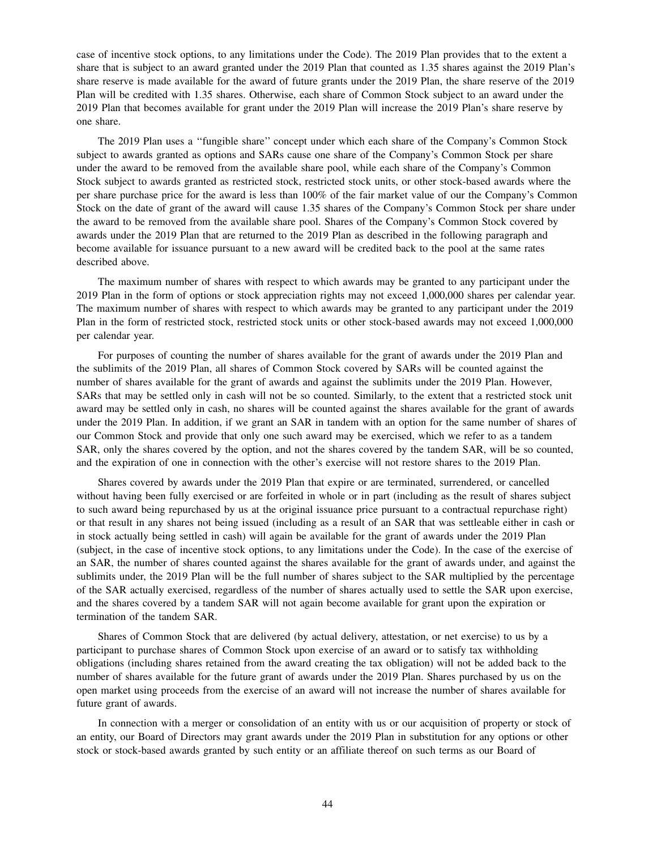case of incentive stock options, to any limitations under the Code). The 2019 Plan provides that to the extent a share that is subject to an award granted under the 2019 Plan that counted as 1.35 shares against the 2019 Plan's share reserve is made available for the award of future grants under the 2019 Plan, the share reserve of the 2019 Plan will be credited with 1.35 shares. Otherwise, each share of Common Stock subject to an award under the 2019 Plan that becomes available for grant under the 2019 Plan will increase the 2019 Plan's share reserve by one share.

The 2019 Plan uses a ''fungible share'' concept under which each share of the Company's Common Stock subject to awards granted as options and SARs cause one share of the Company's Common Stock per share under the award to be removed from the available share pool, while each share of the Company's Common Stock subject to awards granted as restricted stock, restricted stock units, or other stock-based awards where the per share purchase price for the award is less than 100% of the fair market value of our the Company's Common Stock on the date of grant of the award will cause 1.35 shares of the Company's Common Stock per share under the award to be removed from the available share pool. Shares of the Company's Common Stock covered by awards under the 2019 Plan that are returned to the 2019 Plan as described in the following paragraph and become available for issuance pursuant to a new award will be credited back to the pool at the same rates described above.

The maximum number of shares with respect to which awards may be granted to any participant under the 2019 Plan in the form of options or stock appreciation rights may not exceed 1,000,000 shares per calendar year. The maximum number of shares with respect to which awards may be granted to any participant under the 2019 Plan in the form of restricted stock, restricted stock units or other stock-based awards may not exceed 1,000,000 per calendar year.

For purposes of counting the number of shares available for the grant of awards under the 2019 Plan and the sublimits of the 2019 Plan, all shares of Common Stock covered by SARs will be counted against the number of shares available for the grant of awards and against the sublimits under the 2019 Plan. However, SARs that may be settled only in cash will not be so counted. Similarly, to the extent that a restricted stock unit award may be settled only in cash, no shares will be counted against the shares available for the grant of awards under the 2019 Plan. In addition, if we grant an SAR in tandem with an option for the same number of shares of our Common Stock and provide that only one such award may be exercised, which we refer to as a tandem SAR, only the shares covered by the option, and not the shares covered by the tandem SAR, will be so counted, and the expiration of one in connection with the other's exercise will not restore shares to the 2019 Plan.

Shares covered by awards under the 2019 Plan that expire or are terminated, surrendered, or cancelled without having been fully exercised or are forfeited in whole or in part (including as the result of shares subject to such award being repurchased by us at the original issuance price pursuant to a contractual repurchase right) or that result in any shares not being issued (including as a result of an SAR that was settleable either in cash or in stock actually being settled in cash) will again be available for the grant of awards under the 2019 Plan (subject, in the case of incentive stock options, to any limitations under the Code). In the case of the exercise of an SAR, the number of shares counted against the shares available for the grant of awards under, and against the sublimits under, the 2019 Plan will be the full number of shares subject to the SAR multiplied by the percentage of the SAR actually exercised, regardless of the number of shares actually used to settle the SAR upon exercise, and the shares covered by a tandem SAR will not again become available for grant upon the expiration or termination of the tandem SAR.

Shares of Common Stock that are delivered (by actual delivery, attestation, or net exercise) to us by a participant to purchase shares of Common Stock upon exercise of an award or to satisfy tax withholding obligations (including shares retained from the award creating the tax obligation) will not be added back to the number of shares available for the future grant of awards under the 2019 Plan. Shares purchased by us on the open market using proceeds from the exercise of an award will not increase the number of shares available for future grant of awards.

In connection with a merger or consolidation of an entity with us or our acquisition of property or stock of an entity, our Board of Directors may grant awards under the 2019 Plan in substitution for any options or other stock or stock-based awards granted by such entity or an affiliate thereof on such terms as our Board of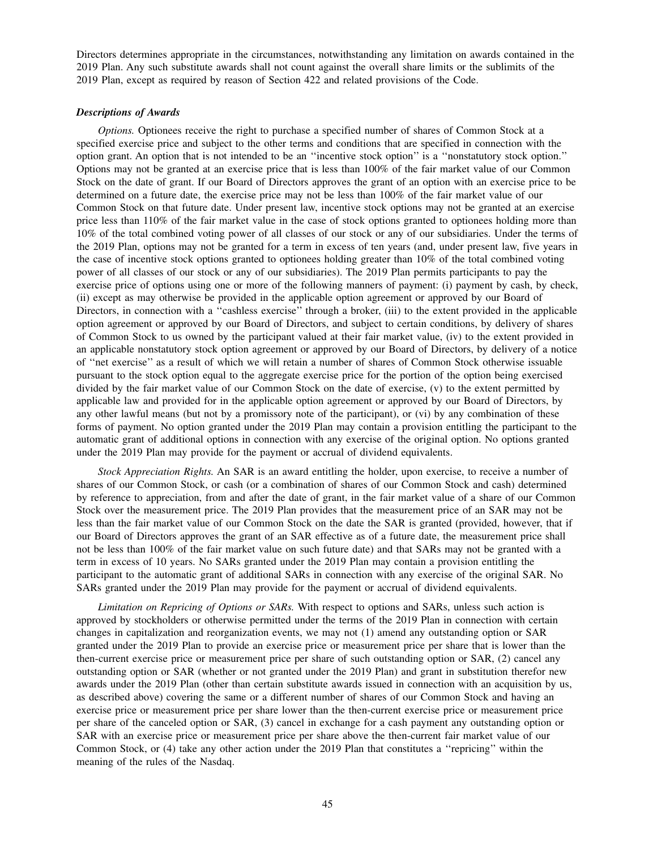Directors determines appropriate in the circumstances, notwithstanding any limitation on awards contained in the 2019 Plan. Any such substitute awards shall not count against the overall share limits or the sublimits of the 2019 Plan, except as required by reason of Section 422 and related provisions of the Code.

# *Descriptions of Awards*

*Options*. Optionees receive the right to purchase a specified number of shares of Common Stock at a specified exercise price and subject to the other terms and conditions that are specified in connection with the option grant. An option that is not intended to be an ''incentive stock option'' is a ''nonstatutory stock option.'' Options may not be granted at an exercise price that is less than 100% of the fair market value of our Common Stock on the date of grant. If our Board of Directors approves the grant of an option with an exercise price to be determined on a future date, the exercise price may not be less than 100% of the fair market value of our Common Stock on that future date. Under present law, incentive stock options may not be granted at an exercise price less than 110% of the fair market value in the case of stock options granted to optionees holding more than 10% of the total combined voting power of all classes of our stock or any of our subsidiaries. Under the terms of the 2019 Plan, options may not be granted for a term in excess of ten years (and, under present law, five years in the case of incentive stock options granted to optionees holding greater than 10% of the total combined voting power of all classes of our stock or any of our subsidiaries). The 2019 Plan permits participants to pay the exercise price of options using one or more of the following manners of payment: (i) payment by cash, by check, (ii) except as may otherwise be provided in the applicable option agreement or approved by our Board of Directors, in connection with a ''cashless exercise'' through a broker, (iii) to the extent provided in the applicable option agreement or approved by our Board of Directors, and subject to certain conditions, by delivery of shares of Common Stock to us owned by the participant valued at their fair market value, (iv) to the extent provided in an applicable nonstatutory stock option agreement or approved by our Board of Directors, by delivery of a notice of ''net exercise'' as a result of which we will retain a number of shares of Common Stock otherwise issuable pursuant to the stock option equal to the aggregate exercise price for the portion of the option being exercised divided by the fair market value of our Common Stock on the date of exercise, (v) to the extent permitted by applicable law and provided for in the applicable option agreement or approved by our Board of Directors, by any other lawful means (but not by a promissory note of the participant), or (vi) by any combination of these forms of payment. No option granted under the 2019 Plan may contain a provision entitling the participant to the automatic grant of additional options in connection with any exercise of the original option. No options granted under the 2019 Plan may provide for the payment or accrual of dividend equivalents.

*Stock Appreciation Rights.* An SAR is an award entitling the holder, upon exercise, to receive a number of shares of our Common Stock, or cash (or a combination of shares of our Common Stock and cash) determined by reference to appreciation, from and after the date of grant, in the fair market value of a share of our Common Stock over the measurement price. The 2019 Plan provides that the measurement price of an SAR may not be less than the fair market value of our Common Stock on the date the SAR is granted (provided, however, that if our Board of Directors approves the grant of an SAR effective as of a future date, the measurement price shall not be less than 100% of the fair market value on such future date) and that SARs may not be granted with a term in excess of 10 years. No SARs granted under the 2019 Plan may contain a provision entitling the participant to the automatic grant of additional SARs in connection with any exercise of the original SAR. No SARs granted under the 2019 Plan may provide for the payment or accrual of dividend equivalents.

*Limitation on Repricing of Options or SARs.* With respect to options and SARs, unless such action is approved by stockholders or otherwise permitted under the terms of the 2019 Plan in connection with certain changes in capitalization and reorganization events, we may not (1) amend any outstanding option or SAR granted under the 2019 Plan to provide an exercise price or measurement price per share that is lower than the then-current exercise price or measurement price per share of such outstanding option or SAR, (2) cancel any outstanding option or SAR (whether or not granted under the 2019 Plan) and grant in substitution therefor new awards under the 2019 Plan (other than certain substitute awards issued in connection with an acquisition by us, as described above) covering the same or a different number of shares of our Common Stock and having an exercise price or measurement price per share lower than the then-current exercise price or measurement price per share of the canceled option or SAR, (3) cancel in exchange for a cash payment any outstanding option or SAR with an exercise price or measurement price per share above the then-current fair market value of our Common Stock, or (4) take any other action under the 2019 Plan that constitutes a ''repricing'' within the meaning of the rules of the Nasdaq.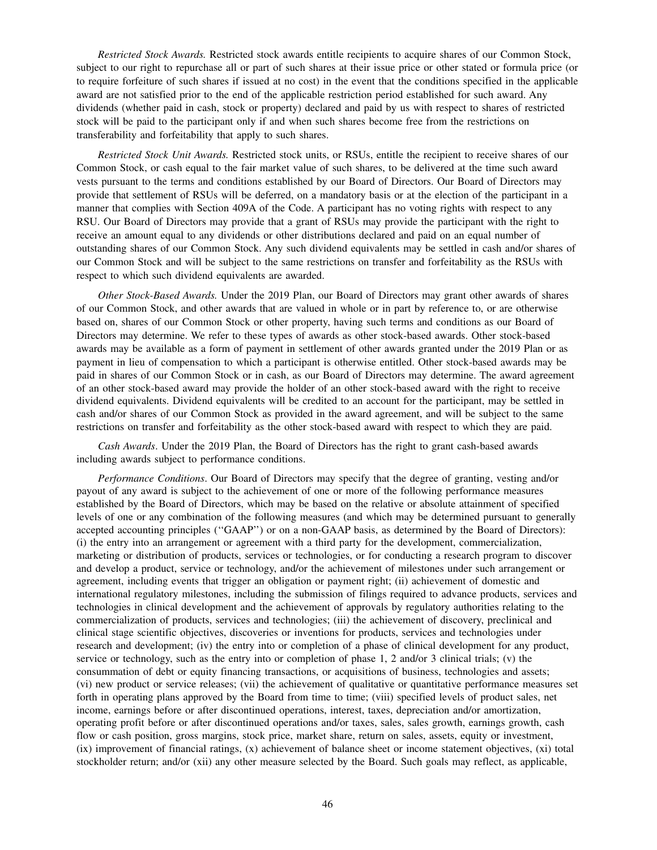*Restricted Stock Awards.* Restricted stock awards entitle recipients to acquire shares of our Common Stock, subject to our right to repurchase all or part of such shares at their issue price or other stated or formula price (or to require forfeiture of such shares if issued at no cost) in the event that the conditions specified in the applicable award are not satisfied prior to the end of the applicable restriction period established for such award. Any dividends (whether paid in cash, stock or property) declared and paid by us with respect to shares of restricted stock will be paid to the participant only if and when such shares become free from the restrictions on transferability and forfeitability that apply to such shares.

*Restricted Stock Unit Awards.* Restricted stock units, or RSUs, entitle the recipient to receive shares of our Common Stock, or cash equal to the fair market value of such shares, to be delivered at the time such award vests pursuant to the terms and conditions established by our Board of Directors. Our Board of Directors may provide that settlement of RSUs will be deferred, on a mandatory basis or at the election of the participant in a manner that complies with Section 409A of the Code. A participant has no voting rights with respect to any RSU. Our Board of Directors may provide that a grant of RSUs may provide the participant with the right to receive an amount equal to any dividends or other distributions declared and paid on an equal number of outstanding shares of our Common Stock. Any such dividend equivalents may be settled in cash and/or shares of our Common Stock and will be subject to the same restrictions on transfer and forfeitability as the RSUs with respect to which such dividend equivalents are awarded.

*Other Stock-Based Awards.* Under the 2019 Plan, our Board of Directors may grant other awards of shares of our Common Stock, and other awards that are valued in whole or in part by reference to, or are otherwise based on, shares of our Common Stock or other property, having such terms and conditions as our Board of Directors may determine. We refer to these types of awards as other stock-based awards. Other stock-based awards may be available as a form of payment in settlement of other awards granted under the 2019 Plan or as payment in lieu of compensation to which a participant is otherwise entitled. Other stock-based awards may be paid in shares of our Common Stock or in cash, as our Board of Directors may determine. The award agreement of an other stock-based award may provide the holder of an other stock-based award with the right to receive dividend equivalents. Dividend equivalents will be credited to an account for the participant, may be settled in cash and/or shares of our Common Stock as provided in the award agreement, and will be subject to the same restrictions on transfer and forfeitability as the other stock-based award with respect to which they are paid.

*Cash Awards*. Under the 2019 Plan, the Board of Directors has the right to grant cash-based awards including awards subject to performance conditions.

*Performance Conditions*. Our Board of Directors may specify that the degree of granting, vesting and/or payout of any award is subject to the achievement of one or more of the following performance measures established by the Board of Directors, which may be based on the relative or absolute attainment of specified levels of one or any combination of the following measures (and which may be determined pursuant to generally accepted accounting principles (''GAAP'') or on a non-GAAP basis, as determined by the Board of Directors): (i) the entry into an arrangement or agreement with a third party for the development, commercialization, marketing or distribution of products, services or technologies, or for conducting a research program to discover and develop a product, service or technology, and/or the achievement of milestones under such arrangement or agreement, including events that trigger an obligation or payment right; (ii) achievement of domestic and international regulatory milestones, including the submission of filings required to advance products, services and technologies in clinical development and the achievement of approvals by regulatory authorities relating to the commercialization of products, services and technologies; (iii) the achievement of discovery, preclinical and clinical stage scientific objectives, discoveries or inventions for products, services and technologies under research and development; (iv) the entry into or completion of a phase of clinical development for any product, service or technology, such as the entry into or completion of phase 1, 2 and/or 3 clinical trials; (v) the consummation of debt or equity financing transactions, or acquisitions of business, technologies and assets; (vi) new product or service releases; (vii) the achievement of qualitative or quantitative performance measures set forth in operating plans approved by the Board from time to time; (viii) specified levels of product sales, net income, earnings before or after discontinued operations, interest, taxes, depreciation and/or amortization, operating profit before or after discontinued operations and/or taxes, sales, sales growth, earnings growth, cash flow or cash position, gross margins, stock price, market share, return on sales, assets, equity or investment, (ix) improvement of financial ratings, (x) achievement of balance sheet or income statement objectives, (xi) total stockholder return; and/or (xii) any other measure selected by the Board. Such goals may reflect, as applicable,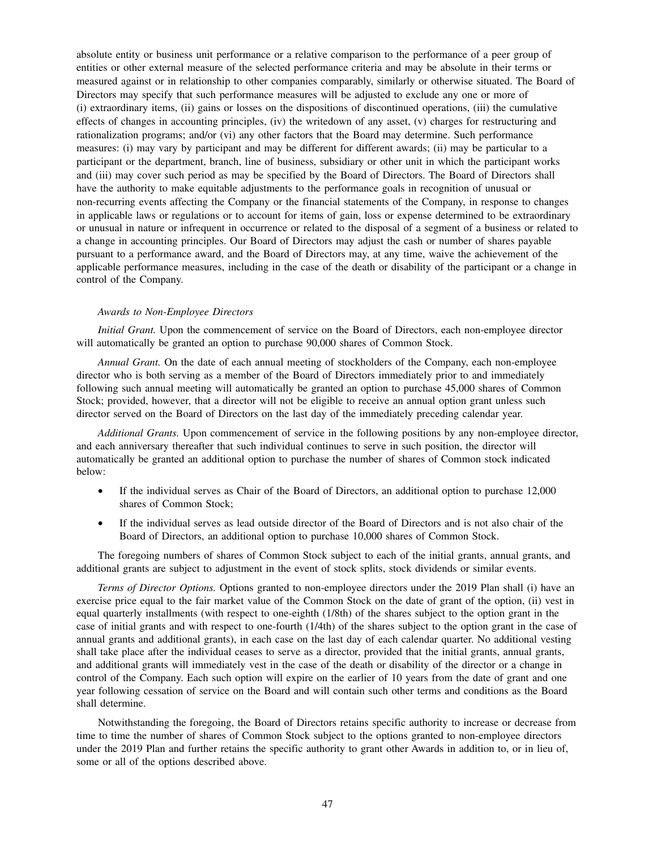absolute entity or business unit performance or a relative comparison to the performance of a peer group of entities or other external measure of the selected performance criteria and may be absolute in their terms or measured against or in relationship to other companies comparably, similarly or otherwise situated. The Board of Directors may specify that such performance measures will be adjusted to exclude any one or more of (i) extraordinary items, (ii) gains or losses on the dispositions of discontinued operations, (iii) the cumulative effects of changes in accounting principles, (iv) the writedown of any asset, (v) charges for restructuring and rationalization programs; and/or (vi) any other factors that the Board may determine. Such performance measures: (i) may vary by participant and may be different for different awards; (ii) may be particular to a participant or the department, branch, line of business, subsidiary or other unit in which the participant works and (iii) may cover such period as may be specified by the Board of Directors. The Board of Directors shall have the authority to make equitable adjustments to the performance goals in recognition of unusual or non-recurring events affecting the Company or the financial statements of the Company, in response to changes in applicable laws or regulations or to account for items of gain, loss or expense determined to be extraordinary or unusual in nature or infrequent in occurrence or related to the disposal of a segment of a business or related to a change in accounting principles. Our Board of Directors may adjust the cash or number of shares payable pursuant to a performance award, and the Board of Directors may, at any time, waive the achievement of the applicable performance measures, including in the case of the death or disability of the participant or a change in control of the Company.

## *Awards to Non-Employee Directors*

*Initial Grant.* Upon the commencement of service on the Board of Directors, each non-employee director will automatically be granted an option to purchase 90,000 shares of Common Stock.

*Annual Grant.* On the date of each annual meeting of stockholders of the Company, each non-employee director who is both serving as a member of the Board of Directors immediately prior to and immediately following such annual meeting will automatically be granted an option to purchase 45,000 shares of Common Stock; provided, however, that a director will not be eligible to receive an annual option grant unless such director served on the Board of Directors on the last day of the immediately preceding calendar year.

*Additional Grants.* Upon commencement of service in the following positions by any non-employee director, and each anniversary thereafter that such individual continues to serve in such position, the director will automatically be granted an additional option to purchase the number of shares of Common stock indicated below:

- If the individual serves as Chair of the Board of Directors, an additional option to purchase 12,000 shares of Common Stock;
- If the individual serves as lead outside director of the Board of Directors and is not also chair of the Board of Directors, an additional option to purchase 10,000 shares of Common Stock.

The foregoing numbers of shares of Common Stock subject to each of the initial grants, annual grants, and additional grants are subject to adjustment in the event of stock splits, stock dividends or similar events.

*Terms of Director Options.* Options granted to non-employee directors under the 2019 Plan shall (i) have an exercise price equal to the fair market value of the Common Stock on the date of grant of the option, (ii) vest in equal quarterly installments (with respect to one-eighth (1/8th) of the shares subject to the option grant in the case of initial grants and with respect to one-fourth (1/4th) of the shares subject to the option grant in the case of annual grants and additional grants), in each case on the last day of each calendar quarter. No additional vesting shall take place after the individual ceases to serve as a director, provided that the initial grants, annual grants, and additional grants will immediately vest in the case of the death or disability of the director or a change in control of the Company. Each such option will expire on the earlier of 10 years from the date of grant and one year following cessation of service on the Board and will contain such other terms and conditions as the Board shall determine.

Notwithstanding the foregoing, the Board of Directors retains specific authority to increase or decrease from time to time the number of shares of Common Stock subject to the options granted to non-employee directors under the 2019 Plan and further retains the specific authority to grant other Awards in addition to, or in lieu of, some or all of the options described above.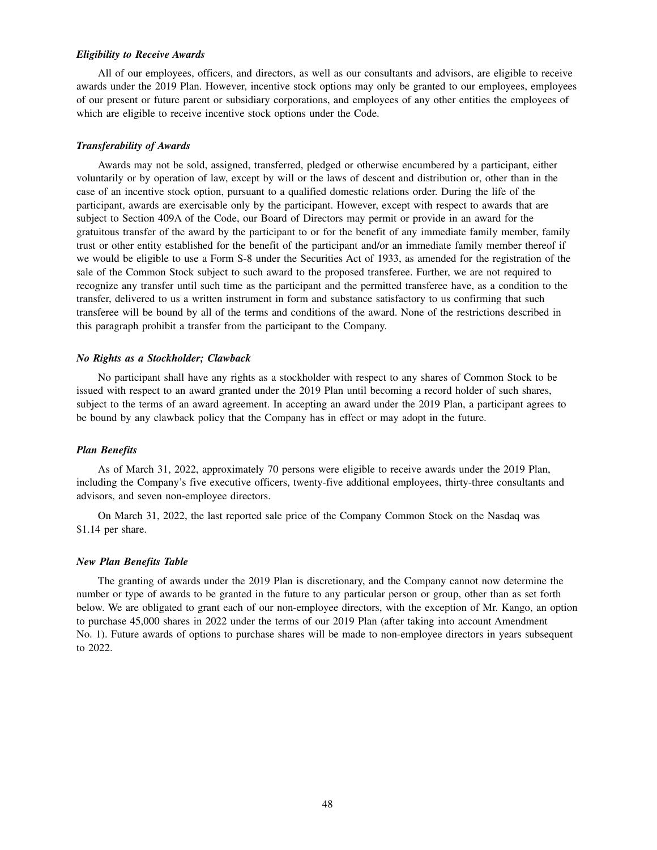## *Eligibility to Receive Awards*

All of our employees, officers, and directors, as well as our consultants and advisors, are eligible to receive awards under the 2019 Plan. However, incentive stock options may only be granted to our employees, employees of our present or future parent or subsidiary corporations, and employees of any other entities the employees of which are eligible to receive incentive stock options under the Code.

#### *Transferability of Awards*

Awards may not be sold, assigned, transferred, pledged or otherwise encumbered by a participant, either voluntarily or by operation of law, except by will or the laws of descent and distribution or, other than in the case of an incentive stock option, pursuant to a qualified domestic relations order. During the life of the participant, awards are exercisable only by the participant. However, except with respect to awards that are subject to Section 409A of the Code, our Board of Directors may permit or provide in an award for the gratuitous transfer of the award by the participant to or for the benefit of any immediate family member, family trust or other entity established for the benefit of the participant and/or an immediate family member thereof if we would be eligible to use a Form S-8 under the Securities Act of 1933, as amended for the registration of the sale of the Common Stock subject to such award to the proposed transferee. Further, we are not required to recognize any transfer until such time as the participant and the permitted transferee have, as a condition to the transfer, delivered to us a written instrument in form and substance satisfactory to us confirming that such transferee will be bound by all of the terms and conditions of the award. None of the restrictions described in this paragraph prohibit a transfer from the participant to the Company.

#### *No Rights as a Stockholder; Clawback*

No participant shall have any rights as a stockholder with respect to any shares of Common Stock to be issued with respect to an award granted under the 2019 Plan until becoming a record holder of such shares, subject to the terms of an award agreement. In accepting an award under the 2019 Plan, a participant agrees to be bound by any clawback policy that the Company has in effect or may adopt in the future.

#### *Plan Benefits*

As of March 31, 2022, approximately 70 persons were eligible to receive awards under the 2019 Plan, including the Company's five executive officers, twenty-five additional employees, thirty-three consultants and advisors, and seven non-employee directors.

On March 31, 2022, the last reported sale price of the Company Common Stock on the Nasdaq was \$1.14 per share.

#### *New Plan Benefits Table*

The granting of awards under the 2019 Plan is discretionary, and the Company cannot now determine the number or type of awards to be granted in the future to any particular person or group, other than as set forth below. We are obligated to grant each of our non-employee directors, with the exception of Mr. Kango, an option to purchase 45,000 shares in 2022 under the terms of our 2019 Plan (after taking into account Amendment No. 1). Future awards of options to purchase shares will be made to non-employee directors in years subsequent to 2022.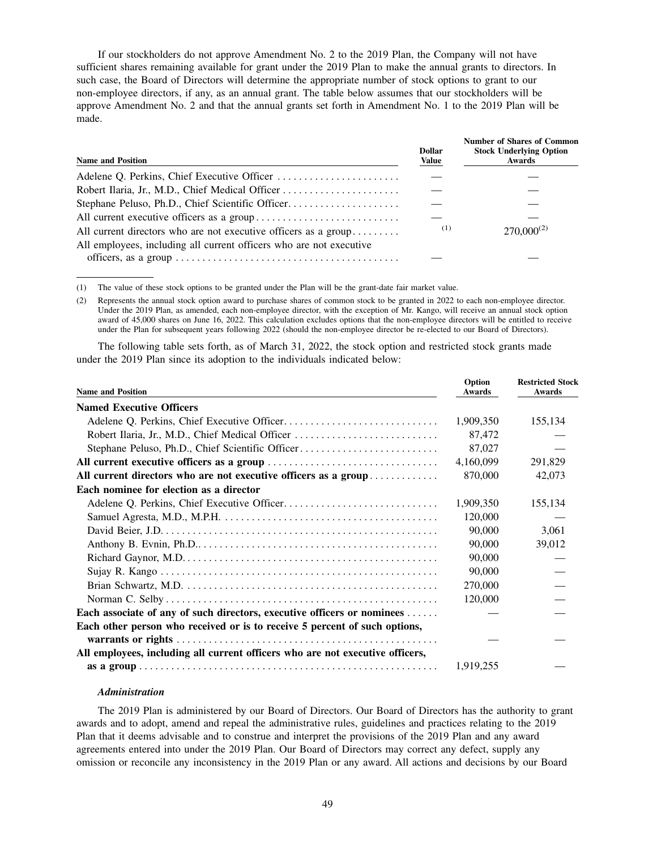If our stockholders do not approve Amendment No. 2 to the 2019 Plan, the Company will not have sufficient shares remaining available for grant under the 2019 Plan to make the annual grants to directors. In such case, the Board of Directors will determine the appropriate number of stock options to grant to our non-employee directors, if any, as an annual grant. The table below assumes that our stockholders will be approve Amendment No. 2 and that the annual grants set forth in Amendment No. 1 to the 2019 Plan will be made.

| <b>Name and Position</b>                                            | <b>Dollar</b><br>Value | <b>Number of Shares of Common</b><br><b>Stock Underlying Option</b><br>Awards |
|---------------------------------------------------------------------|------------------------|-------------------------------------------------------------------------------|
|                                                                     |                        |                                                                               |
|                                                                     |                        |                                                                               |
|                                                                     |                        |                                                                               |
|                                                                     |                        |                                                                               |
| All current directors who are not executive officers as a group     | (1)                    | $270,000^{(2)}$                                                               |
| All employees, including all current officers who are not executive |                        |                                                                               |
|                                                                     |                        |                                                                               |

(1) The value of these stock options to be granted under the Plan will be the grant-date fair market value.

(2) Represents the annual stock option award to purchase shares of common stock to be granted in 2022 to each non-employee director. Under the 2019 Plan, as amended, each non-employee director, with the exception of Mr. Kango, will receive an annual stock option award of 45,000 shares on June 16, 2022. This calculation excludes options that the non-employee directors will be entitled to receive under the Plan for subsequent years following 2022 (should the non-employee director be re-elected to our Board of Directors).

The following table sets forth, as of March 31, 2022, the stock option and restricted stock grants made under the 2019 Plan since its adoption to the individuals indicated below:

| <b>Name and Position</b>                                                      | Option<br><b>Awards</b> | <b>Restricted Stock</b><br>Awards |
|-------------------------------------------------------------------------------|-------------------------|-----------------------------------|
| <b>Named Executive Officers</b>                                               |                         |                                   |
|                                                                               | 1,909,350               | 155,134                           |
| Robert Ilaria, Jr., M.D., Chief Medical Officer                               | 87,472                  |                                   |
| Stephane Peluso, Ph.D., Chief Scientific Officer                              | 87,027                  |                                   |
|                                                                               | 4,160,099               | 291,829                           |
| All current directors who are not executive officers as a group               | 870,000                 | 42,073                            |
| Each nominee for election as a director                                       |                         |                                   |
|                                                                               | 1,909,350               | 155,134                           |
|                                                                               | 120,000                 |                                   |
|                                                                               | 90,000                  | 3,061                             |
|                                                                               | 90,000                  | 39,012                            |
|                                                                               | 90,000                  |                                   |
|                                                                               | 90,000                  |                                   |
|                                                                               | 270,000                 |                                   |
|                                                                               | 120,000                 |                                   |
| Each associate of any of such directors, executive officers or nominees       |                         |                                   |
| Each other person who received or is to receive 5 percent of such options,    |                         |                                   |
|                                                                               |                         |                                   |
| All employees, including all current officers who are not executive officers, |                         |                                   |
|                                                                               | 1,919,255               |                                   |

# *Administration*

The 2019 Plan is administered by our Board of Directors. Our Board of Directors has the authority to grant awards and to adopt, amend and repeal the administrative rules, guidelines and practices relating to the 2019 Plan that it deems advisable and to construe and interpret the provisions of the 2019 Plan and any award agreements entered into under the 2019 Plan. Our Board of Directors may correct any defect, supply any omission or reconcile any inconsistency in the 2019 Plan or any award. All actions and decisions by our Board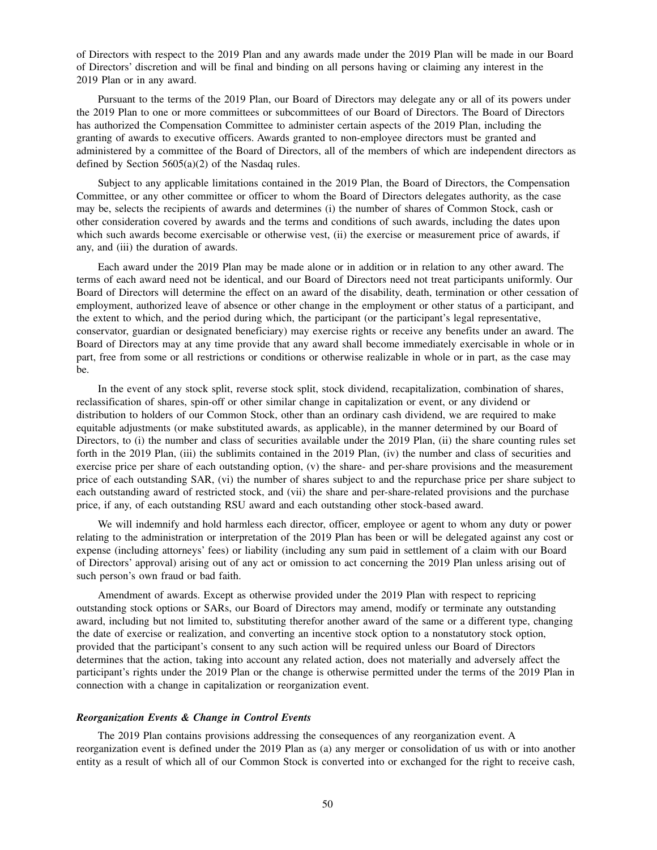of Directors with respect to the 2019 Plan and any awards made under the 2019 Plan will be made in our Board of Directors' discretion and will be final and binding on all persons having or claiming any interest in the 2019 Plan or in any award.

Pursuant to the terms of the 2019 Plan, our Board of Directors may delegate any or all of its powers under the 2019 Plan to one or more committees or subcommittees of our Board of Directors. The Board of Directors has authorized the Compensation Committee to administer certain aspects of the 2019 Plan, including the granting of awards to executive officers. Awards granted to non-employee directors must be granted and administered by a committee of the Board of Directors, all of the members of which are independent directors as defined by Section 5605(a)(2) of the Nasdaq rules.

Subject to any applicable limitations contained in the 2019 Plan, the Board of Directors, the Compensation Committee, or any other committee or officer to whom the Board of Directors delegates authority, as the case may be, selects the recipients of awards and determines (i) the number of shares of Common Stock, cash or other consideration covered by awards and the terms and conditions of such awards, including the dates upon which such awards become exercisable or otherwise vest, (ii) the exercise or measurement price of awards, if any, and (iii) the duration of awards.

Each award under the 2019 Plan may be made alone or in addition or in relation to any other award. The terms of each award need not be identical, and our Board of Directors need not treat participants uniformly. Our Board of Directors will determine the effect on an award of the disability, death, termination or other cessation of employment, authorized leave of absence or other change in the employment or other status of a participant, and the extent to which, and the period during which, the participant (or the participant's legal representative, conservator, guardian or designated beneficiary) may exercise rights or receive any benefits under an award. The Board of Directors may at any time provide that any award shall become immediately exercisable in whole or in part, free from some or all restrictions or conditions or otherwise realizable in whole or in part, as the case may be.

In the event of any stock split, reverse stock split, stock dividend, recapitalization, combination of shares, reclassification of shares, spin-off or other similar change in capitalization or event, or any dividend or distribution to holders of our Common Stock, other than an ordinary cash dividend, we are required to make equitable adjustments (or make substituted awards, as applicable), in the manner determined by our Board of Directors, to (i) the number and class of securities available under the 2019 Plan, (ii) the share counting rules set forth in the 2019 Plan, (iii) the sublimits contained in the 2019 Plan, (iv) the number and class of securities and exercise price per share of each outstanding option, (v) the share- and per-share provisions and the measurement price of each outstanding SAR, (vi) the number of shares subject to and the repurchase price per share subject to each outstanding award of restricted stock, and (vii) the share and per-share-related provisions and the purchase price, if any, of each outstanding RSU award and each outstanding other stock-based award.

We will indemnify and hold harmless each director, officer, employee or agent to whom any duty or power relating to the administration or interpretation of the 2019 Plan has been or will be delegated against any cost or expense (including attorneys' fees) or liability (including any sum paid in settlement of a claim with our Board of Directors' approval) arising out of any act or omission to act concerning the 2019 Plan unless arising out of such person's own fraud or bad faith.

Amendment of awards. Except as otherwise provided under the 2019 Plan with respect to repricing outstanding stock options or SARs, our Board of Directors may amend, modify or terminate any outstanding award, including but not limited to, substituting therefor another award of the same or a different type, changing the date of exercise or realization, and converting an incentive stock option to a nonstatutory stock option, provided that the participant's consent to any such action will be required unless our Board of Directors determines that the action, taking into account any related action, does not materially and adversely affect the participant's rights under the 2019 Plan or the change is otherwise permitted under the terms of the 2019 Plan in connection with a change in capitalization or reorganization event.

### *Reorganization Events & Change in Control Events*

The 2019 Plan contains provisions addressing the consequences of any reorganization event. A reorganization event is defined under the 2019 Plan as (a) any merger or consolidation of us with or into another entity as a result of which all of our Common Stock is converted into or exchanged for the right to receive cash,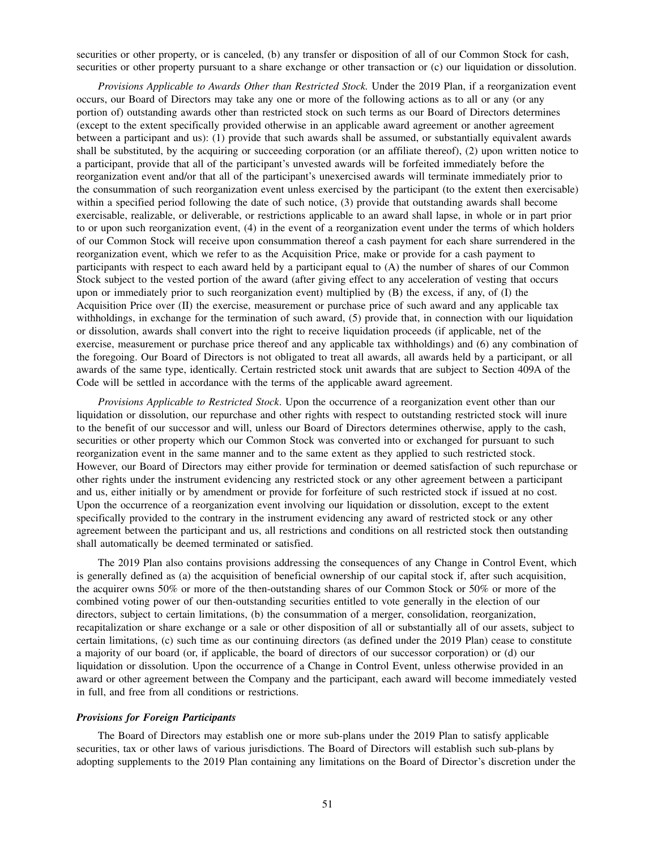securities or other property, or is canceled, (b) any transfer or disposition of all of our Common Stock for cash, securities or other property pursuant to a share exchange or other transaction or (c) our liquidation or dissolution.

*Provisions Applicable to Awards Other than Restricted Stock.* Under the 2019 Plan, if a reorganization event occurs, our Board of Directors may take any one or more of the following actions as to all or any (or any portion of) outstanding awards other than restricted stock on such terms as our Board of Directors determines (except to the extent specifically provided otherwise in an applicable award agreement or another agreement between a participant and us): (1) provide that such awards shall be assumed, or substantially equivalent awards shall be substituted, by the acquiring or succeeding corporation (or an affiliate thereof), (2) upon written notice to a participant, provide that all of the participant's unvested awards will be forfeited immediately before the reorganization event and/or that all of the participant's unexercised awards will terminate immediately prior to the consummation of such reorganization event unless exercised by the participant (to the extent then exercisable) within a specified period following the date of such notice, (3) provide that outstanding awards shall become exercisable, realizable, or deliverable, or restrictions applicable to an award shall lapse, in whole or in part prior to or upon such reorganization event, (4) in the event of a reorganization event under the terms of which holders of our Common Stock will receive upon consummation thereof a cash payment for each share surrendered in the reorganization event, which we refer to as the Acquisition Price, make or provide for a cash payment to participants with respect to each award held by a participant equal to (A) the number of shares of our Common Stock subject to the vested portion of the award (after giving effect to any acceleration of vesting that occurs upon or immediately prior to such reorganization event) multiplied by (B) the excess, if any, of (I) the Acquisition Price over (II) the exercise, measurement or purchase price of such award and any applicable tax withholdings, in exchange for the termination of such award,  $(5)$  provide that, in connection with our liquidation or dissolution, awards shall convert into the right to receive liquidation proceeds (if applicable, net of the exercise, measurement or purchase price thereof and any applicable tax withholdings) and (6) any combination of the foregoing. Our Board of Directors is not obligated to treat all awards, all awards held by a participant, or all awards of the same type, identically. Certain restricted stock unit awards that are subject to Section 409A of the Code will be settled in accordance with the terms of the applicable award agreement.

*Provisions Applicable to Restricted Stock*. Upon the occurrence of a reorganization event other than our liquidation or dissolution, our repurchase and other rights with respect to outstanding restricted stock will inure to the benefit of our successor and will, unless our Board of Directors determines otherwise, apply to the cash, securities or other property which our Common Stock was converted into or exchanged for pursuant to such reorganization event in the same manner and to the same extent as they applied to such restricted stock. However, our Board of Directors may either provide for termination or deemed satisfaction of such repurchase or other rights under the instrument evidencing any restricted stock or any other agreement between a participant and us, either initially or by amendment or provide for forfeiture of such restricted stock if issued at no cost. Upon the occurrence of a reorganization event involving our liquidation or dissolution, except to the extent specifically provided to the contrary in the instrument evidencing any award of restricted stock or any other agreement between the participant and us, all restrictions and conditions on all restricted stock then outstanding shall automatically be deemed terminated or satisfied.

The 2019 Plan also contains provisions addressing the consequences of any Change in Control Event, which is generally defined as (a) the acquisition of beneficial ownership of our capital stock if, after such acquisition, the acquirer owns 50% or more of the then-outstanding shares of our Common Stock or 50% or more of the combined voting power of our then-outstanding securities entitled to vote generally in the election of our directors, subject to certain limitations, (b) the consummation of a merger, consolidation, reorganization, recapitalization or share exchange or a sale or other disposition of all or substantially all of our assets, subject to certain limitations, (c) such time as our continuing directors (as defined under the 2019 Plan) cease to constitute a majority of our board (or, if applicable, the board of directors of our successor corporation) or (d) our liquidation or dissolution. Upon the occurrence of a Change in Control Event, unless otherwise provided in an award or other agreement between the Company and the participant, each award will become immediately vested in full, and free from all conditions or restrictions.

#### *Provisions for Foreign Participants*

The Board of Directors may establish one or more sub-plans under the 2019 Plan to satisfy applicable securities, tax or other laws of various jurisdictions. The Board of Directors will establish such sub-plans by adopting supplements to the 2019 Plan containing any limitations on the Board of Director's discretion under the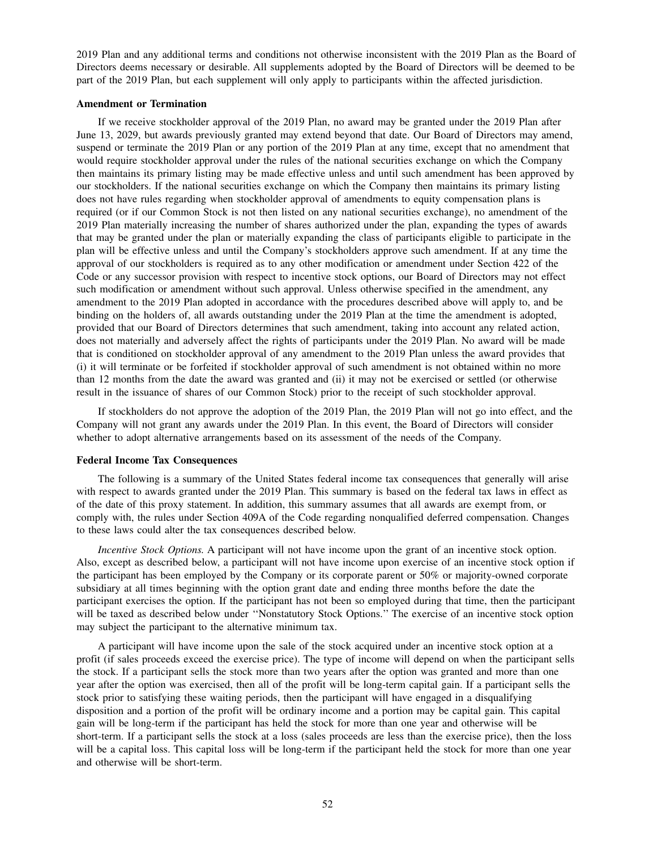2019 Plan and any additional terms and conditions not otherwise inconsistent with the 2019 Plan as the Board of Directors deems necessary or desirable. All supplements adopted by the Board of Directors will be deemed to be part of the 2019 Plan, but each supplement will only apply to participants within the affected jurisdiction.

### **Amendment or Termination**

If we receive stockholder approval of the 2019 Plan, no award may be granted under the 2019 Plan after June 13, 2029, but awards previously granted may extend beyond that date. Our Board of Directors may amend, suspend or terminate the 2019 Plan or any portion of the 2019 Plan at any time, except that no amendment that would require stockholder approval under the rules of the national securities exchange on which the Company then maintains its primary listing may be made effective unless and until such amendment has been approved by our stockholders. If the national securities exchange on which the Company then maintains its primary listing does not have rules regarding when stockholder approval of amendments to equity compensation plans is required (or if our Common Stock is not then listed on any national securities exchange), no amendment of the 2019 Plan materially increasing the number of shares authorized under the plan, expanding the types of awards that may be granted under the plan or materially expanding the class of participants eligible to participate in the plan will be effective unless and until the Company's stockholders approve such amendment. If at any time the approval of our stockholders is required as to any other modification or amendment under Section 422 of the Code or any successor provision with respect to incentive stock options, our Board of Directors may not effect such modification or amendment without such approval. Unless otherwise specified in the amendment, any amendment to the 2019 Plan adopted in accordance with the procedures described above will apply to, and be binding on the holders of, all awards outstanding under the 2019 Plan at the time the amendment is adopted, provided that our Board of Directors determines that such amendment, taking into account any related action, does not materially and adversely affect the rights of participants under the 2019 Plan. No award will be made that is conditioned on stockholder approval of any amendment to the 2019 Plan unless the award provides that (i) it will terminate or be forfeited if stockholder approval of such amendment is not obtained within no more than 12 months from the date the award was granted and (ii) it may not be exercised or settled (or otherwise result in the issuance of shares of our Common Stock) prior to the receipt of such stockholder approval.

If stockholders do not approve the adoption of the 2019 Plan, the 2019 Plan will not go into effect, and the Company will not grant any awards under the 2019 Plan. In this event, the Board of Directors will consider whether to adopt alternative arrangements based on its assessment of the needs of the Company.

### **Federal Income Tax Consequences**

The following is a summary of the United States federal income tax consequences that generally will arise with respect to awards granted under the 2019 Plan. This summary is based on the federal tax laws in effect as of the date of this proxy statement. In addition, this summary assumes that all awards are exempt from, or comply with, the rules under Section 409A of the Code regarding nonqualified deferred compensation. Changes to these laws could alter the tax consequences described below.

*Incentive Stock Options.* A participant will not have income upon the grant of an incentive stock option. Also, except as described below, a participant will not have income upon exercise of an incentive stock option if the participant has been employed by the Company or its corporate parent or 50% or majority-owned corporate subsidiary at all times beginning with the option grant date and ending three months before the date the participant exercises the option. If the participant has not been so employed during that time, then the participant will be taxed as described below under ''Nonstatutory Stock Options.'' The exercise of an incentive stock option may subject the participant to the alternative minimum tax.

A participant will have income upon the sale of the stock acquired under an incentive stock option at a profit (if sales proceeds exceed the exercise price). The type of income will depend on when the participant sells the stock. If a participant sells the stock more than two years after the option was granted and more than one year after the option was exercised, then all of the profit will be long-term capital gain. If a participant sells the stock prior to satisfying these waiting periods, then the participant will have engaged in a disqualifying disposition and a portion of the profit will be ordinary income and a portion may be capital gain. This capital gain will be long-term if the participant has held the stock for more than one year and otherwise will be short-term. If a participant sells the stock at a loss (sales proceeds are less than the exercise price), then the loss will be a capital loss. This capital loss will be long-term if the participant held the stock for more than one year and otherwise will be short-term.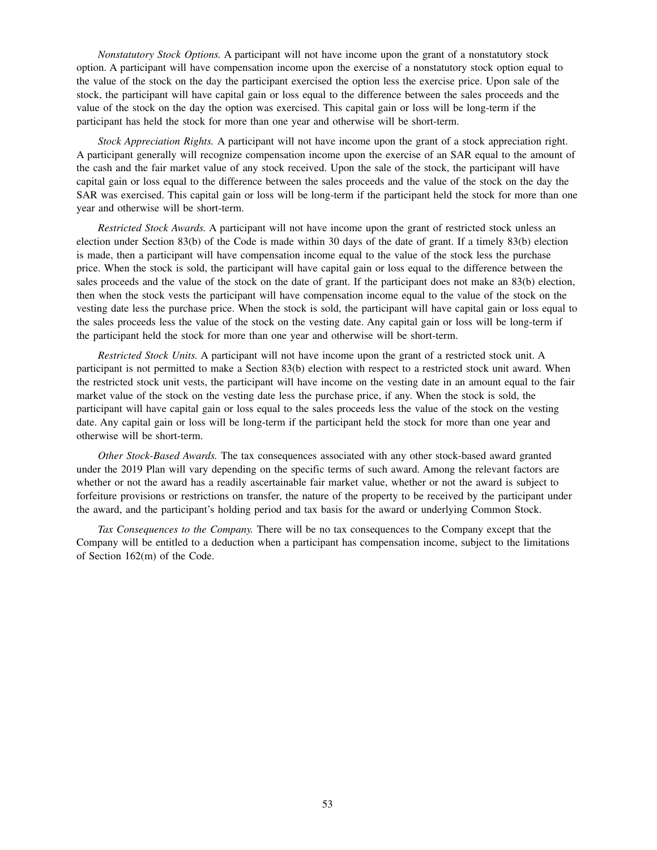*Nonstatutory Stock Options.* A participant will not have income upon the grant of a nonstatutory stock option. A participant will have compensation income upon the exercise of a nonstatutory stock option equal to the value of the stock on the day the participant exercised the option less the exercise price. Upon sale of the stock, the participant will have capital gain or loss equal to the difference between the sales proceeds and the value of the stock on the day the option was exercised. This capital gain or loss will be long-term if the participant has held the stock for more than one year and otherwise will be short-term.

*Stock Appreciation Rights.* A participant will not have income upon the grant of a stock appreciation right. A participant generally will recognize compensation income upon the exercise of an SAR equal to the amount of the cash and the fair market value of any stock received. Upon the sale of the stock, the participant will have capital gain or loss equal to the difference between the sales proceeds and the value of the stock on the day the SAR was exercised. This capital gain or loss will be long-term if the participant held the stock for more than one year and otherwise will be short-term.

*Restricted Stock Awards.* A participant will not have income upon the grant of restricted stock unless an election under Section 83(b) of the Code is made within 30 days of the date of grant. If a timely 83(b) election is made, then a participant will have compensation income equal to the value of the stock less the purchase price. When the stock is sold, the participant will have capital gain or loss equal to the difference between the sales proceeds and the value of the stock on the date of grant. If the participant does not make an 83(b) election, then when the stock vests the participant will have compensation income equal to the value of the stock on the vesting date less the purchase price. When the stock is sold, the participant will have capital gain or loss equal to the sales proceeds less the value of the stock on the vesting date. Any capital gain or loss will be long-term if the participant held the stock for more than one year and otherwise will be short-term.

*Restricted Stock Units.* A participant will not have income upon the grant of a restricted stock unit. A participant is not permitted to make a Section 83(b) election with respect to a restricted stock unit award. When the restricted stock unit vests, the participant will have income on the vesting date in an amount equal to the fair market value of the stock on the vesting date less the purchase price, if any. When the stock is sold, the participant will have capital gain or loss equal to the sales proceeds less the value of the stock on the vesting date. Any capital gain or loss will be long-term if the participant held the stock for more than one year and otherwise will be short-term.

*Other Stock-Based Awards.* The tax consequences associated with any other stock-based award granted under the 2019 Plan will vary depending on the specific terms of such award. Among the relevant factors are whether or not the award has a readily ascertainable fair market value, whether or not the award is subject to forfeiture provisions or restrictions on transfer, the nature of the property to be received by the participant under the award, and the participant's holding period and tax basis for the award or underlying Common Stock.

*Tax Consequences to the Company.* There will be no tax consequences to the Company except that the Company will be entitled to a deduction when a participant has compensation income, subject to the limitations of Section 162(m) of the Code.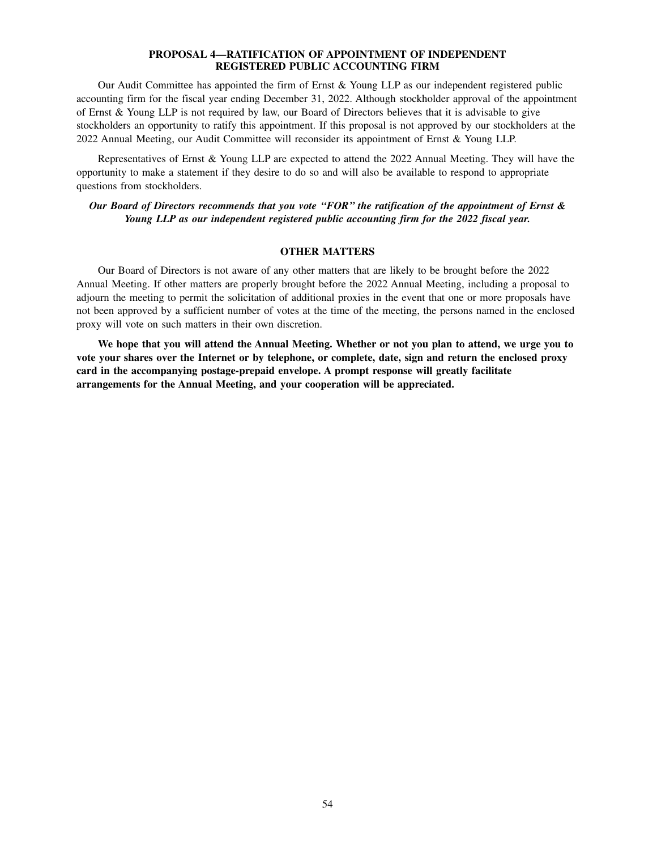# **PROPOSAL 4—RATIFICATION OF APPOINTMENT OF INDEPENDENT REGISTERED PUBLIC ACCOUNTING FIRM**

Our Audit Committee has appointed the firm of Ernst & Young LLP as our independent registered public accounting firm for the fiscal year ending December 31, 2022. Although stockholder approval of the appointment of Ernst & Young LLP is not required by law, our Board of Directors believes that it is advisable to give stockholders an opportunity to ratify this appointment. If this proposal is not approved by our stockholders at the 2022 Annual Meeting, our Audit Committee will reconsider its appointment of Ernst & Young LLP.

Representatives of Ernst & Young LLP are expected to attend the 2022 Annual Meeting. They will have the opportunity to make a statement if they desire to do so and will also be available to respond to appropriate questions from stockholders.

*Our Board of Directors recommends that you vote ''FOR'' the ratification of the appointment of Ernst & Young LLP as our independent registered public accounting firm for the 2022 fiscal year.*

# **OTHER MATTERS**

Our Board of Directors is not aware of any other matters that are likely to be brought before the 2022 Annual Meeting. If other matters are properly brought before the 2022 Annual Meeting, including a proposal to adjourn the meeting to permit the solicitation of additional proxies in the event that one or more proposals have not been approved by a sufficient number of votes at the time of the meeting, the persons named in the enclosed proxy will vote on such matters in their own discretion.

**We hope that you will attend the Annual Meeting. Whether or not you plan to attend, we urge you to vote your shares over the Internet or by telephone, or complete, date, sign and return the enclosed proxy card in the accompanying postage-prepaid envelope. A prompt response will greatly facilitate arrangements for the Annual Meeting, and your cooperation will be appreciated.**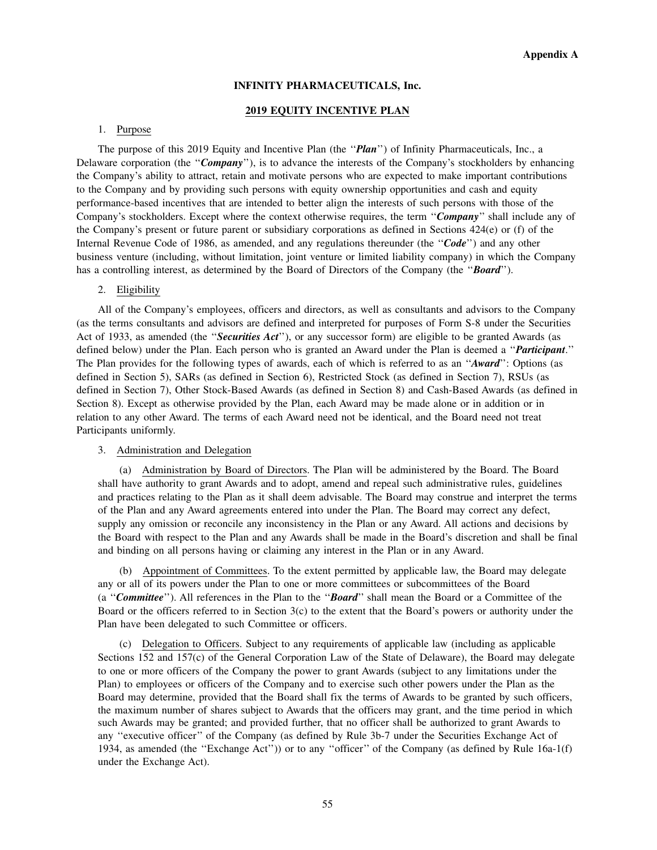# **INFINITY PHARMACEUTICALS, Inc.**

# **2019 EQUITY INCENTIVE PLAN**

# 1. Purpose

The purpose of this 2019 Equity and Incentive Plan (the ''*Plan*'') of Infinity Pharmaceuticals, Inc., a Delaware corporation (the ''*Company*''), is to advance the interests of the Company's stockholders by enhancing the Company's ability to attract, retain and motivate persons who are expected to make important contributions to the Company and by providing such persons with equity ownership opportunities and cash and equity performance-based incentives that are intended to better align the interests of such persons with those of the Company's stockholders. Except where the context otherwise requires, the term ''*Company*'' shall include any of the Company's present or future parent or subsidiary corporations as defined in Sections 424(e) or (f) of the Internal Revenue Code of 1986, as amended, and any regulations thereunder (the ''*Code*'') and any other business venture (including, without limitation, joint venture or limited liability company) in which the Company has a controlling interest, as determined by the Board of Directors of the Company (the ''*Board*'').

# 2. Eligibility

All of the Company's employees, officers and directors, as well as consultants and advisors to the Company (as the terms consultants and advisors are defined and interpreted for purposes of Form S-8 under the Securities Act of 1933, as amended (the ''*Securities Act*''), or any successor form) are eligible to be granted Awards (as defined below) under the Plan. Each person who is granted an Award under the Plan is deemed a ''*Participant*.'' The Plan provides for the following types of awards, each of which is referred to as an ''*Award*'': Options (as defined in Section 5), SARs (as defined in Section 6), Restricted Stock (as defined in Section 7), RSUs (as defined in Section 7), Other Stock-Based Awards (as defined in Section 8) and Cash-Based Awards (as defined in Section 8). Except as otherwise provided by the Plan, each Award may be made alone or in addition or in relation to any other Award. The terms of each Award need not be identical, and the Board need not treat Participants uniformly.

# 3. Administration and Delegation

(a) Administration by Board of Directors. The Plan will be administered by the Board. The Board shall have authority to grant Awards and to adopt, amend and repeal such administrative rules, guidelines and practices relating to the Plan as it shall deem advisable. The Board may construe and interpret the terms of the Plan and any Award agreements entered into under the Plan. The Board may correct any defect, supply any omission or reconcile any inconsistency in the Plan or any Award. All actions and decisions by the Board with respect to the Plan and any Awards shall be made in the Board's discretion and shall be final and binding on all persons having or claiming any interest in the Plan or in any Award.

(b) Appointment of Committees. To the extent permitted by applicable law, the Board may delegate any or all of its powers under the Plan to one or more committees or subcommittees of the Board (a ''*Committee*''). All references in the Plan to the ''*Board*'' shall mean the Board or a Committee of the Board or the officers referred to in Section 3(c) to the extent that the Board's powers or authority under the Plan have been delegated to such Committee or officers.

(c) Delegation to Officers. Subject to any requirements of applicable law (including as applicable Sections 152 and 157(c) of the General Corporation Law of the State of Delaware), the Board may delegate to one or more officers of the Company the power to grant Awards (subject to any limitations under the Plan) to employees or officers of the Company and to exercise such other powers under the Plan as the Board may determine, provided that the Board shall fix the terms of Awards to be granted by such officers, the maximum number of shares subject to Awards that the officers may grant, and the time period in which such Awards may be granted; and provided further, that no officer shall be authorized to grant Awards to any ''executive officer'' of the Company (as defined by Rule 3b-7 under the Securities Exchange Act of 1934, as amended (the ''Exchange Act'')) or to any ''officer'' of the Company (as defined by Rule 16a-1(f) under the Exchange Act).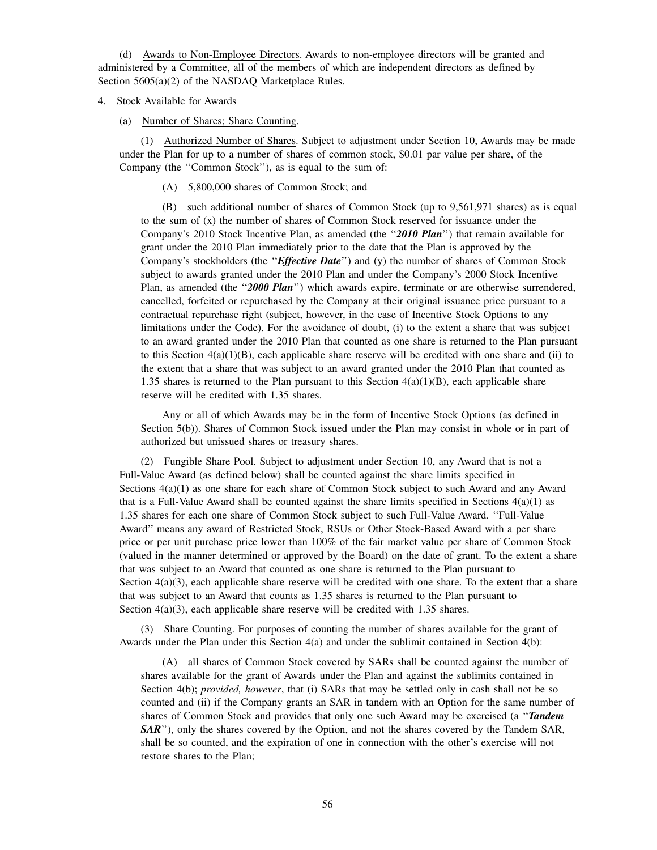(d) Awards to Non-Employee Directors. Awards to non-employee directors will be granted and administered by a Committee, all of the members of which are independent directors as defined by Section 5605(a)(2) of the NASDAQ Marketplace Rules.

## 4. Stock Available for Awards

(a) Number of Shares; Share Counting.

(1) Authorized Number of Shares. Subject to adjustment under Section 10, Awards may be made under the Plan for up to a number of shares of common stock, \$0.01 par value per share, of the Company (the ''Common Stock''), as is equal to the sum of:

(A) 5,800,000 shares of Common Stock; and

(B) such additional number of shares of Common Stock (up to 9,561,971 shares) as is equal to the sum of (x) the number of shares of Common Stock reserved for issuance under the Company's 2010 Stock Incentive Plan, as amended (the "2010 Plan") that remain available for grant under the 2010 Plan immediately prior to the date that the Plan is approved by the Company's stockholders (the ''*Effective Date*'') and (y) the number of shares of Common Stock subject to awards granted under the 2010 Plan and under the Company's 2000 Stock Incentive Plan, as amended (the "2000 Plan") which awards expire, terminate or are otherwise surrendered, cancelled, forfeited or repurchased by the Company at their original issuance price pursuant to a contractual repurchase right (subject, however, in the case of Incentive Stock Options to any limitations under the Code). For the avoidance of doubt, (i) to the extent a share that was subject to an award granted under the 2010 Plan that counted as one share is returned to the Plan pursuant to this Section  $4(a)(1)(B)$ , each applicable share reserve will be credited with one share and (ii) to the extent that a share that was subject to an award granted under the 2010 Plan that counted as 1.35 shares is returned to the Plan pursuant to this Section  $4(a)(1)(B)$ , each applicable share reserve will be credited with 1.35 shares.

Any or all of which Awards may be in the form of Incentive Stock Options (as defined in Section 5(b)). Shares of Common Stock issued under the Plan may consist in whole or in part of authorized but unissued shares or treasury shares.

(2) Fungible Share Pool. Subject to adjustment under Section 10, any Award that is not a Full-Value Award (as defined below) shall be counted against the share limits specified in Sections 4(a)(1) as one share for each share of Common Stock subject to such Award and any Award that is a Full-Value Award shall be counted against the share limits specified in Sections  $4(a)(1)$  as 1.35 shares for each one share of Common Stock subject to such Full-Value Award. ''Full-Value Award'' means any award of Restricted Stock, RSUs or Other Stock-Based Award with a per share price or per unit purchase price lower than 100% of the fair market value per share of Common Stock (valued in the manner determined or approved by the Board) on the date of grant. To the extent a share that was subject to an Award that counted as one share is returned to the Plan pursuant to Section  $4(a)(3)$ , each applicable share reserve will be credited with one share. To the extent that a share that was subject to an Award that counts as 1.35 shares is returned to the Plan pursuant to Section  $4(a)(3)$ , each applicable share reserve will be credited with 1.35 shares.

(3) Share Counting. For purposes of counting the number of shares available for the grant of Awards under the Plan under this Section 4(a) and under the sublimit contained in Section 4(b):

(A) all shares of Common Stock covered by SARs shall be counted against the number of shares available for the grant of Awards under the Plan and against the sublimits contained in Section 4(b); *provided, however*, that (i) SARs that may be settled only in cash shall not be so counted and (ii) if the Company grants an SAR in tandem with an Option for the same number of shares of Common Stock and provides that only one such Award may be exercised (a ''*Tandem SAR*''), only the shares covered by the Option, and not the shares covered by the Tandem SAR, shall be so counted, and the expiration of one in connection with the other's exercise will not restore shares to the Plan;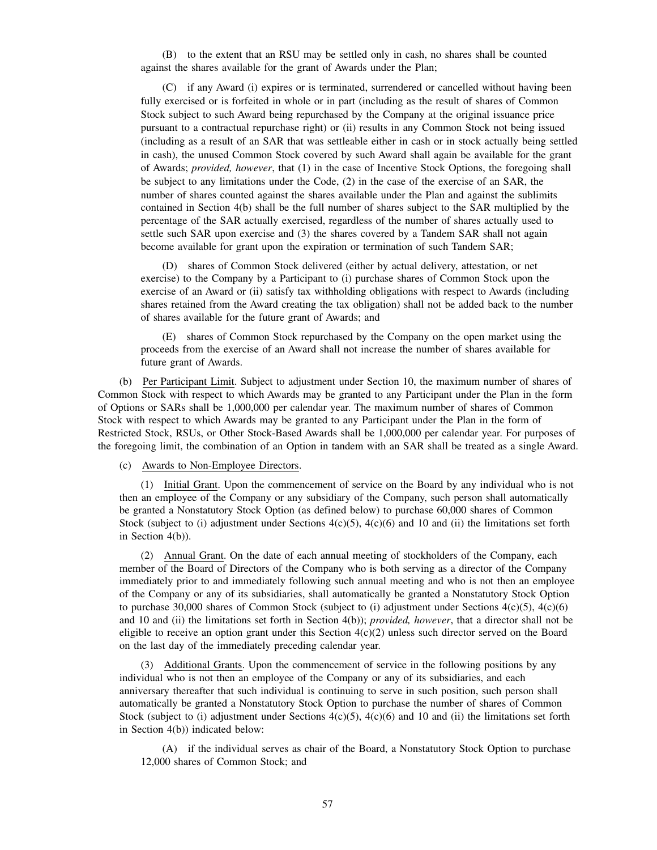(B) to the extent that an RSU may be settled only in cash, no shares shall be counted against the shares available for the grant of Awards under the Plan;

(C) if any Award (i) expires or is terminated, surrendered or cancelled without having been fully exercised or is forfeited in whole or in part (including as the result of shares of Common Stock subject to such Award being repurchased by the Company at the original issuance price pursuant to a contractual repurchase right) or (ii) results in any Common Stock not being issued (including as a result of an SAR that was settleable either in cash or in stock actually being settled in cash), the unused Common Stock covered by such Award shall again be available for the grant of Awards; *provided, however*, that (1) in the case of Incentive Stock Options, the foregoing shall be subject to any limitations under the Code, (2) in the case of the exercise of an SAR, the number of shares counted against the shares available under the Plan and against the sublimits contained in Section 4(b) shall be the full number of shares subject to the SAR multiplied by the percentage of the SAR actually exercised, regardless of the number of shares actually used to settle such SAR upon exercise and (3) the shares covered by a Tandem SAR shall not again become available for grant upon the expiration or termination of such Tandem SAR;

(D) shares of Common Stock delivered (either by actual delivery, attestation, or net exercise) to the Company by a Participant to (i) purchase shares of Common Stock upon the exercise of an Award or (ii) satisfy tax withholding obligations with respect to Awards (including shares retained from the Award creating the tax obligation) shall not be added back to the number of shares available for the future grant of Awards; and

(E) shares of Common Stock repurchased by the Company on the open market using the proceeds from the exercise of an Award shall not increase the number of shares available for future grant of Awards.

(b) Per Participant Limit. Subject to adjustment under Section 10, the maximum number of shares of Common Stock with respect to which Awards may be granted to any Participant under the Plan in the form of Options or SARs shall be 1,000,000 per calendar year. The maximum number of shares of Common Stock with respect to which Awards may be granted to any Participant under the Plan in the form of Restricted Stock, RSUs, or Other Stock-Based Awards shall be 1,000,000 per calendar year. For purposes of the foregoing limit, the combination of an Option in tandem with an SAR shall be treated as a single Award.

(c) Awards to Non-Employee Directors.

(1) Initial Grant. Upon the commencement of service on the Board by any individual who is not then an employee of the Company or any subsidiary of the Company, such person shall automatically be granted a Nonstatutory Stock Option (as defined below) to purchase 60,000 shares of Common Stock (subject to (i) adjustment under Sections  $4(c)(5)$ ,  $4(c)(6)$  and 10 and (ii) the limitations set forth in Section 4(b)).

(2) Annual Grant. On the date of each annual meeting of stockholders of the Company, each member of the Board of Directors of the Company who is both serving as a director of the Company immediately prior to and immediately following such annual meeting and who is not then an employee of the Company or any of its subsidiaries, shall automatically be granted a Nonstatutory Stock Option to purchase 30,000 shares of Common Stock (subject to (i) adjustment under Sections  $4(c)(5)$ ,  $4(c)(6)$ and 10 and (ii) the limitations set forth in Section 4(b)); *provided, however*, that a director shall not be eligible to receive an option grant under this Section  $4(c)(2)$  unless such director served on the Board on the last day of the immediately preceding calendar year.

(3) Additional Grants. Upon the commencement of service in the following positions by any individual who is not then an employee of the Company or any of its subsidiaries, and each anniversary thereafter that such individual is continuing to serve in such position, such person shall automatically be granted a Nonstatutory Stock Option to purchase the number of shares of Common Stock (subject to (i) adjustment under Sections  $4(c)(5)$ ,  $4(c)(6)$  and 10 and (ii) the limitations set forth in Section 4(b)) indicated below:

(A) if the individual serves as chair of the Board, a Nonstatutory Stock Option to purchase 12,000 shares of Common Stock; and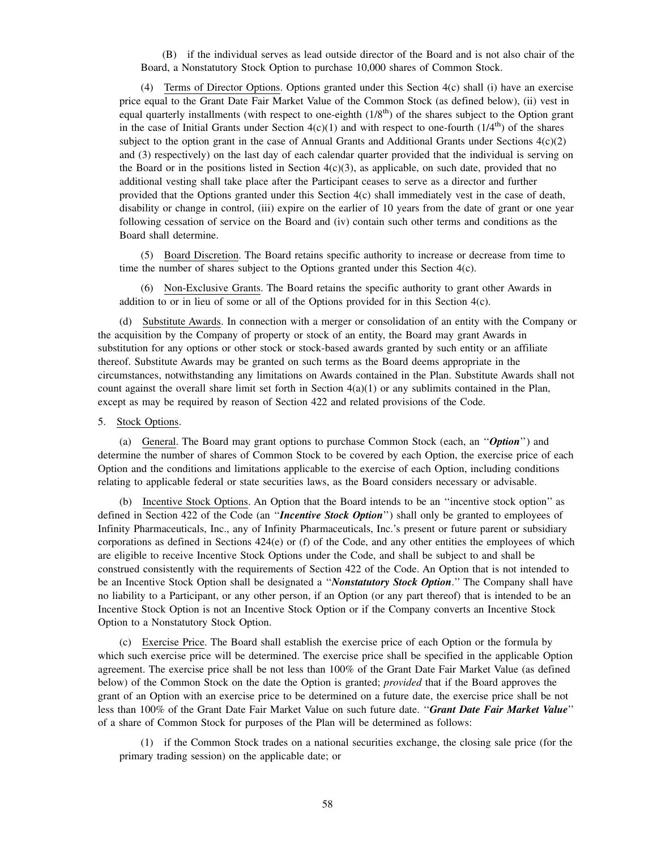(B) if the individual serves as lead outside director of the Board and is not also chair of the Board, a Nonstatutory Stock Option to purchase 10,000 shares of Common Stock.

(4) Terms of Director Options. Options granted under this Section 4(c) shall (i) have an exercise price equal to the Grant Date Fair Market Value of the Common Stock (as defined below), (ii) vest in equal quarterly installments (with respect to one-eighth  $(1/8<sup>th</sup>)$  of the shares subject to the Option grant in the case of Initial Grants under Section  $4(c)(1)$  and with respect to one-fourth  $(1/4<sup>th</sup>)$  of the shares subject to the option grant in the case of Annual Grants and Additional Grants under Sections  $4(c)(2)$ and (3) respectively) on the last day of each calendar quarter provided that the individual is serving on the Board or in the positions listed in Section  $4(c)(3)$ , as applicable, on such date, provided that no additional vesting shall take place after the Participant ceases to serve as a director and further provided that the Options granted under this Section 4(c) shall immediately vest in the case of death, disability or change in control, (iii) expire on the earlier of 10 years from the date of grant or one year following cessation of service on the Board and (iv) contain such other terms and conditions as the Board shall determine.

(5) Board Discretion. The Board retains specific authority to increase or decrease from time to time the number of shares subject to the Options granted under this Section  $4(c)$ .

(6) Non-Exclusive Grants. The Board retains the specific authority to grant other Awards in addition to or in lieu of some or all of the Options provided for in this Section 4(c).

(d) Substitute Awards. In connection with a merger or consolidation of an entity with the Company or the acquisition by the Company of property or stock of an entity, the Board may grant Awards in substitution for any options or other stock or stock-based awards granted by such entity or an affiliate thereof. Substitute Awards may be granted on such terms as the Board deems appropriate in the circumstances, notwithstanding any limitations on Awards contained in the Plan. Substitute Awards shall not count against the overall share limit set forth in Section  $4(a)(1)$  or any sublimits contained in the Plan, except as may be required by reason of Section 422 and related provisions of the Code.

# 5. Stock Options.

(a) General. The Board may grant options to purchase Common Stock (each, an ''*Option*'') and determine the number of shares of Common Stock to be covered by each Option, the exercise price of each Option and the conditions and limitations applicable to the exercise of each Option, including conditions relating to applicable federal or state securities laws, as the Board considers necessary or advisable.

(b) Incentive Stock Options. An Option that the Board intends to be an ''incentive stock option'' as defined in Section 422 of the Code (an ''*Incentive Stock Option*'') shall only be granted to employees of Infinity Pharmaceuticals, Inc., any of Infinity Pharmaceuticals, Inc.'s present or future parent or subsidiary corporations as defined in Sections 424(e) or (f) of the Code, and any other entities the employees of which are eligible to receive Incentive Stock Options under the Code, and shall be subject to and shall be construed consistently with the requirements of Section 422 of the Code. An Option that is not intended to be an Incentive Stock Option shall be designated a ''*Nonstatutory Stock Option*.'' The Company shall have no liability to a Participant, or any other person, if an Option (or any part thereof) that is intended to be an Incentive Stock Option is not an Incentive Stock Option or if the Company converts an Incentive Stock Option to a Nonstatutory Stock Option.

(c) Exercise Price. The Board shall establish the exercise price of each Option or the formula by which such exercise price will be determined. The exercise price shall be specified in the applicable Option agreement. The exercise price shall be not less than 100% of the Grant Date Fair Market Value (as defined below) of the Common Stock on the date the Option is granted; *provided* that if the Board approves the grant of an Option with an exercise price to be determined on a future date, the exercise price shall be not less than 100% of the Grant Date Fair Market Value on such future date. ''*Grant Date Fair Market Value*'' of a share of Common Stock for purposes of the Plan will be determined as follows:

(1) if the Common Stock trades on a national securities exchange, the closing sale price (for the primary trading session) on the applicable date; or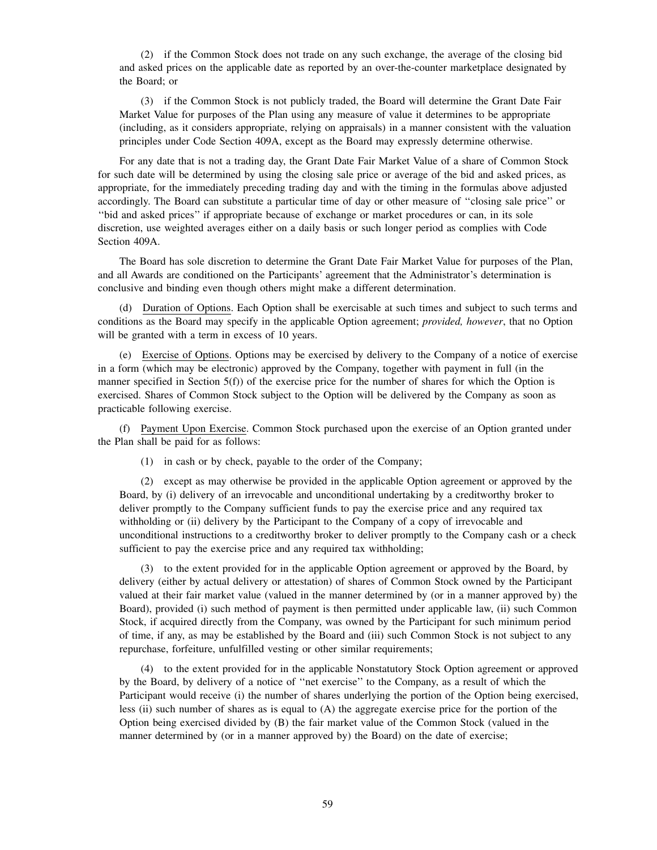(2) if the Common Stock does not trade on any such exchange, the average of the closing bid and asked prices on the applicable date as reported by an over-the-counter marketplace designated by the Board; or

(3) if the Common Stock is not publicly traded, the Board will determine the Grant Date Fair Market Value for purposes of the Plan using any measure of value it determines to be appropriate (including, as it considers appropriate, relying on appraisals) in a manner consistent with the valuation principles under Code Section 409A, except as the Board may expressly determine otherwise.

For any date that is not a trading day, the Grant Date Fair Market Value of a share of Common Stock for such date will be determined by using the closing sale price or average of the bid and asked prices, as appropriate, for the immediately preceding trading day and with the timing in the formulas above adjusted accordingly. The Board can substitute a particular time of day or other measure of ''closing sale price'' or ''bid and asked prices'' if appropriate because of exchange or market procedures or can, in its sole discretion, use weighted averages either on a daily basis or such longer period as complies with Code Section 409A.

The Board has sole discretion to determine the Grant Date Fair Market Value for purposes of the Plan, and all Awards are conditioned on the Participants' agreement that the Administrator's determination is conclusive and binding even though others might make a different determination.

(d) Duration of Options. Each Option shall be exercisable at such times and subject to such terms and conditions as the Board may specify in the applicable Option agreement; *provided, however*, that no Option will be granted with a term in excess of 10 years.

(e) Exercise of Options. Options may be exercised by delivery to the Company of a notice of exercise in a form (which may be electronic) approved by the Company, together with payment in full (in the manner specified in Section 5(f)) of the exercise price for the number of shares for which the Option is exercised. Shares of Common Stock subject to the Option will be delivered by the Company as soon as practicable following exercise.

(f) Payment Upon Exercise. Common Stock purchased upon the exercise of an Option granted under the Plan shall be paid for as follows:

(1) in cash or by check, payable to the order of the Company;

(2) except as may otherwise be provided in the applicable Option agreement or approved by the Board, by (i) delivery of an irrevocable and unconditional undertaking by a creditworthy broker to deliver promptly to the Company sufficient funds to pay the exercise price and any required tax withholding or (ii) delivery by the Participant to the Company of a copy of irrevocable and unconditional instructions to a creditworthy broker to deliver promptly to the Company cash or a check sufficient to pay the exercise price and any required tax withholding;

(3) to the extent provided for in the applicable Option agreement or approved by the Board, by delivery (either by actual delivery or attestation) of shares of Common Stock owned by the Participant valued at their fair market value (valued in the manner determined by (or in a manner approved by) the Board), provided (i) such method of payment is then permitted under applicable law, (ii) such Common Stock, if acquired directly from the Company, was owned by the Participant for such minimum period of time, if any, as may be established by the Board and (iii) such Common Stock is not subject to any repurchase, forfeiture, unfulfilled vesting or other similar requirements;

(4) to the extent provided for in the applicable Nonstatutory Stock Option agreement or approved by the Board, by delivery of a notice of ''net exercise'' to the Company, as a result of which the Participant would receive (i) the number of shares underlying the portion of the Option being exercised, less (ii) such number of shares as is equal to (A) the aggregate exercise price for the portion of the Option being exercised divided by (B) the fair market value of the Common Stock (valued in the manner determined by (or in a manner approved by) the Board) on the date of exercise;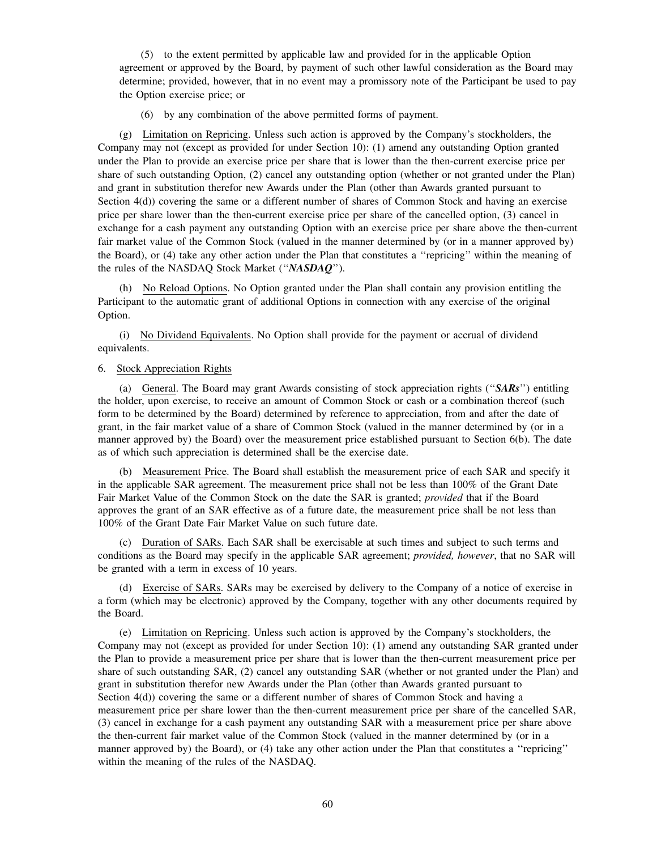(5) to the extent permitted by applicable law and provided for in the applicable Option agreement or approved by the Board, by payment of such other lawful consideration as the Board may determine; provided, however, that in no event may a promissory note of the Participant be used to pay the Option exercise price; or

(6) by any combination of the above permitted forms of payment.

(g) Limitation on Repricing. Unless such action is approved by the Company's stockholders, the Company may not (except as provided for under Section 10): (1) amend any outstanding Option granted under the Plan to provide an exercise price per share that is lower than the then-current exercise price per share of such outstanding Option, (2) cancel any outstanding option (whether or not granted under the Plan) and grant in substitution therefor new Awards under the Plan (other than Awards granted pursuant to Section 4(d)) covering the same or a different number of shares of Common Stock and having an exercise price per share lower than the then-current exercise price per share of the cancelled option, (3) cancel in exchange for a cash payment any outstanding Option with an exercise price per share above the then-current fair market value of the Common Stock (valued in the manner determined by (or in a manner approved by) the Board), or (4) take any other action under the Plan that constitutes a ''repricing'' within the meaning of the rules of the NASDAQ Stock Market (''*NASDAQ*'').

(h) No Reload Options. No Option granted under the Plan shall contain any provision entitling the Participant to the automatic grant of additional Options in connection with any exercise of the original Option.

(i) No Dividend Equivalents. No Option shall provide for the payment or accrual of dividend equivalents.

## 6. Stock Appreciation Rights

(a) General. The Board may grant Awards consisting of stock appreciation rights (''*SARs*'') entitling the holder, upon exercise, to receive an amount of Common Stock or cash or a combination thereof (such form to be determined by the Board) determined by reference to appreciation, from and after the date of grant, in the fair market value of a share of Common Stock (valued in the manner determined by (or in a manner approved by) the Board) over the measurement price established pursuant to Section 6(b). The date as of which such appreciation is determined shall be the exercise date.

(b) Measurement Price. The Board shall establish the measurement price of each SAR and specify it in the applicable SAR agreement. The measurement price shall not be less than 100% of the Grant Date Fair Market Value of the Common Stock on the date the SAR is granted; *provided* that if the Board approves the grant of an SAR effective as of a future date, the measurement price shall be not less than 100% of the Grant Date Fair Market Value on such future date.

(c) Duration of SARs. Each SAR shall be exercisable at such times and subject to such terms and conditions as the Board may specify in the applicable SAR agreement; *provided, however*, that no SAR will be granted with a term in excess of 10 years.

(d) Exercise of SARs. SARs may be exercised by delivery to the Company of a notice of exercise in a form (which may be electronic) approved by the Company, together with any other documents required by the Board.

(e) Limitation on Repricing. Unless such action is approved by the Company's stockholders, the Company may not (except as provided for under Section 10): (1) amend any outstanding SAR granted under the Plan to provide a measurement price per share that is lower than the then-current measurement price per share of such outstanding SAR, (2) cancel any outstanding SAR (whether or not granted under the Plan) and grant in substitution therefor new Awards under the Plan (other than Awards granted pursuant to Section 4(d)) covering the same or a different number of shares of Common Stock and having a measurement price per share lower than the then-current measurement price per share of the cancelled SAR, (3) cancel in exchange for a cash payment any outstanding SAR with a measurement price per share above the then-current fair market value of the Common Stock (valued in the manner determined by (or in a manner approved by) the Board), or (4) take any other action under the Plan that constitutes a ''repricing'' within the meaning of the rules of the NASDAQ.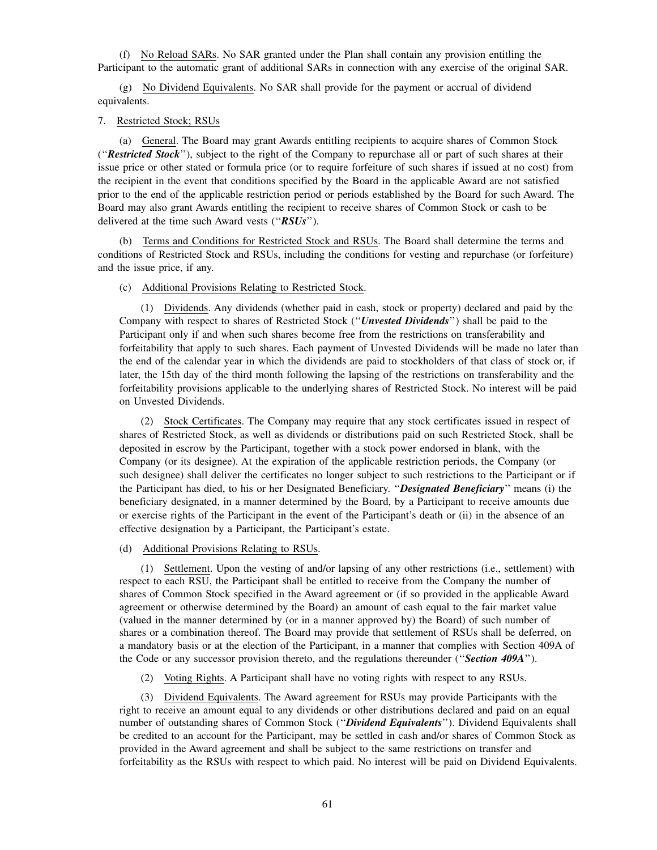(f) No Reload SARs. No SAR granted under the Plan shall contain any provision entitling the Participant to the automatic grant of additional SARs in connection with any exercise of the original SAR.

(g) No Dividend Equivalents. No SAR shall provide for the payment or accrual of dividend equivalents.

## 7. Restricted Stock; RSUs

(a) General. The Board may grant Awards entitling recipients to acquire shares of Common Stock (''*Restricted Stock*''), subject to the right of the Company to repurchase all or part of such shares at their issue price or other stated or formula price (or to require forfeiture of such shares if issued at no cost) from the recipient in the event that conditions specified by the Board in the applicable Award are not satisfied prior to the end of the applicable restriction period or periods established by the Board for such Award. The Board may also grant Awards entitling the recipient to receive shares of Common Stock or cash to be delivered at the time such Award vests (''*RSUs*'').

(b) Terms and Conditions for Restricted Stock and RSUs. The Board shall determine the terms and conditions of Restricted Stock and RSUs, including the conditions for vesting and repurchase (or forfeiture) and the issue price, if any.

# (c) Additional Provisions Relating to Restricted Stock.

(1) Dividends. Any dividends (whether paid in cash, stock or property) declared and paid by the Company with respect to shares of Restricted Stock (''*Unvested Dividends*'') shall be paid to the Participant only if and when such shares become free from the restrictions on transferability and forfeitability that apply to such shares. Each payment of Unvested Dividends will be made no later than the end of the calendar year in which the dividends are paid to stockholders of that class of stock or, if later, the 15th day of the third month following the lapsing of the restrictions on transferability and the forfeitability provisions applicable to the underlying shares of Restricted Stock. No interest will be paid on Unvested Dividends.

(2) Stock Certificates. The Company may require that any stock certificates issued in respect of shares of Restricted Stock, as well as dividends or distributions paid on such Restricted Stock, shall be deposited in escrow by the Participant, together with a stock power endorsed in blank, with the Company (or its designee). At the expiration of the applicable restriction periods, the Company (or such designee) shall deliver the certificates no longer subject to such restrictions to the Participant or if the Participant has died, to his or her Designated Beneficiary. ''*Designated Beneficiary*'' means (i) the beneficiary designated, in a manner determined by the Board, by a Participant to receive amounts due or exercise rights of the Participant in the event of the Participant's death or (ii) in the absence of an effective designation by a Participant, the Participant's estate.

# (d) Additional Provisions Relating to RSUs.

(1) Settlement. Upon the vesting of and/or lapsing of any other restrictions (i.e., settlement) with respect to each RSU, the Participant shall be entitled to receive from the Company the number of shares of Common Stock specified in the Award agreement or (if so provided in the applicable Award agreement or otherwise determined by the Board) an amount of cash equal to the fair market value (valued in the manner determined by (or in a manner approved by) the Board) of such number of shares or a combination thereof. The Board may provide that settlement of RSUs shall be deferred, on a mandatory basis or at the election of the Participant, in a manner that complies with Section 409A of the Code or any successor provision thereto, and the regulations thereunder (''*Section 409A*'').

(2) Voting Rights. A Participant shall have no voting rights with respect to any RSUs.

(3) Dividend Equivalents. The Award agreement for RSUs may provide Participants with the right to receive an amount equal to any dividends or other distributions declared and paid on an equal number of outstanding shares of Common Stock (''*Dividend Equivalents*''). Dividend Equivalents shall be credited to an account for the Participant, may be settled in cash and/or shares of Common Stock as provided in the Award agreement and shall be subject to the same restrictions on transfer and forfeitability as the RSUs with respect to which paid. No interest will be paid on Dividend Equivalents.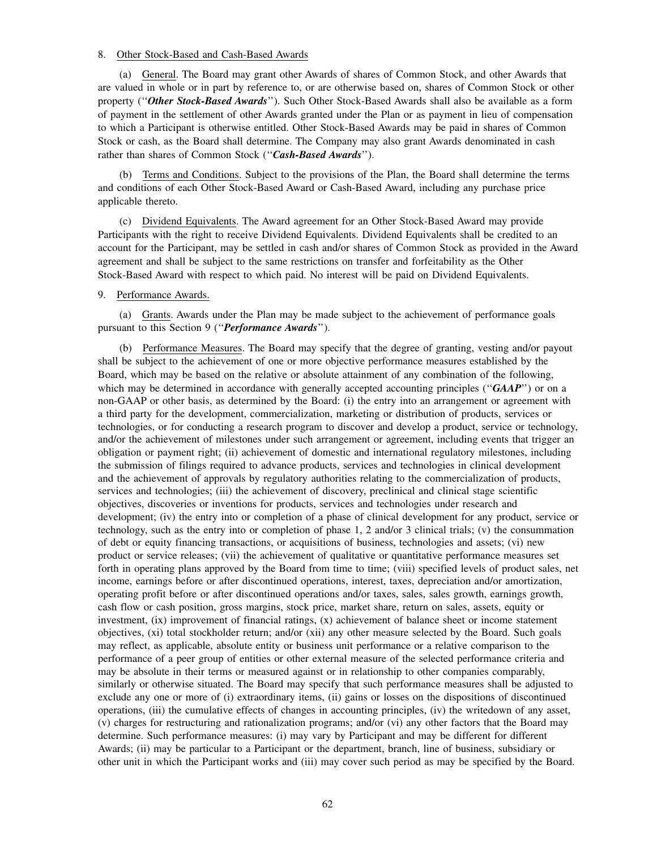### 8. Other Stock-Based and Cash-Based Awards

(a) General. The Board may grant other Awards of shares of Common Stock, and other Awards that are valued in whole or in part by reference to, or are otherwise based on, shares of Common Stock or other property (''*Other Stock-Based Awards*''). Such Other Stock-Based Awards shall also be available as a form of payment in the settlement of other Awards granted under the Plan or as payment in lieu of compensation to which a Participant is otherwise entitled. Other Stock-Based Awards may be paid in shares of Common Stock or cash, as the Board shall determine. The Company may also grant Awards denominated in cash rather than shares of Common Stock (''*Cash-Based Awards*'').

(b) Terms and Conditions. Subject to the provisions of the Plan, the Board shall determine the terms and conditions of each Other Stock-Based Award or Cash-Based Award, including any purchase price applicable thereto.

(c) Dividend Equivalents. The Award agreement for an Other Stock-Based Award may provide Participants with the right to receive Dividend Equivalents. Dividend Equivalents shall be credited to an account for the Participant, may be settled in cash and/or shares of Common Stock as provided in the Award agreement and shall be subject to the same restrictions on transfer and forfeitability as the Other Stock-Based Award with respect to which paid. No interest will be paid on Dividend Equivalents.

### 9. Performance Awards.

(a) Grants. Awards under the Plan may be made subject to the achievement of performance goals pursuant to this Section 9 (''*Performance Awards*'').

(b) Performance Measures. The Board may specify that the degree of granting, vesting and/or payout shall be subject to the achievement of one or more objective performance measures established by the Board, which may be based on the relative or absolute attainment of any combination of the following, which may be determined in accordance with generally accepted accounting principles ("*GAAP*") or on a non-GAAP or other basis, as determined by the Board: (i) the entry into an arrangement or agreement with a third party for the development, commercialization, marketing or distribution of products, services or technologies, or for conducting a research program to discover and develop a product, service or technology, and/or the achievement of milestones under such arrangement or agreement, including events that trigger an obligation or payment right; (ii) achievement of domestic and international regulatory milestones, including the submission of filings required to advance products, services and technologies in clinical development and the achievement of approvals by regulatory authorities relating to the commercialization of products, services and technologies; (iii) the achievement of discovery, preclinical and clinical stage scientific objectives, discoveries or inventions for products, services and technologies under research and development; (iv) the entry into or completion of a phase of clinical development for any product, service or technology, such as the entry into or completion of phase 1, 2 and/or 3 clinical trials; (v) the consummation of debt or equity financing transactions, or acquisitions of business, technologies and assets; (vi) new product or service releases; (vii) the achievement of qualitative or quantitative performance measures set forth in operating plans approved by the Board from time to time; (viii) specified levels of product sales, net income, earnings before or after discontinued operations, interest, taxes, depreciation and/or amortization, operating profit before or after discontinued operations and/or taxes, sales, sales growth, earnings growth, cash flow or cash position, gross margins, stock price, market share, return on sales, assets, equity or investment, (ix) improvement of financial ratings, (x) achievement of balance sheet or income statement objectives, (xi) total stockholder return; and/or (xii) any other measure selected by the Board. Such goals may reflect, as applicable, absolute entity or business unit performance or a relative comparison to the performance of a peer group of entities or other external measure of the selected performance criteria and may be absolute in their terms or measured against or in relationship to other companies comparably, similarly or otherwise situated. The Board may specify that such performance measures shall be adjusted to exclude any one or more of (i) extraordinary items, (ii) gains or losses on the dispositions of discontinued operations, (iii) the cumulative effects of changes in accounting principles, (iv) the writedown of any asset, (v) charges for restructuring and rationalization programs; and/or (vi) any other factors that the Board may determine. Such performance measures: (i) may vary by Participant and may be different for different Awards; (ii) may be particular to a Participant or the department, branch, line of business, subsidiary or other unit in which the Participant works and (iii) may cover such period as may be specified by the Board.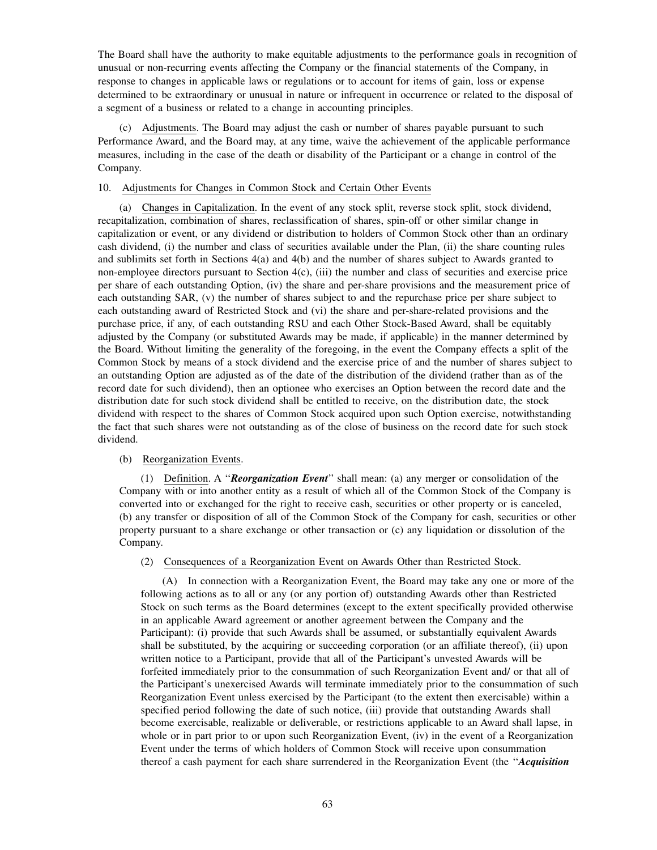The Board shall have the authority to make equitable adjustments to the performance goals in recognition of unusual or non-recurring events affecting the Company or the financial statements of the Company, in response to changes in applicable laws or regulations or to account for items of gain, loss or expense determined to be extraordinary or unusual in nature or infrequent in occurrence or related to the disposal of a segment of a business or related to a change in accounting principles.

(c) Adjustments. The Board may adjust the cash or number of shares payable pursuant to such Performance Award, and the Board may, at any time, waive the achievement of the applicable performance measures, including in the case of the death or disability of the Participant or a change in control of the Company.

# 10. Adjustments for Changes in Common Stock and Certain Other Events

(a) Changes in Capitalization. In the event of any stock split, reverse stock split, stock dividend, recapitalization, combination of shares, reclassification of shares, spin-off or other similar change in capitalization or event, or any dividend or distribution to holders of Common Stock other than an ordinary cash dividend, (i) the number and class of securities available under the Plan, (ii) the share counting rules and sublimits set forth in Sections 4(a) and 4(b) and the number of shares subject to Awards granted to non-employee directors pursuant to Section 4(c), (iii) the number and class of securities and exercise price per share of each outstanding Option, (iv) the share and per-share provisions and the measurement price of each outstanding SAR, (v) the number of shares subject to and the repurchase price per share subject to each outstanding award of Restricted Stock and (vi) the share and per-share-related provisions and the purchase price, if any, of each outstanding RSU and each Other Stock-Based Award, shall be equitably adjusted by the Company (or substituted Awards may be made, if applicable) in the manner determined by the Board. Without limiting the generality of the foregoing, in the event the Company effects a split of the Common Stock by means of a stock dividend and the exercise price of and the number of shares subject to an outstanding Option are adjusted as of the date of the distribution of the dividend (rather than as of the record date for such dividend), then an optionee who exercises an Option between the record date and the distribution date for such stock dividend shall be entitled to receive, on the distribution date, the stock dividend with respect to the shares of Common Stock acquired upon such Option exercise, notwithstanding the fact that such shares were not outstanding as of the close of business on the record date for such stock dividend.

## (b) Reorganization Events.

(1) Definition. A ''*Reorganization Event*'' shall mean: (a) any merger or consolidation of the Company with or into another entity as a result of which all of the Common Stock of the Company is converted into or exchanged for the right to receive cash, securities or other property or is canceled, (b) any transfer or disposition of all of the Common Stock of the Company for cash, securities or other property pursuant to a share exchange or other transaction or (c) any liquidation or dissolution of the Company.

(2) Consequences of a Reorganization Event on Awards Other than Restricted Stock.

(A) In connection with a Reorganization Event, the Board may take any one or more of the following actions as to all or any (or any portion of) outstanding Awards other than Restricted Stock on such terms as the Board determines (except to the extent specifically provided otherwise in an applicable Award agreement or another agreement between the Company and the Participant): (i) provide that such Awards shall be assumed, or substantially equivalent Awards shall be substituted, by the acquiring or succeeding corporation (or an affiliate thereof), (ii) upon written notice to a Participant, provide that all of the Participant's unvested Awards will be forfeited immediately prior to the consummation of such Reorganization Event and/ or that all of the Participant's unexercised Awards will terminate immediately prior to the consummation of such Reorganization Event unless exercised by the Participant (to the extent then exercisable) within a specified period following the date of such notice, (iii) provide that outstanding Awards shall become exercisable, realizable or deliverable, or restrictions applicable to an Award shall lapse, in whole or in part prior to or upon such Reorganization Event, (iv) in the event of a Reorganization Event under the terms of which holders of Common Stock will receive upon consummation thereof a cash payment for each share surrendered in the Reorganization Event (the ''*Acquisition*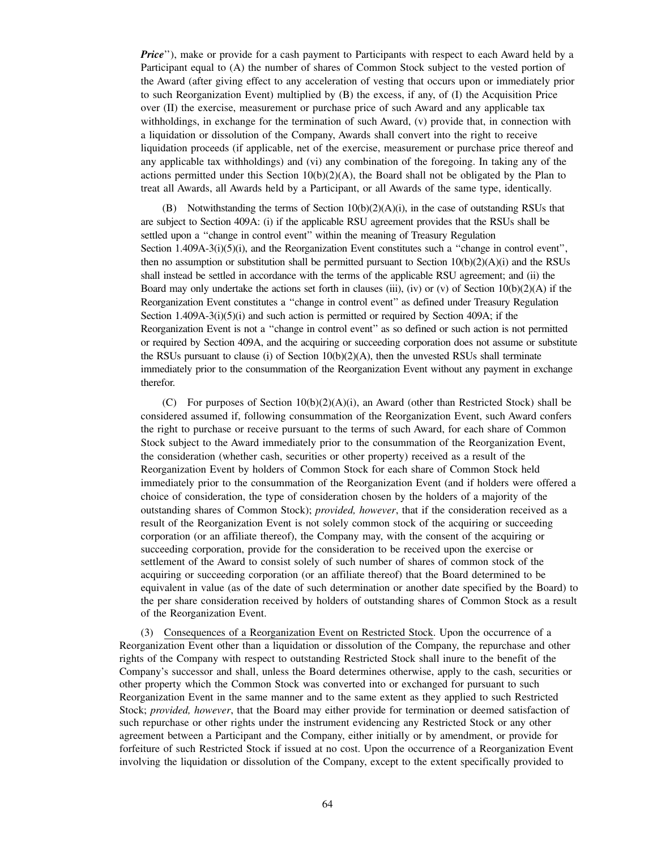*Price*"), make or provide for a cash payment to Participants with respect to each Award held by a Participant equal to (A) the number of shares of Common Stock subject to the vested portion of the Award (after giving effect to any acceleration of vesting that occurs upon or immediately prior to such Reorganization Event) multiplied by (B) the excess, if any, of (I) the Acquisition Price over (II) the exercise, measurement or purchase price of such Award and any applicable tax withholdings, in exchange for the termination of such Award, (v) provide that, in connection with a liquidation or dissolution of the Company, Awards shall convert into the right to receive liquidation proceeds (if applicable, net of the exercise, measurement or purchase price thereof and any applicable tax withholdings) and (vi) any combination of the foregoing. In taking any of the actions permitted under this Section  $10(b)(2)(A)$ , the Board shall not be obligated by the Plan to treat all Awards, all Awards held by a Participant, or all Awards of the same type, identically.

(B) Notwithstanding the terms of Section  $10(b)(2)(A)(i)$ , in the case of outstanding RSUs that are subject to Section 409A: (i) if the applicable RSU agreement provides that the RSUs shall be settled upon a ''change in control event'' within the meaning of Treasury Regulation Section 1.409A-3(i)(5)(i), and the Reorganization Event constitutes such a "change in control event", then no assumption or substitution shall be permitted pursuant to Section  $10(b)(2)(A)(i)$  and the RSUs shall instead be settled in accordance with the terms of the applicable RSU agreement; and (ii) the Board may only undertake the actions set forth in clauses (iii), (iv) or (v) of Section  $10(b)(2)(A)$  if the Reorganization Event constitutes a ''change in control event'' as defined under Treasury Regulation Section 1.409A-3(i)(5)(i) and such action is permitted or required by Section 409A; if the Reorganization Event is not a ''change in control event'' as so defined or such action is not permitted or required by Section 409A, and the acquiring or succeeding corporation does not assume or substitute the RSUs pursuant to clause (i) of Section  $10(b)(2)(A)$ , then the unvested RSUs shall terminate immediately prior to the consummation of the Reorganization Event without any payment in exchange therefor.

(C) For purposes of Section  $10(b)(2)(A)(i)$ , an Award (other than Restricted Stock) shall be considered assumed if, following consummation of the Reorganization Event, such Award confers the right to purchase or receive pursuant to the terms of such Award, for each share of Common Stock subject to the Award immediately prior to the consummation of the Reorganization Event, the consideration (whether cash, securities or other property) received as a result of the Reorganization Event by holders of Common Stock for each share of Common Stock held immediately prior to the consummation of the Reorganization Event (and if holders were offered a choice of consideration, the type of consideration chosen by the holders of a majority of the outstanding shares of Common Stock); *provided, however*, that if the consideration received as a result of the Reorganization Event is not solely common stock of the acquiring or succeeding corporation (or an affiliate thereof), the Company may, with the consent of the acquiring or succeeding corporation, provide for the consideration to be received upon the exercise or settlement of the Award to consist solely of such number of shares of common stock of the acquiring or succeeding corporation (or an affiliate thereof) that the Board determined to be equivalent in value (as of the date of such determination or another date specified by the Board) to the per share consideration received by holders of outstanding shares of Common Stock as a result of the Reorganization Event.

(3) Consequences of a Reorganization Event on Restricted Stock. Upon the occurrence of a Reorganization Event other than a liquidation or dissolution of the Company, the repurchase and other rights of the Company with respect to outstanding Restricted Stock shall inure to the benefit of the Company's successor and shall, unless the Board determines otherwise, apply to the cash, securities or other property which the Common Stock was converted into or exchanged for pursuant to such Reorganization Event in the same manner and to the same extent as they applied to such Restricted Stock; *provided, however*, that the Board may either provide for termination or deemed satisfaction of such repurchase or other rights under the instrument evidencing any Restricted Stock or any other agreement between a Participant and the Company, either initially or by amendment, or provide for forfeiture of such Restricted Stock if issued at no cost. Upon the occurrence of a Reorganization Event involving the liquidation or dissolution of the Company, except to the extent specifically provided to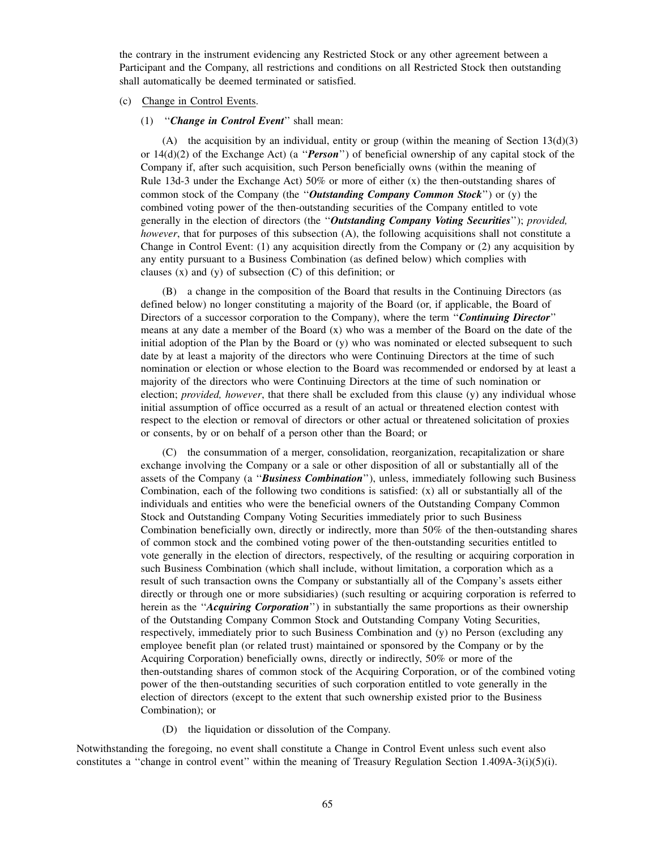the contrary in the instrument evidencing any Restricted Stock or any other agreement between a Participant and the Company, all restrictions and conditions on all Restricted Stock then outstanding shall automatically be deemed terminated or satisfied.

# (c) Change in Control Events.

### (1) ''*Change in Control Event*'' shall mean:

(A) the acquisition by an individual, entity or group (within the meaning of Section  $13(d)(3)$ or 14(d)(2) of the Exchange Act) (a ''*Person*'') of beneficial ownership of any capital stock of the Company if, after such acquisition, such Person beneficially owns (within the meaning of Rule 13d-3 under the Exchange Act) 50% or more of either  $(x)$  the then-outstanding shares of common stock of the Company (the ''*Outstanding Company Common Stock*'') or (y) the combined voting power of the then-outstanding securities of the Company entitled to vote generally in the election of directors (the ''*Outstanding Company Voting Securities*''); *provided, however*, that for purposes of this subsection (A), the following acquisitions shall not constitute a Change in Control Event: (1) any acquisition directly from the Company or (2) any acquisition by any entity pursuant to a Business Combination (as defined below) which complies with clauses (x) and (y) of subsection (C) of this definition; or

(B) a change in the composition of the Board that results in the Continuing Directors (as defined below) no longer constituting a majority of the Board (or, if applicable, the Board of Directors of a successor corporation to the Company), where the term ''*Continuing Director*'' means at any date a member of the Board (x) who was a member of the Board on the date of the initial adoption of the Plan by the Board or (y) who was nominated or elected subsequent to such date by at least a majority of the directors who were Continuing Directors at the time of such nomination or election or whose election to the Board was recommended or endorsed by at least a majority of the directors who were Continuing Directors at the time of such nomination or election; *provided, however*, that there shall be excluded from this clause (y) any individual whose initial assumption of office occurred as a result of an actual or threatened election contest with respect to the election or removal of directors or other actual or threatened solicitation of proxies or consents, by or on behalf of a person other than the Board; or

(C) the consummation of a merger, consolidation, reorganization, recapitalization or share exchange involving the Company or a sale or other disposition of all or substantially all of the assets of the Company (a ''*Business Combination*''), unless, immediately following such Business Combination, each of the following two conditions is satisfied:  $(x)$  all or substantially all of the individuals and entities who were the beneficial owners of the Outstanding Company Common Stock and Outstanding Company Voting Securities immediately prior to such Business Combination beneficially own, directly or indirectly, more than 50% of the then-outstanding shares of common stock and the combined voting power of the then-outstanding securities entitled to vote generally in the election of directors, respectively, of the resulting or acquiring corporation in such Business Combination (which shall include, without limitation, a corporation which as a result of such transaction owns the Company or substantially all of the Company's assets either directly or through one or more subsidiaries) (such resulting or acquiring corporation is referred to herein as the "*Acquiring Corporation*") in substantially the same proportions as their ownership of the Outstanding Company Common Stock and Outstanding Company Voting Securities, respectively, immediately prior to such Business Combination and (y) no Person (excluding any employee benefit plan (or related trust) maintained or sponsored by the Company or by the Acquiring Corporation) beneficially owns, directly or indirectly, 50% or more of the then-outstanding shares of common stock of the Acquiring Corporation, or of the combined voting power of the then-outstanding securities of such corporation entitled to vote generally in the election of directors (except to the extent that such ownership existed prior to the Business Combination); or

(D) the liquidation or dissolution of the Company.

Notwithstanding the foregoing, no event shall constitute a Change in Control Event unless such event also constitutes a ''change in control event'' within the meaning of Treasury Regulation Section 1.409A-3(i)(5)(i).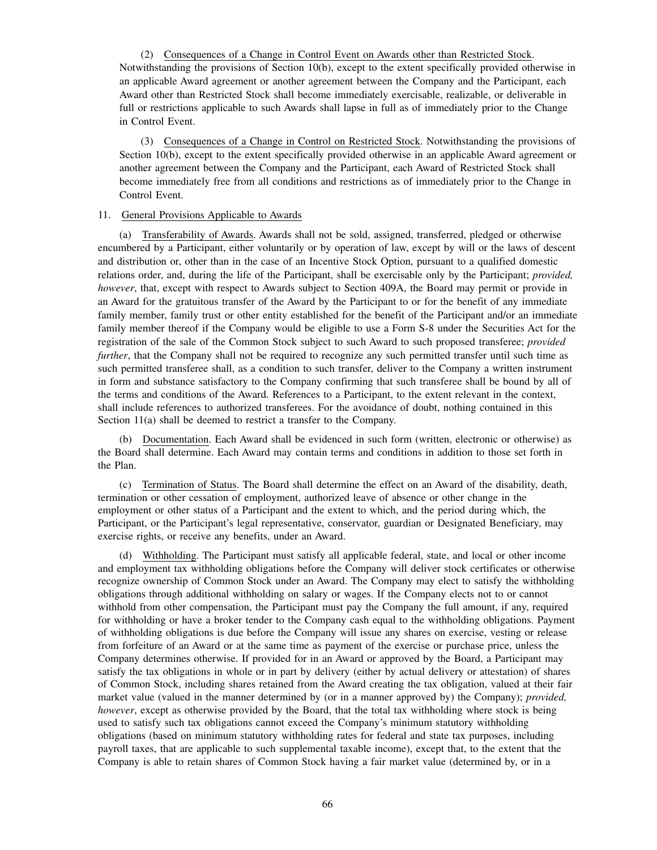(2) Consequences of a Change in Control Event on Awards other than Restricted Stock. Notwithstanding the provisions of Section 10(b), except to the extent specifically provided otherwise in an applicable Award agreement or another agreement between the Company and the Participant, each Award other than Restricted Stock shall become immediately exercisable, realizable, or deliverable in full or restrictions applicable to such Awards shall lapse in full as of immediately prior to the Change in Control Event.

(3) Consequences of a Change in Control on Restricted Stock. Notwithstanding the provisions of Section 10(b), except to the extent specifically provided otherwise in an applicable Award agreement or another agreement between the Company and the Participant, each Award of Restricted Stock shall become immediately free from all conditions and restrictions as of immediately prior to the Change in Control Event.

## 11. General Provisions Applicable to Awards

(a) Transferability of Awards. Awards shall not be sold, assigned, transferred, pledged or otherwise encumbered by a Participant, either voluntarily or by operation of law, except by will or the laws of descent and distribution or, other than in the case of an Incentive Stock Option, pursuant to a qualified domestic relations order, and, during the life of the Participant, shall be exercisable only by the Participant; *provided, however*, that, except with respect to Awards subject to Section 409A, the Board may permit or provide in an Award for the gratuitous transfer of the Award by the Participant to or for the benefit of any immediate family member, family trust or other entity established for the benefit of the Participant and/or an immediate family member thereof if the Company would be eligible to use a Form S-8 under the Securities Act for the registration of the sale of the Common Stock subject to such Award to such proposed transferee; *provided further*, that the Company shall not be required to recognize any such permitted transfer until such time as such permitted transferee shall, as a condition to such transfer, deliver to the Company a written instrument in form and substance satisfactory to the Company confirming that such transferee shall be bound by all of the terms and conditions of the Award. References to a Participant, to the extent relevant in the context, shall include references to authorized transferees. For the avoidance of doubt, nothing contained in this Section 11(a) shall be deemed to restrict a transfer to the Company.

(b) Documentation. Each Award shall be evidenced in such form (written, electronic or otherwise) as the Board shall determine. Each Award may contain terms and conditions in addition to those set forth in the Plan.

(c) Termination of Status. The Board shall determine the effect on an Award of the disability, death, termination or other cessation of employment, authorized leave of absence or other change in the employment or other status of a Participant and the extent to which, and the period during which, the Participant, or the Participant's legal representative, conservator, guardian or Designated Beneficiary, may exercise rights, or receive any benefits, under an Award.

(d) Withholding. The Participant must satisfy all applicable federal, state, and local or other income and employment tax withholding obligations before the Company will deliver stock certificates or otherwise recognize ownership of Common Stock under an Award. The Company may elect to satisfy the withholding obligations through additional withholding on salary or wages. If the Company elects not to or cannot withhold from other compensation, the Participant must pay the Company the full amount, if any, required for withholding or have a broker tender to the Company cash equal to the withholding obligations. Payment of withholding obligations is due before the Company will issue any shares on exercise, vesting or release from forfeiture of an Award or at the same time as payment of the exercise or purchase price, unless the Company determines otherwise. If provided for in an Award or approved by the Board, a Participant may satisfy the tax obligations in whole or in part by delivery (either by actual delivery or attestation) of shares of Common Stock, including shares retained from the Award creating the tax obligation, valued at their fair market value (valued in the manner determined by (or in a manner approved by) the Company); *provided, however*, except as otherwise provided by the Board, that the total tax withholding where stock is being used to satisfy such tax obligations cannot exceed the Company's minimum statutory withholding obligations (based on minimum statutory withholding rates for federal and state tax purposes, including payroll taxes, that are applicable to such supplemental taxable income), except that, to the extent that the Company is able to retain shares of Common Stock having a fair market value (determined by, or in a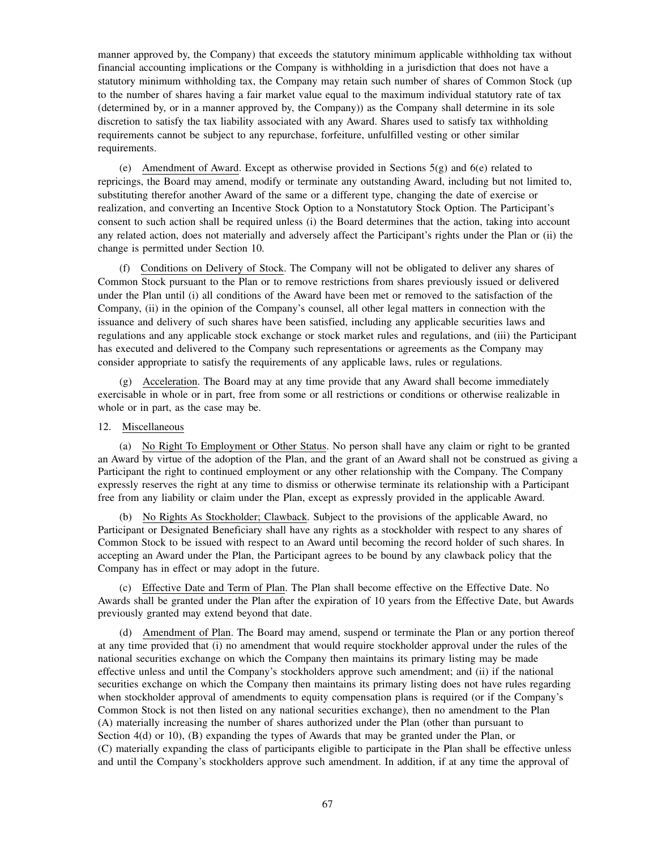manner approved by, the Company) that exceeds the statutory minimum applicable withholding tax without financial accounting implications or the Company is withholding in a jurisdiction that does not have a statutory minimum withholding tax, the Company may retain such number of shares of Common Stock (up to the number of shares having a fair market value equal to the maximum individual statutory rate of tax (determined by, or in a manner approved by, the Company)) as the Company shall determine in its sole discretion to satisfy the tax liability associated with any Award. Shares used to satisfy tax withholding requirements cannot be subject to any repurchase, forfeiture, unfulfilled vesting or other similar requirements.

(e) Amendment of Award. Except as otherwise provided in Sections 5(g) and 6(e) related to repricings, the Board may amend, modify or terminate any outstanding Award, including but not limited to, substituting therefor another Award of the same or a different type, changing the date of exercise or realization, and converting an Incentive Stock Option to a Nonstatutory Stock Option. The Participant's consent to such action shall be required unless (i) the Board determines that the action, taking into account any related action, does not materially and adversely affect the Participant's rights under the Plan or (ii) the change is permitted under Section 10.

(f) Conditions on Delivery of Stock. The Company will not be obligated to deliver any shares of Common Stock pursuant to the Plan or to remove restrictions from shares previously issued or delivered under the Plan until (i) all conditions of the Award have been met or removed to the satisfaction of the Company, (ii) in the opinion of the Company's counsel, all other legal matters in connection with the issuance and delivery of such shares have been satisfied, including any applicable securities laws and regulations and any applicable stock exchange or stock market rules and regulations, and (iii) the Participant has executed and delivered to the Company such representations or agreements as the Company may consider appropriate to satisfy the requirements of any applicable laws, rules or regulations.

(g) Acceleration. The Board may at any time provide that any Award shall become immediately exercisable in whole or in part, free from some or all restrictions or conditions or otherwise realizable in whole or in part, as the case may be.

# 12. Miscellaneous

(a) No Right To Employment or Other Status. No person shall have any claim or right to be granted an Award by virtue of the adoption of the Plan, and the grant of an Award shall not be construed as giving a Participant the right to continued employment or any other relationship with the Company. The Company expressly reserves the right at any time to dismiss or otherwise terminate its relationship with a Participant free from any liability or claim under the Plan, except as expressly provided in the applicable Award.

(b) No Rights As Stockholder; Clawback. Subject to the provisions of the applicable Award, no Participant or Designated Beneficiary shall have any rights as a stockholder with respect to any shares of Common Stock to be issued with respect to an Award until becoming the record holder of such shares. In accepting an Award under the Plan, the Participant agrees to be bound by any clawback policy that the Company has in effect or may adopt in the future.

(c) Effective Date and Term of Plan. The Plan shall become effective on the Effective Date. No Awards shall be granted under the Plan after the expiration of 10 years from the Effective Date, but Awards previously granted may extend beyond that date.

(d) Amendment of Plan. The Board may amend, suspend or terminate the Plan or any portion thereof at any time provided that (i) no amendment that would require stockholder approval under the rules of the national securities exchange on which the Company then maintains its primary listing may be made effective unless and until the Company's stockholders approve such amendment; and (ii) if the national securities exchange on which the Company then maintains its primary listing does not have rules regarding when stockholder approval of amendments to equity compensation plans is required (or if the Company's Common Stock is not then listed on any national securities exchange), then no amendment to the Plan (A) materially increasing the number of shares authorized under the Plan (other than pursuant to Section 4(d) or 10), (B) expanding the types of Awards that may be granted under the Plan, or (C) materially expanding the class of participants eligible to participate in the Plan shall be effective unless and until the Company's stockholders approve such amendment. In addition, if at any time the approval of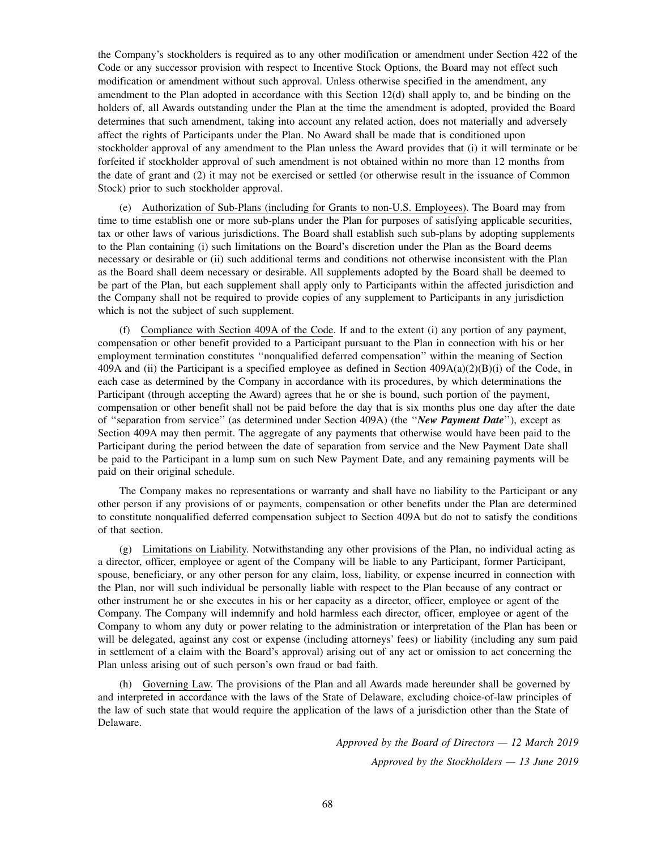the Company's stockholders is required as to any other modification or amendment under Section 422 of the Code or any successor provision with respect to Incentive Stock Options, the Board may not effect such modification or amendment without such approval. Unless otherwise specified in the amendment, any amendment to the Plan adopted in accordance with this Section 12(d) shall apply to, and be binding on the holders of, all Awards outstanding under the Plan at the time the amendment is adopted, provided the Board determines that such amendment, taking into account any related action, does not materially and adversely affect the rights of Participants under the Plan. No Award shall be made that is conditioned upon stockholder approval of any amendment to the Plan unless the Award provides that (i) it will terminate or be forfeited if stockholder approval of such amendment is not obtained within no more than 12 months from the date of grant and (2) it may not be exercised or settled (or otherwise result in the issuance of Common Stock) prior to such stockholder approval.

(e) Authorization of Sub-Plans (including for Grants to non-U.S. Employees). The Board may from time to time establish one or more sub-plans under the Plan for purposes of satisfying applicable securities, tax or other laws of various jurisdictions. The Board shall establish such sub-plans by adopting supplements to the Plan containing (i) such limitations on the Board's discretion under the Plan as the Board deems necessary or desirable or (ii) such additional terms and conditions not otherwise inconsistent with the Plan as the Board shall deem necessary or desirable. All supplements adopted by the Board shall be deemed to be part of the Plan, but each supplement shall apply only to Participants within the affected jurisdiction and the Company shall not be required to provide copies of any supplement to Participants in any jurisdiction which is not the subject of such supplement.

(f) Compliance with Section 409A of the Code. If and to the extent (i) any portion of any payment, compensation or other benefit provided to a Participant pursuant to the Plan in connection with his or her employment termination constitutes ''nonqualified deferred compensation'' within the meaning of Section 409A and (ii) the Participant is a specified employee as defined in Section  $409A(a)(2)(B)(i)$  of the Code, in each case as determined by the Company in accordance with its procedures, by which determinations the Participant (through accepting the Award) agrees that he or she is bound, such portion of the payment, compensation or other benefit shall not be paid before the day that is six months plus one day after the date of ''separation from service'' (as determined under Section 409A) (the ''*New Payment Date*''), except as Section 409A may then permit. The aggregate of any payments that otherwise would have been paid to the Participant during the period between the date of separation from service and the New Payment Date shall be paid to the Participant in a lump sum on such New Payment Date, and any remaining payments will be paid on their original schedule.

The Company makes no representations or warranty and shall have no liability to the Participant or any other person if any provisions of or payments, compensation or other benefits under the Plan are determined to constitute nonqualified deferred compensation subject to Section 409A but do not to satisfy the conditions of that section.

(g) Limitations on Liability. Notwithstanding any other provisions of the Plan, no individual acting as a director, officer, employee or agent of the Company will be liable to any Participant, former Participant, spouse, beneficiary, or any other person for any claim, loss, liability, or expense incurred in connection with the Plan, nor will such individual be personally liable with respect to the Plan because of any contract or other instrument he or she executes in his or her capacity as a director, officer, employee or agent of the Company. The Company will indemnify and hold harmless each director, officer, employee or agent of the Company to whom any duty or power relating to the administration or interpretation of the Plan has been or will be delegated, against any cost or expense (including attorneys' fees) or liability (including any sum paid in settlement of a claim with the Board's approval) arising out of any act or omission to act concerning the Plan unless arising out of such person's own fraud or bad faith.

(h) Governing Law. The provisions of the Plan and all Awards made hereunder shall be governed by and interpreted in accordance with the laws of the State of Delaware, excluding choice-of-law principles of the law of such state that would require the application of the laws of a jurisdiction other than the State of Delaware.

> *Approved by the Board of Directors — 12 March 2019 Approved by the Stockholders — 13 June 2019*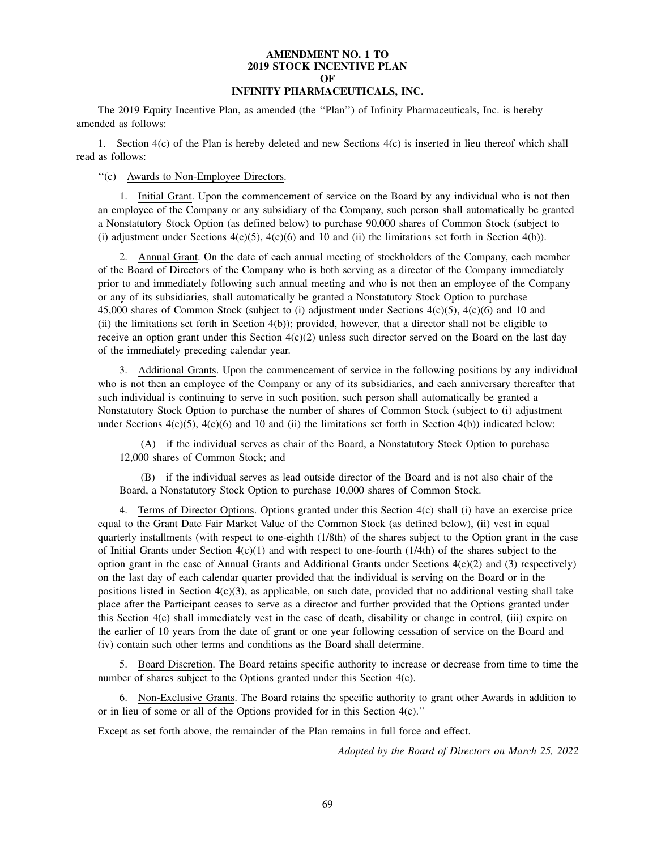## **AMENDMENT NO. 1 TO 2019 STOCK INCENTIVE PLAN OF INFINITY PHARMACEUTICALS, INC.**

The 2019 Equity Incentive Plan, as amended (the ''Plan'') of Infinity Pharmaceuticals, Inc. is hereby amended as follows:

1. Section 4(c) of the Plan is hereby deleted and new Sections 4(c) is inserted in lieu thereof which shall read as follows:

''(c) Awards to Non-Employee Directors.

1. Initial Grant. Upon the commencement of service on the Board by any individual who is not then an employee of the Company or any subsidiary of the Company, such person shall automatically be granted a Nonstatutory Stock Option (as defined below) to purchase 90,000 shares of Common Stock (subject to (i) adjustment under Sections  $4(c)(5)$ ,  $4(c)(6)$  and 10 and (ii) the limitations set forth in Section  $4(b)$ ).

2. Annual Grant. On the date of each annual meeting of stockholders of the Company, each member of the Board of Directors of the Company who is both serving as a director of the Company immediately prior to and immediately following such annual meeting and who is not then an employee of the Company or any of its subsidiaries, shall automatically be granted a Nonstatutory Stock Option to purchase 45,000 shares of Common Stock (subject to (i) adjustment under Sections 4(c)(5), 4(c)(6) and 10 and (ii) the limitations set forth in Section 4(b)); provided, however, that a director shall not be eligible to receive an option grant under this Section  $4(c)(2)$  unless such director served on the Board on the last day of the immediately preceding calendar year.

3. Additional Grants. Upon the commencement of service in the following positions by any individual who is not then an employee of the Company or any of its subsidiaries, and each anniversary thereafter that such individual is continuing to serve in such position, such person shall automatically be granted a Nonstatutory Stock Option to purchase the number of shares of Common Stock (subject to (i) adjustment under Sections  $4(c)(5)$ ,  $4(c)(6)$  and 10 and (ii) the limitations set forth in Section  $4(b)$ ) indicated below:

(A) if the individual serves as chair of the Board, a Nonstatutory Stock Option to purchase 12,000 shares of Common Stock; and

(B) if the individual serves as lead outside director of the Board and is not also chair of the Board, a Nonstatutory Stock Option to purchase 10,000 shares of Common Stock.

4. Terms of Director Options. Options granted under this Section 4(c) shall (i) have an exercise price equal to the Grant Date Fair Market Value of the Common Stock (as defined below), (ii) vest in equal quarterly installments (with respect to one-eighth (1/8th) of the shares subject to the Option grant in the case of Initial Grants under Section  $4(c)(1)$  and with respect to one-fourth (1/4th) of the shares subject to the option grant in the case of Annual Grants and Additional Grants under Sections  $4(c)(2)$  and (3) respectively) on the last day of each calendar quarter provided that the individual is serving on the Board or in the positions listed in Section  $4(c)(3)$ , as applicable, on such date, provided that no additional vesting shall take place after the Participant ceases to serve as a director and further provided that the Options granted under this Section 4(c) shall immediately vest in the case of death, disability or change in control, (iii) expire on the earlier of 10 years from the date of grant or one year following cessation of service on the Board and (iv) contain such other terms and conditions as the Board shall determine.

5. Board Discretion. The Board retains specific authority to increase or decrease from time to time the number of shares subject to the Options granted under this Section 4(c).

6. Non-Exclusive Grants. The Board retains the specific authority to grant other Awards in addition to or in lieu of some or all of the Options provided for in this Section 4(c).''

Except as set forth above, the remainder of the Plan remains in full force and effect.

*Adopted by the Board of Directors on March 25, 2022*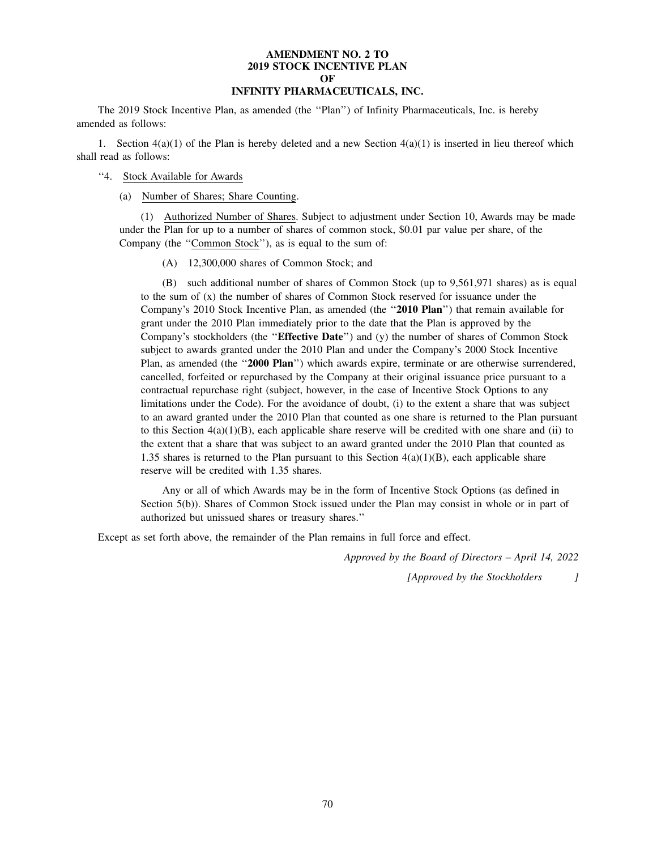## **AMENDMENT NO. 2 TO 2019 STOCK INCENTIVE PLAN OF INFINITY PHARMACEUTICALS, INC.**

The 2019 Stock Incentive Plan, as amended (the ''Plan'') of Infinity Pharmaceuticals, Inc. is hereby amended as follows:

1. Section  $4(a)(1)$  of the Plan is hereby deleted and a new Section  $4(a)(1)$  is inserted in lieu thereof which shall read as follows:

## ''4. Stock Available for Awards

(a) Number of Shares; Share Counting.

(1) Authorized Number of Shares. Subject to adjustment under Section 10, Awards may be made under the Plan for up to a number of shares of common stock, \$0.01 par value per share, of the Company (the ''Common Stock''), as is equal to the sum of:

(A) 12,300,000 shares of Common Stock; and

(B) such additional number of shares of Common Stock (up to 9,561,971 shares) as is equal to the sum of (x) the number of shares of Common Stock reserved for issuance under the Company's 2010 Stock Incentive Plan, as amended (the ''**2010 Plan**'') that remain available for grant under the 2010 Plan immediately prior to the date that the Plan is approved by the Company's stockholders (the ''**Effective Date**'') and (y) the number of shares of Common Stock subject to awards granted under the 2010 Plan and under the Company's 2000 Stock Incentive Plan, as amended (the "2000 Plan") which awards expire, terminate or are otherwise surrendered, cancelled, forfeited or repurchased by the Company at their original issuance price pursuant to a contractual repurchase right (subject, however, in the case of Incentive Stock Options to any limitations under the Code). For the avoidance of doubt, (i) to the extent a share that was subject to an award granted under the 2010 Plan that counted as one share is returned to the Plan pursuant to this Section  $4(a)(1)(B)$ , each applicable share reserve will be credited with one share and (ii) to the extent that a share that was subject to an award granted under the 2010 Plan that counted as 1.35 shares is returned to the Plan pursuant to this Section  $4(a)(1)(B)$ , each applicable share reserve will be credited with 1.35 shares.

Any or all of which Awards may be in the form of Incentive Stock Options (as defined in Section 5(b)). Shares of Common Stock issued under the Plan may consist in whole or in part of authorized but unissued shares or treasury shares.''

Except as set forth above, the remainder of the Plan remains in full force and effect.

*Approved by the Board of Directors – April 14, 2022*

*[Approved by the Stockholders ]*